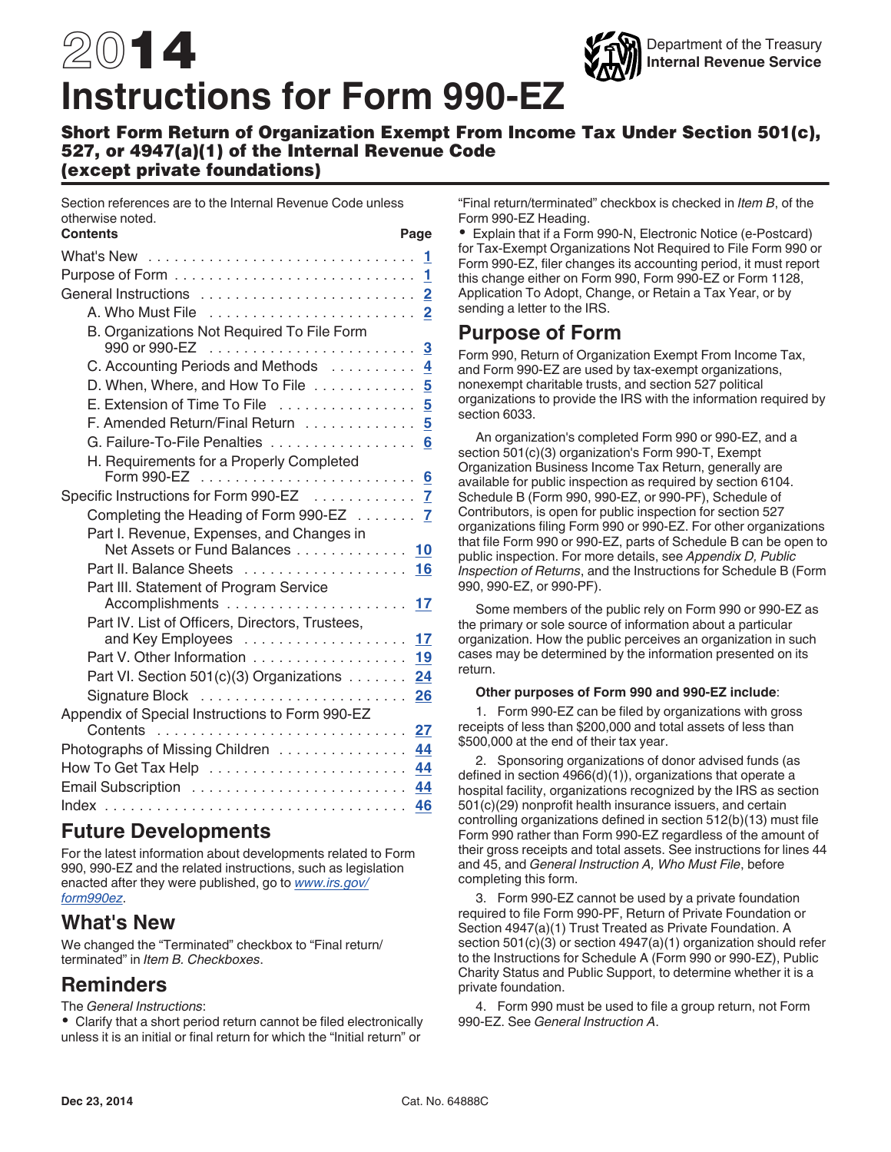# <span id="page-0-0"></span> $2014$ **Instructions for Form 990-EZ**

#### Short Form Return of Organization Exempt From Income Tax Under Section 501(c), 527, or 4947(a)(1) of the Internal Revenue Code (except private foundations)

Section references are to the Internal Revenue Code unless otherwise noted.

| <b>Contents</b>                                                             | Page                    |
|-----------------------------------------------------------------------------|-------------------------|
| What's New                                                                  | 1                       |
|                                                                             | 1                       |
|                                                                             | $\overline{\mathbf{2}}$ |
| A. Who Must File                                                            | $\overline{2}$          |
| B. Organizations Not Required To File Form                                  | <u>3</u>                |
| C. Accounting Periods and Methods                                           | 4                       |
| D. When, Where, and How To File                                             | $\overline{\mathbf{5}}$ |
| E. Extension of Time To File                                                | 5                       |
| F. Amended Return/Final Return                                              | $\overline{\mathbf{5}}$ |
| G. Failure-To-File Penalties                                                | 6                       |
| H. Requirements for a Properly Completed                                    |                         |
|                                                                             | 6                       |
| Specific Instructions for Form 990-EZ                                       | $\mathbf{Z}$            |
| Completing the Heading of Form 990-EZ 7                                     |                         |
| Part I. Revenue, Expenses, and Changes in<br>Net Assets or Fund Balances 10 |                         |
| Part II. Balance Sheets                                                     | 16                      |
| Part III. Statement of Program Service                                      |                         |
|                                                                             | 17                      |
| Part IV. List of Officers, Directors, Trustees,                             |                         |
|                                                                             | 17                      |
| Part V. Other Information                                                   | 19                      |
| Part VI. Section $501(c)(3)$ Organizations $\ldots \ldots$                  | 24                      |
|                                                                             | 26                      |
| Appendix of Special Instructions to Form 990-EZ<br>Contents                 |                         |
|                                                                             | 27                      |
| Photographs of Missing Children                                             | 44                      |
|                                                                             | 44                      |
|                                                                             | 44                      |
|                                                                             | 46                      |

## **Future Developments**

For the latest information about developments related to Form 990, 990-EZ and the related instructions, such as legislation enacted after they were published, go to *[www.irs.gov/](http://www.irs.gov/form990ez) [form990ez](http://www.irs.gov/form990ez)*.

## **What's New**

We changed the "Terminated" checkbox to "Final return/ terminated" in *Item B. Checkboxes*.

## **Reminders**

The *General Instructions*:

Clarify that a short period return cannot be filed electronically unless it is an initial or final return for which the "Initial return" or

"Final return/terminated" checkbox is checked in *Item B*, of the Form 990-EZ Heading.

Explain that if a Form 990-N, Electronic Notice (e-Postcard) for Tax-Exempt Organizations Not Required to File Form 990 or Form 990-EZ, filer changes its accounting period, it must report this change either on Form 990, Form 990-EZ or Form 1128, Application To Adopt, Change, or Retain a Tax Year, or by sending a letter to the IRS.

## **Purpose of Form**

Form 990, Return of Organization Exempt From Income Tax, and Form 990-EZ are used by tax-exempt organizations, nonexempt charitable trusts, and section 527 political organizations to provide the IRS with the information required by section 6033.

An organization's completed Form 990 or 990-EZ, and a section 501(c)(3) organization's Form 990-T, Exempt Organization Business Income Tax Return, generally are available for public inspection as required by section 6104. Schedule B (Form 990, 990-EZ, or 990-PF), Schedule of Contributors, is open for public inspection for section 527 organizations filing Form 990 or 990-EZ. For other organizations that file Form 990 or 990-EZ, parts of Schedule B can be open to public inspection. For more details, see *Appendix D, Public Inspection of Returns*, and the Instructions for Schedule B (Form 990, 990-EZ, or 990-PF).

Some members of the public rely on Form 990 or 990-EZ as the primary or sole source of information about a particular organization. How the public perceives an organization in such cases may be determined by the information presented on its return.

#### **Other purposes of Form 990 and 990-EZ include**:

1. Form 990-EZ can be filed by organizations with gross receipts of less than \$200,000 and total assets of less than \$500,000 at the end of their tax year.

2. Sponsoring organizations of donor advised funds (as defined in section 4966(d)(1)), organizations that operate a hospital facility, organizations recognized by the IRS as section 501(c)(29) nonprofit health insurance issuers, and certain controlling organizations defined in section 512(b)(13) must file Form 990 rather than Form 990-EZ regardless of the amount of their gross receipts and total assets. See instructions for lines 44 and 45, and *General Instruction A, Who Must File*, before completing this form.

3. Form 990-EZ cannot be used by a private foundation required to file Form 990-PF, Return of Private Foundation or Section 4947(a)(1) Trust Treated as Private Foundation. A section 501(c)(3) or section 4947(a)(1) organization should refer to the Instructions for Schedule A (Form 990 or 990-EZ), Public Charity Status and Public Support, to determine whether it is a private foundation.

4. Form 990 must be used to file a group return, not Form 990-EZ. See *General Instruction A*.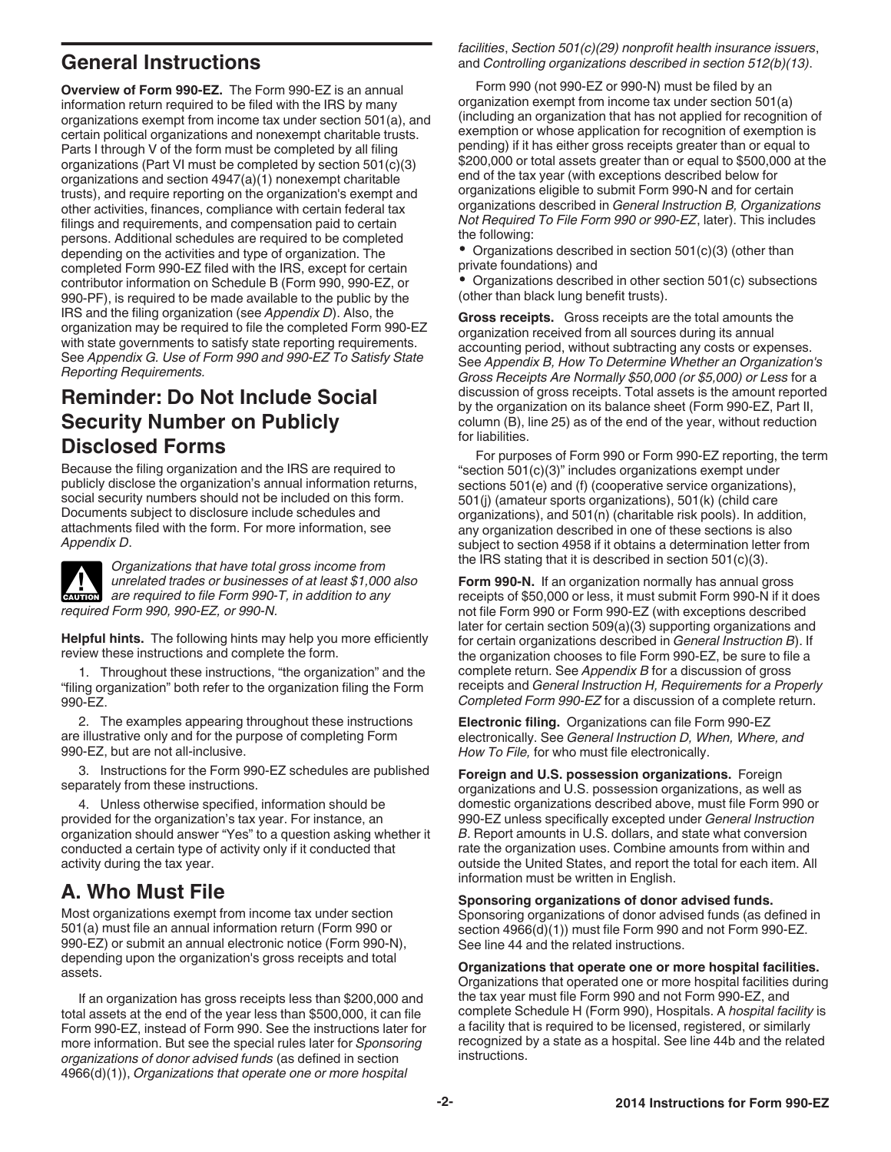## <span id="page-1-0"></span>**General Instructions**

**Overview of Form 990-EZ.** The Form 990-EZ is an annual information return required to be filed with the IRS by many organizations exempt from income tax under section 501(a), and certain political organizations and nonexempt charitable trusts. Parts I through V of the form must be completed by all filing organizations (Part VI must be completed by section 501(c)(3) organizations and section 4947(a)(1) nonexempt charitable trusts), and require reporting on the organization's exempt and other activities, finances, compliance with certain federal tax filings and requirements, and compensation paid to certain persons. Additional schedules are required to be completed depending on the activities and type of organization. The completed Form 990-EZ filed with the IRS, except for certain contributor information on Schedule B (Form 990, 990-EZ, or 990-PF), is required to be made available to the public by the IRS and the filing organization (see *Appendix D*). Also, the organization may be required to file the completed Form 990-EZ with state governments to satisfy state reporting requirements. See *Appendix G. Use of Form 990 and 990-EZ To Satisfy State Reporting Requirements.*

## **Reminder: Do Not Include Social Security Number on Publicly Disclosed Forms**

Because the filing organization and the IRS are required to publicly disclose the organization's annual information returns, social security numbers should not be included on this form. Documents subject to disclosure include schedules and attachments filed with the form. For more information, see *Appendix D*.



*Organizations that have total gross income from unrelated trades or businesses of at least \$1,000 also are required to file Form 990-T, in addition to any required Form 990, 990-EZ, or 990-N.*

**Helpful hints.** The following hints may help you more efficiently review these instructions and complete the form.

1. Throughout these instructions, "the organization" and the "filing organization" both refer to the organization filing the Form 990-EZ.

2. The examples appearing throughout these instructions are illustrative only and for the purpose of completing Form 990-EZ, but are not all-inclusive.

3. Instructions for the Form 990-EZ schedules are published separately from these instructions.

4. Unless otherwise specified, information should be provided for the organization's tax year. For instance, an organization should answer "Yes" to a question asking whether it conducted a certain type of activity only if it conducted that activity during the tax year.

## **A. Who Must File**

Most organizations exempt from income tax under section 501(a) must file an annual information return (Form 990 or 990-EZ) or submit an annual electronic notice (Form 990-N), depending upon the organization's gross receipts and total assets.

If an organization has gross receipts less than \$200,000 and total assets at the end of the year less than \$500,000, it can file Form 990-EZ, instead of Form 990. See the instructions later for more information. But see the special rules later for *Sponsoring organizations of donor advised funds* (as defined in section 4966(d)(1)), *Organizations that operate one or more hospital* 

*facilities*, *Section 501(c)(29) nonprofit health insurance issuers*, and *Controlling organizations described in section 512(b)(13)*.

Form 990 (not 990-EZ or 990-N) must be filed by an organization exempt from income tax under section 501(a) (including an organization that has not applied for recognition of exemption or whose application for recognition of exemption is pending) if it has either gross receipts greater than or equal to \$200,000 or total assets greater than or equal to \$500,000 at the end of the tax year (with exceptions described below for organizations eligible to submit Form 990-N and for certain organizations described in *General Instruction B, Organizations Not Required To File Form 990 or 990-EZ*, later). This includes the following:

Organizations described in section 501(c)(3) (other than private foundations) and

Organizations described in other section 501(c) subsections (other than black lung benefit trusts).

**Gross receipts.** Gross receipts are the total amounts the organization received from all sources during its annual accounting period, without subtracting any costs or expenses. See *Appendix B, How To Determine Whether an Organization's Gross Receipts Are Normally \$50,000 (or \$5,000) or Less* for a discussion of gross receipts. Total assets is the amount reported by the organization on its balance sheet (Form 990-EZ, Part II, column (B), line 25) as of the end of the year, without reduction for liabilities.

For purposes of Form 990 or Form 990-EZ reporting, the term "section 501(c)(3)" includes organizations exempt under sections 501(e) and (f) (cooperative service organizations), 501(j) (amateur sports organizations), 501(k) (child care organizations), and 501(n) (charitable risk pools). In addition, any organization described in one of these sections is also subject to section 4958 if it obtains a determination letter from the IRS stating that it is described in section 501(c)(3).

**Form 990-N.** If an organization normally has annual gross receipts of \$50,000 or less, it must submit Form 990-N if it does not file Form 990 or Form 990-EZ (with exceptions described later for certain section 509(a)(3) supporting organizations and for certain organizations described in *General Instruction B*). If the organization chooses to file Form 990-EZ, be sure to file a complete return. See *Appendix B* for a discussion of gross receipts and *General Instruction H, Requirements for a Properly Completed Form 990-EZ* for a discussion of a complete return.

**Electronic filing.** Organizations can file Form 990-EZ electronically. See *General Instruction D, When, Where, and How To File,* for who must file electronically.

**Foreign and U.S. possession organizations.** Foreign organizations and U.S. possession organizations, as well as domestic organizations described above, must file Form 990 or 990-EZ unless specifically excepted under *General Instruction B*. Report amounts in U.S. dollars, and state what conversion rate the organization uses. Combine amounts from within and outside the United States, and report the total for each item. All information must be written in English.

**Sponsoring organizations of donor advised funds.**

Sponsoring organizations of donor advised funds (as defined in section 4966(d)(1)) must file Form 990 and not Form 990-EZ. See line 44 and the related instructions.

**Organizations that operate one or more hospital facilities.**  Organizations that operated one or more hospital facilities during the tax year must file Form 990 and not Form 990-EZ, and complete Schedule H (Form 990), Hospitals. A *hospital facility* is a facility that is required to be licensed, registered, or similarly recognized by a state as a hospital. See line 44b and the related instructions.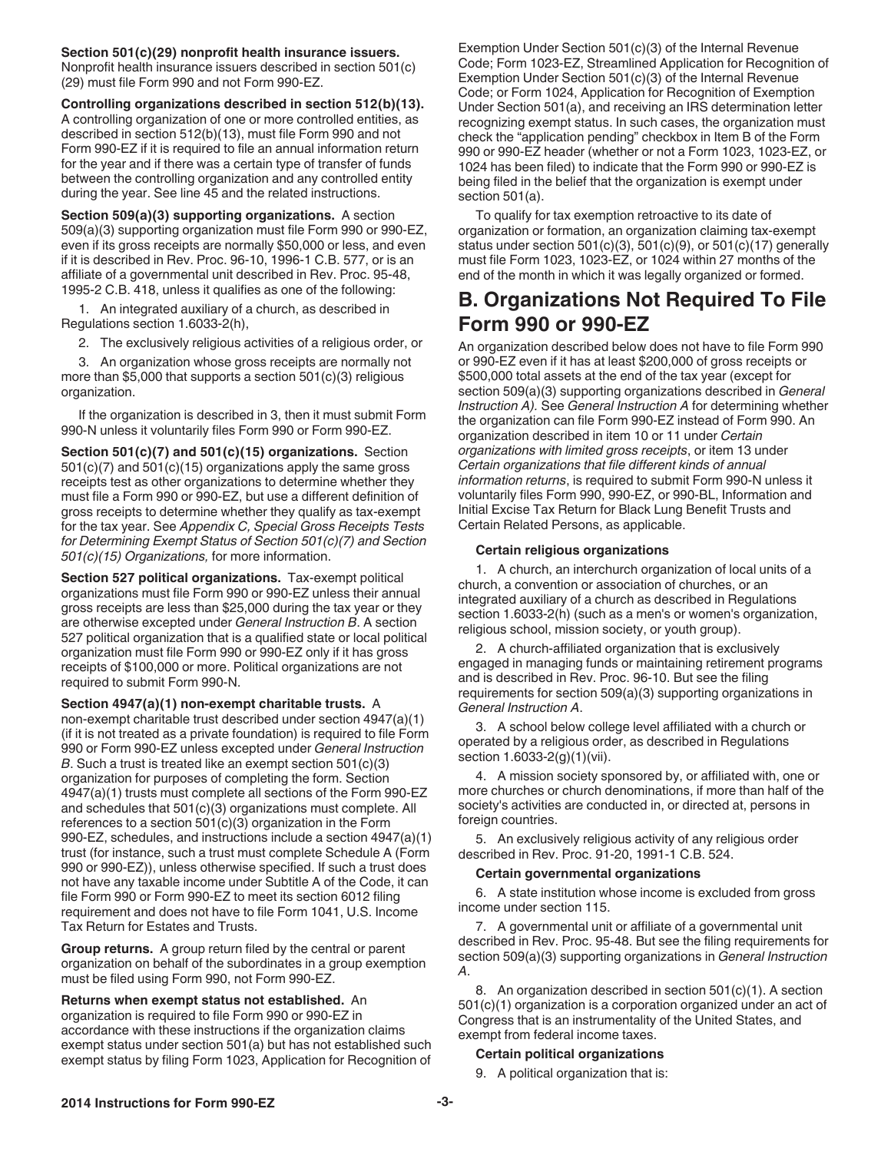<span id="page-2-0"></span>**Section 501(c)(29) nonprofit health insurance issuers.**  Nonprofit health insurance issuers described in section 501(c) (29) must file Form 990 and not Form 990-EZ.

**Controlling organizations described in section 512(b)(13).** A controlling organization of one or more controlled entities, as described in section 512(b)(13), must file Form 990 and not Form 990-EZ if it is required to file an annual information return for the year and if there was a certain type of transfer of funds between the controlling organization and any controlled entity during the year. See line 45 and the related instructions.

**Section 509(a)(3) supporting organizations.** A section 509(a)(3) supporting organization must file Form 990 or 990-EZ, even if its gross receipts are normally \$50,000 or less, and even if it is described in Rev. Proc. 96-10, 1996-1 C.B. 577, or is an affiliate of a governmental unit described in Rev. Proc. 95-48, 1995-2 C.B. 418, unless it qualifies as one of the following:

1. An integrated auxiliary of a church, as described in Regulations section 1.6033-2(h),

2. The exclusively religious activities of a religious order, or

3. An organization whose gross receipts are normally not more than \$5,000 that supports a section 501(c)(3) religious organization.

If the organization is described in 3, then it must submit Form 990-N unless it voluntarily files Form 990 or Form 990-EZ.

**Section 501(c)(7) and 501(c)(15) organizations.** Section 501(c)(7) and 501(c)(15) organizations apply the same gross receipts test as other organizations to determine whether they must file a Form 990 or 990-EZ, but use a different definition of gross receipts to determine whether they qualify as tax-exempt for the tax year. See *Appendix C, Special Gross Receipts Tests for Determining Exempt Status of Section 501(c)(7) and Section 501(c)(15) Organizations,* for more information.

**Section 527 political organizations.** Tax-exempt political organizations must file Form 990 or 990-EZ unless their annual gross receipts are less than \$25,000 during the tax year or they are otherwise excepted under *General Instruction B*. A section 527 political organization that is a qualified state or local political organization must file Form 990 or 990-EZ only if it has gross receipts of \$100,000 or more. Political organizations are not required to submit Form 990-N.

**Section 4947(a)(1) non-exempt charitable trusts.** A non-exempt charitable trust described under section 4947(a)(1) (if it is not treated as a private foundation) is required to file Form 990 or Form 990-EZ unless excepted under *General Instruction B*. Such a trust is treated like an exempt section 501(c)(3) organization for purposes of completing the form. Section 4947(a)(1) trusts must complete all sections of the Form 990-EZ and schedules that 501(c)(3) organizations must complete. All references to a section 501(c)(3) organization in the Form 990-EZ, schedules, and instructions include a section 4947(a)(1) trust (for instance, such a trust must complete Schedule A (Form 990 or 990-EZ)), unless otherwise specified. If such a trust does not have any taxable income under Subtitle A of the Code, it can file Form 990 or Form 990-EZ to meet its section 6012 filing requirement and does not have to file Form 1041, U.S. Income Tax Return for Estates and Trusts.

**Group returns.** A group return filed by the central or parent organization on behalf of the subordinates in a group exemption must be filed using Form 990, not Form 990-EZ.

**Returns when exempt status not established.** An organization is required to file Form 990 or 990-EZ in accordance with these instructions if the organization claims exempt status under section 501(a) but has not established such exempt status by filing Form 1023, Application for Recognition of Exemption Under Section 501(c)(3) of the Internal Revenue Code; Form 1023-EZ, Streamlined Application for Recognition of Exemption Under Section 501(c)(3) of the Internal Revenue Code; or Form 1024, Application for Recognition of Exemption Under Section 501(a), and receiving an IRS determination letter recognizing exempt status. In such cases, the organization must check the "application pending" checkbox in Item B of the Form 990 or 990-EZ header (whether or not a Form 1023, 1023-EZ, or 1024 has been filed) to indicate that the Form 990 or 990-EZ is being filed in the belief that the organization is exempt under section 501(a).

To qualify for tax exemption retroactive to its date of organization or formation, an organization claiming tax-exempt status under section  $501(c)(3)$ ,  $501(c)(9)$ , or  $501(c)(17)$  generally must file Form 1023, 1023-EZ, or 1024 within 27 months of the end of the month in which it was legally organized or formed.

## **B. Organizations Not Required To File Form 990 or 990-EZ**

An organization described below does not have to file Form 990 or 990-EZ even if it has at least \$200,000 of gross receipts or \$500,000 total assets at the end of the tax year (except for section 509(a)(3) supporting organizations described in *General Instruction A).* See *General Instruction A* for determining whether the organization can file Form 990-EZ instead of Form 990. An organization described in item 10 or 11 under *Certain organizations with limited gross receipts*, or item 13 under *Certain organizations that file different kinds of annual information returns*, is required to submit Form 990-N unless it voluntarily files Form 990, 990-EZ, or 990-BL, Information and Initial Excise Tax Return for Black Lung Benefit Trusts and Certain Related Persons, as applicable.

#### **Certain religious organizations**

1. A church, an interchurch organization of local units of a church, a convention or association of churches, or an integrated auxiliary of a church as described in Regulations section 1.6033-2(h) (such as a men's or women's organization, religious school, mission society, or youth group).

2. A church-affiliated organization that is exclusively engaged in managing funds or maintaining retirement programs and is described in Rev. Proc. 96-10. But see the filing requirements for section 509(a)(3) supporting organizations in *General Instruction A*.

3. A school below college level affiliated with a church or operated by a religious order, as described in Regulations section 1.6033-2(g)(1)(vii).

4. A mission society sponsored by, or affiliated with, one or more churches or church denominations, if more than half of the society's activities are conducted in, or directed at, persons in foreign countries.

5. An exclusively religious activity of any religious order described in Rev. Proc. 91-20, 1991-1 C.B. 524.

#### **Certain governmental organizations**

6. A state institution whose income is excluded from gross income under section 115.

7. A governmental unit or affiliate of a governmental unit described in Rev. Proc. 95-48. But see the filing requirements for section 509(a)(3) supporting organizations in *General Instruction A*.

8. An organization described in section 501(c)(1). A section 501(c)(1) organization is a corporation organized under an act of Congress that is an instrumentality of the United States, and exempt from federal income taxes.

#### **Certain political organizations**

9. A political organization that is: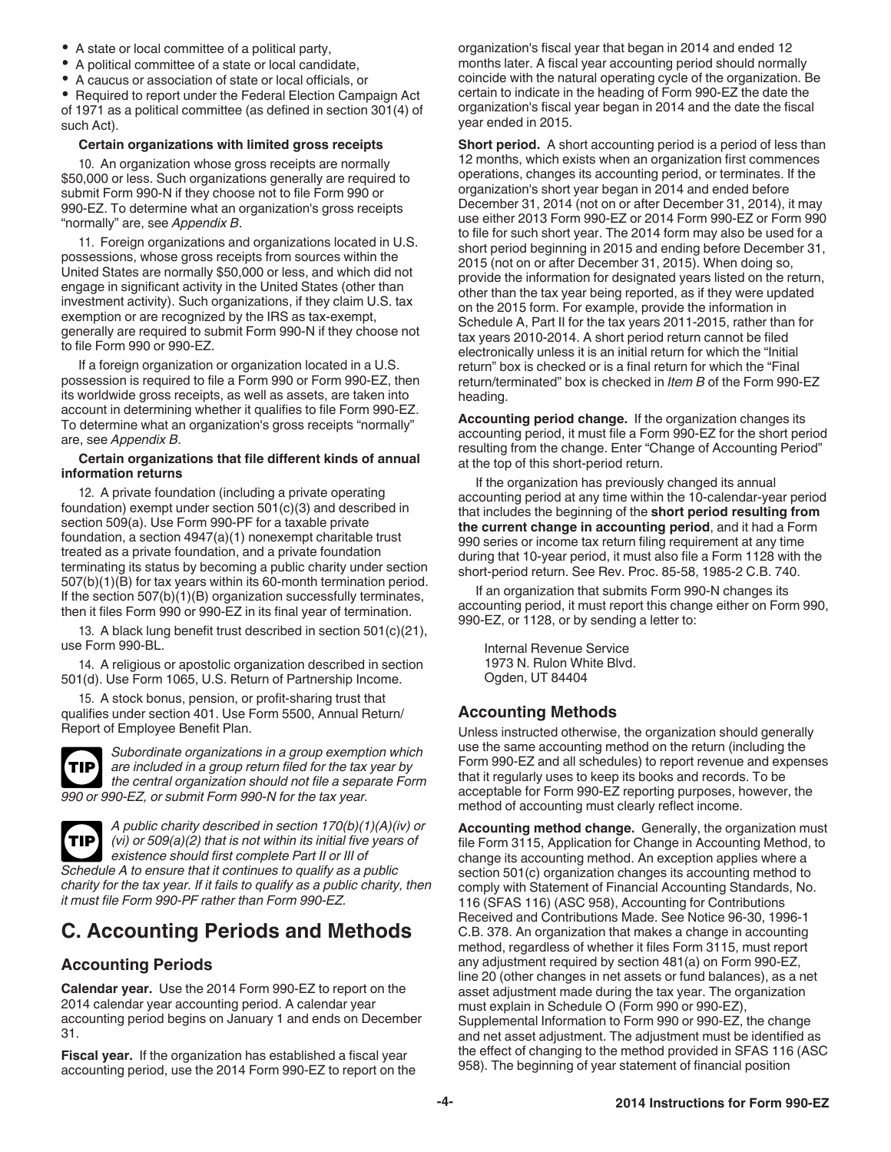- <span id="page-3-0"></span>A state or local committee of a political party,
- A political committee of a state or local candidate,
- A caucus or association of state or local officials, or

Required to report under the Federal Election Campaign Act of 1971 as a political committee (as defined in section 301(4) of such Act).

#### **Certain organizations with limited gross receipts**

10. An organization whose gross receipts are normally \$50,000 or less. Such organizations generally are required to submit Form 990-N if they choose not to file Form 990 or 990-EZ. To determine what an organization's gross receipts "normally" are, see *Appendix B*.

11. Foreign organizations and organizations located in U.S. possessions, whose gross receipts from sources within the United States are normally \$50,000 or less, and which did not engage in significant activity in the United States (other than investment activity). Such organizations, if they claim U.S. tax exemption or are recognized by the IRS as tax-exempt, generally are required to submit Form 990-N if they choose not to file Form 990 or 990-EZ.

If a foreign organization or organization located in a U.S. possession is required to file a Form 990 or Form 990-EZ, then its worldwide gross receipts, as well as assets, are taken into account in determining whether it qualifies to file Form 990-EZ. To determine what an organization's gross receipts "normally" are, see *Appendix B*.

#### **Certain organizations that file different kinds of annual information returns**

12. A private foundation (including a private operating foundation) exempt under section 501(c)(3) and described in section 509(a). Use Form 990-PF for a taxable private foundation, a section 4947(a)(1) nonexempt charitable trust treated as a private foundation, and a private foundation terminating its status by becoming a public charity under section 507(b)(1)(B) for tax years within its 60-month termination period. If the section 507(b)(1)(B) organization successfully terminates, then it files Form 990 or 990-EZ in its final year of termination.

13. A black lung benefit trust described in section 501(c)(21), use Form 990-BL.

14. A religious or apostolic organization described in section 501(d). Use Form 1065, U.S. Return of Partnership Income.

15. A stock bonus, pension, or profit-sharing trust that qualifies under section 401. Use Form 5500, Annual Return/ Report of Employee Benefit Plan.



*Subordinate organizations in a group exemption which are included in a group return filed for the tax year by the central organization should not file a separate Form 990 or 990-EZ, or submit Form 990-N for the tax year.*



*A public charity described in section 170(b)(1)(A)(iv) or (vi) or 509(a)(2) that is not within its initial five years of existence should first complete Part II or III of Schedule A to ensure that it continues to qualify as a public* 

*charity for the tax year. If it fails to qualify as a public charity, then it must file Form 990-PF rather than Form 990-EZ.*

## **C. Accounting Periods and Methods**

#### **Accounting Periods**

**Calendar year.** Use the 2014 Form 990-EZ to report on the 2014 calendar year accounting period. A calendar year accounting period begins on January 1 and ends on December 31.

**Fiscal year.** If the organization has established a fiscal year accounting period, use the 2014 Form 990-EZ to report on the organization's fiscal year that began in 2014 and ended 12 months later. A fiscal year accounting period should normally coincide with the natural operating cycle of the organization. Be certain to indicate in the heading of Form 990-EZ the date the organization's fiscal year began in 2014 and the date the fiscal year ended in 2015.

**Short period.** A short accounting period is a period of less than 12 months, which exists when an organization first commences operations, changes its accounting period, or terminates. If the organization's short year began in 2014 and ended before December 31, 2014 (not on or after December 31, 2014), it may use either 2013 Form 990-EZ or 2014 Form 990-EZ or Form 990 to file for such short year. The 2014 form may also be used for a short period beginning in 2015 and ending before December 31, 2015 (not on or after December 31, 2015). When doing so, provide the information for designated years listed on the return, other than the tax year being reported, as if they were updated on the 2015 form. For example, provide the information in Schedule A, Part II for the tax years 2011-2015, rather than for tax years 2010-2014. A short period return cannot be filed electronically unless it is an initial return for which the "Initial return" box is checked or is a final return for which the "Final return/terminated" box is checked in *Item B* of the Form 990-EZ heading.

**Accounting period change.** If the organization changes its accounting period, it must file a Form 990-EZ for the short period resulting from the change. Enter "Change of Accounting Period" at the top of this short-period return.

If the organization has previously changed its annual accounting period at any time within the 10-calendar-year period that includes the beginning of the **short period resulting from the current change in accounting period**, and it had a Form 990 series or income tax return filing requirement at any time during that 10-year period, it must also file a Form 1128 with the short-period return. See Rev. Proc. 85-58, 1985-2 C.B. 740.

If an organization that submits Form 990-N changes its accounting period, it must report this change either on Form 990, 990-EZ, or 1128, or by sending a letter to:

Internal Revenue Service 1973 N. Rulon White Blvd. Ogden, UT 84404

#### **Accounting Methods**

Unless instructed otherwise, the organization should generally use the same accounting method on the return (including the Form 990-EZ and all schedules) to report revenue and expenses that it regularly uses to keep its books and records. To be acceptable for Form 990-EZ reporting purposes, however, the method of accounting must clearly reflect income.

**Accounting method change.** Generally, the organization must file Form 3115, Application for Change in Accounting Method, to change its accounting method. An exception applies where a section 501(c) organization changes its accounting method to comply with Statement of Financial Accounting Standards, No. 116 (SFAS 116) (ASC 958), Accounting for Contributions Received and Contributions Made. See Notice 96-30, 1996-1 C.B. 378. An organization that makes a change in accounting method, regardless of whether it files Form 3115, must report any adjustment required by section 481(a) on Form 990-EZ, line 20 (other changes in net assets or fund balances), as a net asset adjustment made during the tax year. The organization must explain in Schedule O (Form 990 or 990-EZ), Supplemental Information to Form 990 or 990-EZ, the change and net asset adjustment. The adjustment must be identified as the effect of changing to the method provided in SFAS 116 (ASC 958). The beginning of year statement of financial position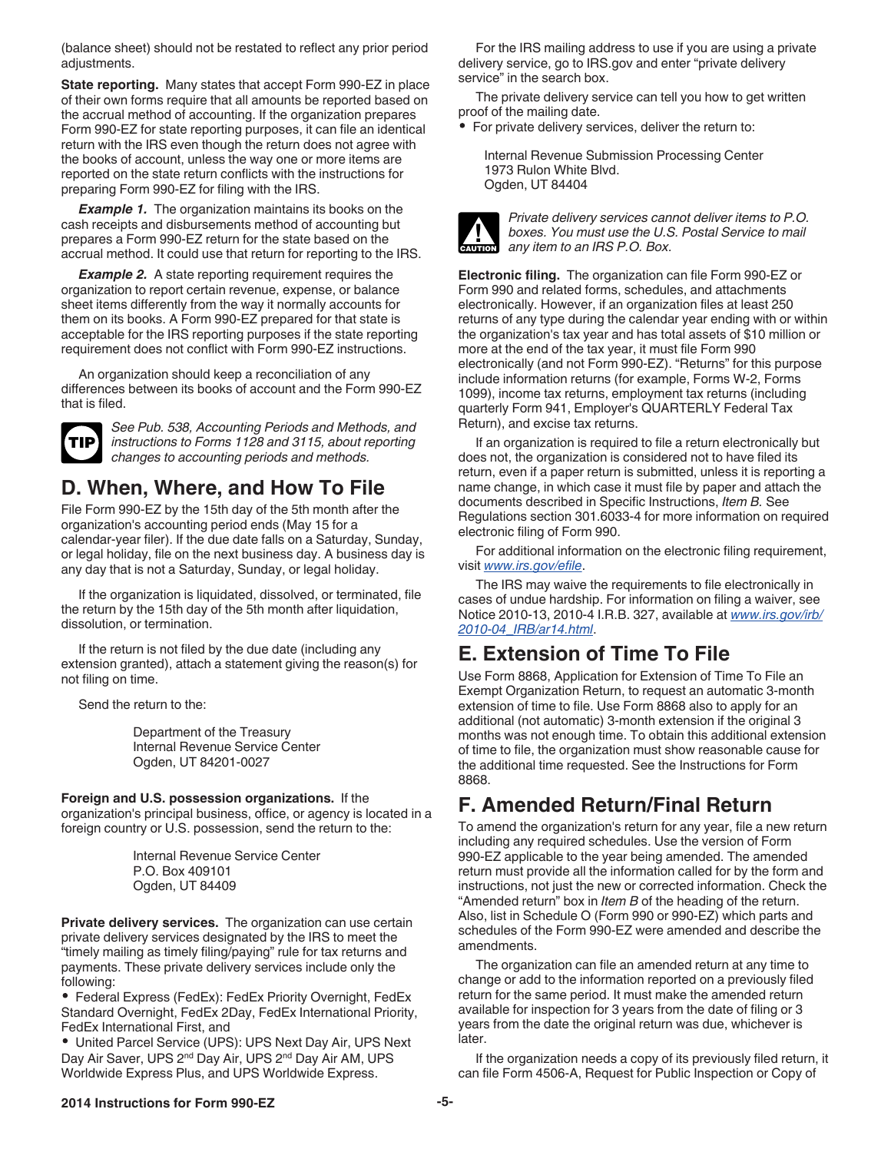<span id="page-4-0"></span>(balance sheet) should not be restated to reflect any prior period adjustments.

**State reporting.** Many states that accept Form 990-EZ in place of their own forms require that all amounts be reported based on the accrual method of accounting. If the organization prepares Form 990-EZ for state reporting purposes, it can file an identical return with the IRS even though the return does not agree with the books of account, unless the way one or more items are reported on the state return conflicts with the instructions for preparing Form 990-EZ for filing with the IRS.

**Example 1.** The organization maintains its books on the cash receipts and disbursements method of accounting but prepares a Form 990-EZ return for the state based on the accrual method. It could use that return for reporting to the IRS.

**Example 2.** A state reporting requirement requires the organization to report certain revenue, expense, or balance sheet items differently from the way it normally accounts for them on its books. A Form 990-EZ prepared for that state is acceptable for the IRS reporting purposes if the state reporting requirement does not conflict with Form 990-EZ instructions.

An organization should keep a reconciliation of any differences between its books of account and the Form 990-EZ that is filed.



*See Pub. 538, Accounting Periods and Methods, and instructions to Forms 1128 and 3115, about reporting changes to accounting periods and methods.*

## **D. When, Where, and How To File**

File Form 990-EZ by the 15th day of the 5th month after the organization's accounting period ends (May 15 for a calendar-year filer). If the due date falls on a Saturday, Sunday, or legal holiday, file on the next business day. A business day is any day that is not a Saturday, Sunday, or legal holiday.

If the organization is liquidated, dissolved, or terminated, file the return by the 15th day of the 5th month after liquidation, dissolution, or termination.

If the return is not filed by the due date (including any extension granted), attach a statement giving the reason(s) for not filing on time.

Send the return to the:

Department of the Treasury Internal Revenue Service Center Ogden, UT 84201-0027

#### **Foreign and U.S. possession organizations.** If the

organization's principal business, office, or agency is located in a foreign country or U.S. possession, send the return to the:

> Internal Revenue Service Center P.O. Box 409101 Ogden, UT 84409

**Private delivery services.** The organization can use certain private delivery services designated by the IRS to meet the "timely mailing as timely filing/paying" rule for tax returns and payments. These private delivery services include only the following:

Federal Express (FedEx): FedEx Priority Overnight, FedEx Standard Overnight, FedEx 2Day, FedEx International Priority, FedEx International First, and

United Parcel Service (UPS): UPS Next Day Air, UPS Next Day Air Saver, UPS 2<sup>nd</sup> Day Air, UPS 2<sup>nd</sup> Day Air AM, UPS Worldwide Express Plus, and UPS Worldwide Express.

For the IRS mailing address to use if you are using a private delivery service, go to IRS.gov and enter "private delivery service" in the search box.

The private delivery service can tell you how to get written proof of the mailing date.

For private delivery services, deliver the return to:

Internal Revenue Submission Processing Center 1973 Rulon White Blvd. Ogden, UT 84404



*Private delivery services cannot deliver items to P.O. boxes. You must use the U.S. Postal Service to mail any item to an IRS P.O. Box.*

**Electronic filing.** The organization can file Form 990-EZ or Form 990 and related forms, schedules, and attachments electronically. However, if an organization files at least 250 returns of any type during the calendar year ending with or within the organization's tax year and has total assets of \$10 million or more at the end of the tax year, it must file Form 990 electronically (and not Form 990-EZ). "Returns" for this purpose include information returns (for example, Forms W-2, Forms 1099), income tax returns, employment tax returns (including quarterly Form 941, Employer's QUARTERLY Federal Tax Return), and excise tax returns.

If an organization is required to file a return electronically but does not, the organization is considered not to have filed its return, even if a paper return is submitted, unless it is reporting a name change, in which case it must file by paper and attach the documents described in Specific Instructions, *Item B.* See Regulations section 301.6033-4 for more information on required electronic filing of Form 990.

For additional information on the electronic filing requirement, visit *[www.irs.gov/efile](http://www.irs.gov/efile)*.

The IRS may waive the requirements to file electronically in cases of undue hardship. For information on filing a waiver, see Notice 2010-13, 2010-4 I.R.B. 327, available at *[www.irs.gov/irb/](http://www.irs.gov/irb/2010-04_IRB/ar14.html) [2010-04\\_IRB/ar14.html](http://www.irs.gov/irb/2010-04_IRB/ar14.html)*.

## **E. Extension of Time To File**

Use Form 8868, Application for Extension of Time To File an Exempt Organization Return, to request an automatic 3-month extension of time to file. Use Form 8868 also to apply for an additional (not automatic) 3-month extension if the original 3 months was not enough time. To obtain this additional extension of time to file, the organization must show reasonable cause for the additional time requested. See the Instructions for Form 8868.

## **F. Amended Return/Final Return**

To amend the organization's return for any year, file a new return including any required schedules. Use the version of Form 990-EZ applicable to the year being amended. The amended return must provide all the information called for by the form and instructions, not just the new or corrected information. Check the "Amended return" box in *Item B* of the heading of the return. Also, list in Schedule O (Form 990 or 990-EZ) which parts and schedules of the Form 990-EZ were amended and describe the amendments.

The organization can file an amended return at any time to change or add to the information reported on a previously filed return for the same period. It must make the amended return available for inspection for 3 years from the date of filing or 3 years from the date the original return was due, whichever is later.

If the organization needs a copy of its previously filed return, it can file Form 4506-A, Request for Public Inspection or Copy of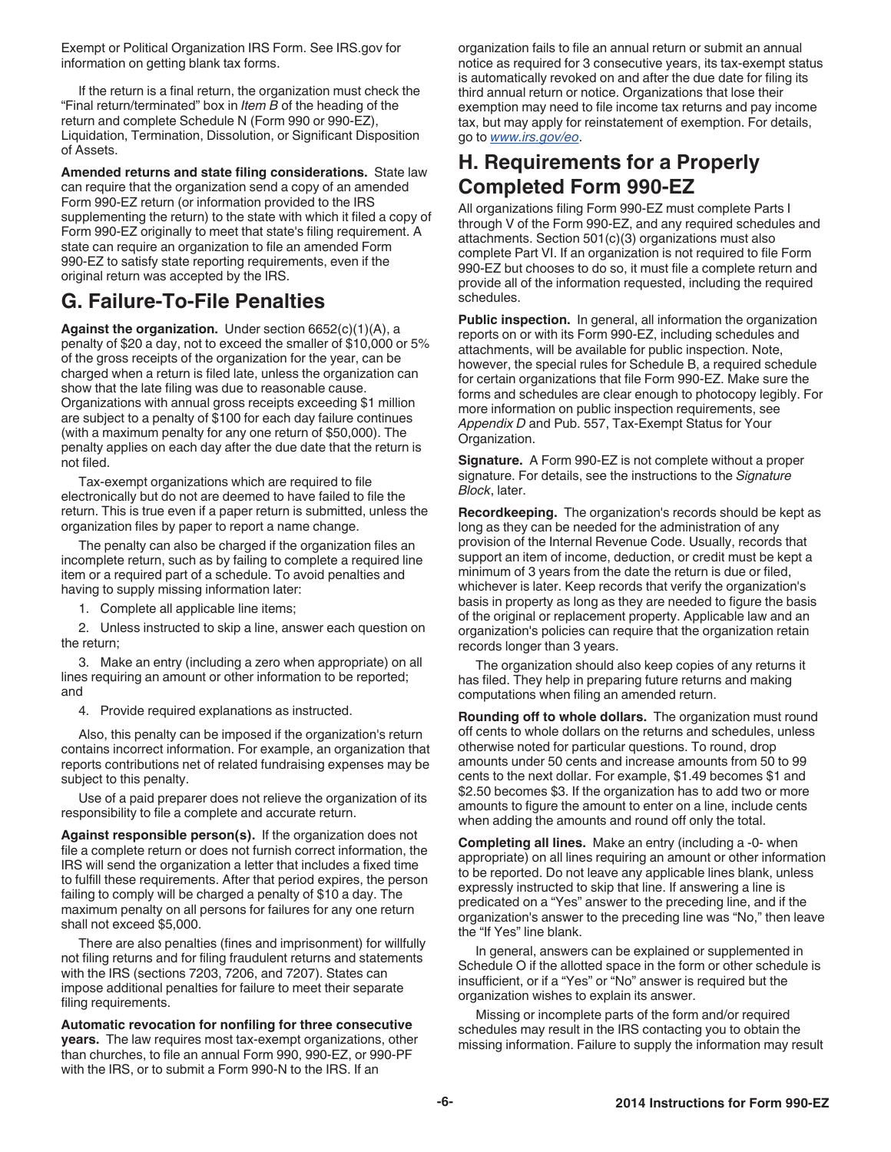<span id="page-5-0"></span>Exempt or Political Organization IRS Form. See IRS.gov for information on getting blank tax forms.

If the return is a final return, the organization must check the "Final return/terminated" box in *Item B* of the heading of the return and complete Schedule N (Form 990 or 990-EZ), Liquidation, Termination, Dissolution, or Significant Disposition of Assets.

**Amended returns and state filing considerations.** State law can require that the organization send a copy of an amended Form 990-EZ return (or information provided to the IRS supplementing the return) to the state with which it filed a copy of Form 990-EZ originally to meet that state's filing requirement. A state can require an organization to file an amended Form 990-EZ to satisfy state reporting requirements, even if the original return was accepted by the IRS.

## **G. Failure-To-File Penalties**

**Against the organization.** Under section 6652(c)(1)(A), a penalty of \$20 a day, not to exceed the smaller of \$10,000 or 5% of the gross receipts of the organization for the year, can be charged when a return is filed late, unless the organization can show that the late filing was due to reasonable cause. Organizations with annual gross receipts exceeding \$1 million are subject to a penalty of \$100 for each day failure continues (with a maximum penalty for any one return of \$50,000). The penalty applies on each day after the due date that the return is not filed.

Tax-exempt organizations which are required to file electronically but do not are deemed to have failed to file the return. This is true even if a paper return is submitted, unless the organization files by paper to report a name change.

The penalty can also be charged if the organization files an incomplete return, such as by failing to complete a required line item or a required part of a schedule. To avoid penalties and having to supply missing information later:

1. Complete all applicable line items;

2. Unless instructed to skip a line, answer each question on the return;

3. Make an entry (including a zero when appropriate) on all lines requiring an amount or other information to be reported; and

4. Provide required explanations as instructed.

Also, this penalty can be imposed if the organization's return contains incorrect information. For example, an organization that reports contributions net of related fundraising expenses may be subject to this penalty.

Use of a paid preparer does not relieve the organization of its responsibility to file a complete and accurate return.

**Against responsible person(s).** If the organization does not file a complete return or does not furnish correct information, the IRS will send the organization a letter that includes a fixed time to fulfill these requirements. After that period expires, the person failing to comply will be charged a penalty of \$10 a day. The maximum penalty on all persons for failures for any one return shall not exceed \$5,000.

There are also penalties (fines and imprisonment) for willfully not filing returns and for filing fraudulent returns and statements with the IRS (sections 7203, 7206, and 7207). States can impose additional penalties for failure to meet their separate filing requirements.

**Automatic revocation for nonfiling for three consecutive years.** The law requires most tax-exempt organizations, other than churches, to file an annual Form 990, 990-EZ, or 990-PF with the IRS, or to submit a Form 990-N to the IRS. If an

organization fails to file an annual return or submit an annual notice as required for 3 consecutive years, its tax-exempt status is automatically revoked on and after the due date for filing its third annual return or notice. Organizations that lose their exemption may need to file income tax returns and pay income tax, but may apply for reinstatement of exemption. For details, go to *[www.irs.gov/eo](http://www.irs.gov/eo)*.

## **H. Requirements for a Properly Completed Form 990-EZ**

All organizations filing Form 990-EZ must complete Parts I through V of the Form 990-EZ, and any required schedules and attachments. Section 501(c)(3) organizations must also complete Part VI. If an organization is not required to file Form 990-EZ but chooses to do so, it must file a complete return and provide all of the information requested, including the required schedules.

**Public inspection.** In general, all information the organization reports on or with its Form 990-EZ, including schedules and attachments, will be available for public inspection. Note, however, the special rules for Schedule B, a required schedule for certain organizations that file Form 990-EZ. Make sure the forms and schedules are clear enough to photocopy legibly. For more information on public inspection requirements, see *Appendix D* and Pub. 557, Tax-Exempt Status for Your Organization.

**Signature.** A Form 990-EZ is not complete without a proper signature. For details, see the instructions to the *Signature Block*, later.

**Recordkeeping.** The organization's records should be kept as long as they can be needed for the administration of any provision of the Internal Revenue Code. Usually, records that support an item of income, deduction, or credit must be kept a minimum of 3 years from the date the return is due or filed, whichever is later. Keep records that verify the organization's basis in property as long as they are needed to figure the basis of the original or replacement property. Applicable law and an organization's policies can require that the organization retain records longer than 3 years.

The organization should also keep copies of any returns it has filed. They help in preparing future returns and making computations when filing an amended return.

**Rounding off to whole dollars.** The organization must round off cents to whole dollars on the returns and schedules, unless otherwise noted for particular questions. To round, drop amounts under 50 cents and increase amounts from 50 to 99 cents to the next dollar. For example, \$1.49 becomes \$1 and \$2.50 becomes \$3. If the organization has to add two or more amounts to figure the amount to enter on a line, include cents when adding the amounts and round off only the total.

**Completing all lines.** Make an entry (including a -0- when appropriate) on all lines requiring an amount or other information to be reported. Do not leave any applicable lines blank, unless expressly instructed to skip that line. If answering a line is predicated on a "Yes" answer to the preceding line, and if the organization's answer to the preceding line was "No," then leave the "If Yes" line blank.

In general, answers can be explained or supplemented in Schedule O if the allotted space in the form or other schedule is insufficient, or if a "Yes" or "No" answer is required but the organization wishes to explain its answer.

Missing or incomplete parts of the form and/or required schedules may result in the IRS contacting you to obtain the missing information. Failure to supply the information may result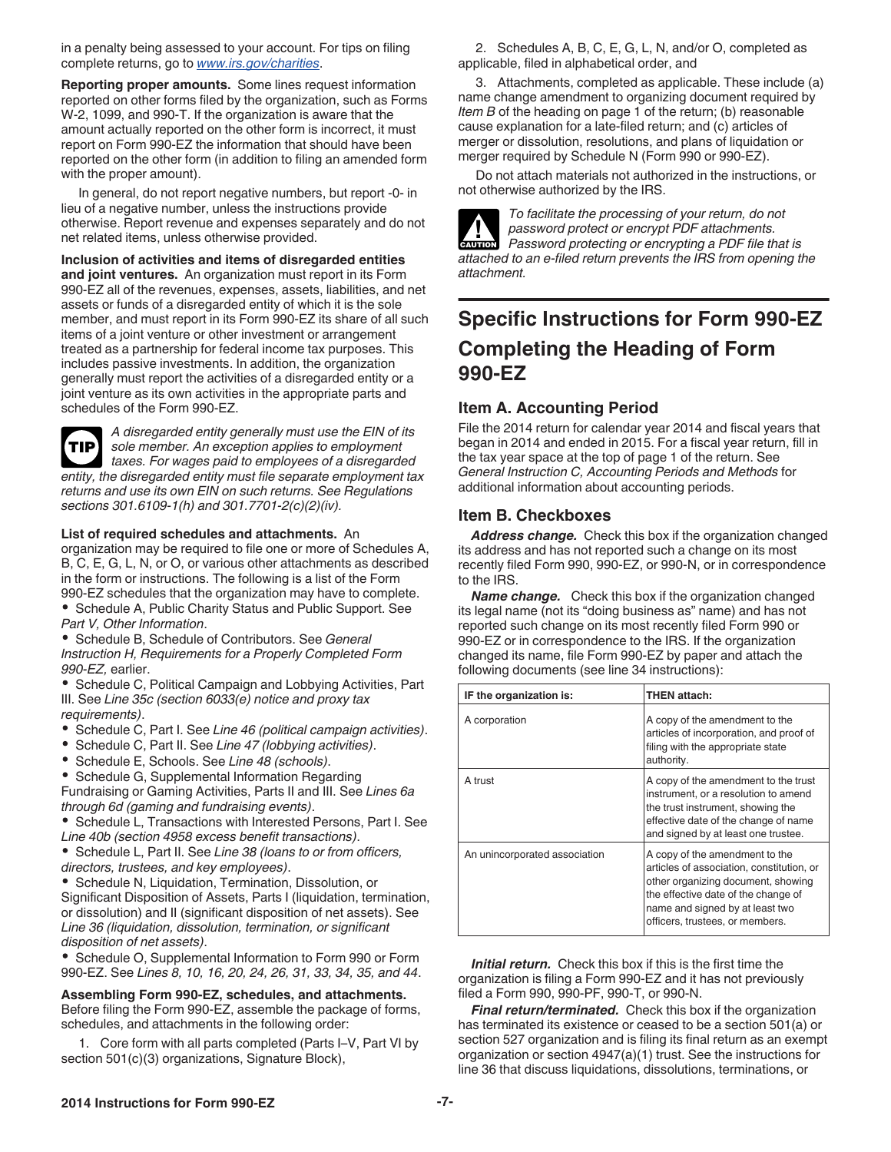<span id="page-6-0"></span>in a penalty being assessed to your account. For tips on filing complete returns, go to *[www.irs.gov/charities](http://www.irs.gov/charities)*.

**Reporting proper amounts.** Some lines request information reported on other forms filed by the organization, such as Forms W-2, 1099, and 990-T. If the organization is aware that the amount actually reported on the other form is incorrect, it must report on Form 990-EZ the information that should have been reported on the other form (in addition to filing an amended form with the proper amount).

In general, do not report negative numbers, but report -0- in lieu of a negative number, unless the instructions provide otherwise. Report revenue and expenses separately and do not net related items, unless otherwise provided.

**Inclusion of activities and items of disregarded entities and joint ventures.** An organization must report in its Form 990-EZ all of the revenues, expenses, assets, liabilities, and net assets or funds of a disregarded entity of which it is the sole member, and must report in its Form 990-EZ its share of all such items of a joint venture or other investment or arrangement treated as a partnership for federal income tax purposes. This includes passive investments. In addition, the organization generally must report the activities of a disregarded entity or a joint venture as its own activities in the appropriate parts and schedules of the Form 990-EZ.



*A disregarded entity generally must use the EIN of its sole member. An exception applies to employment taxes. For wages paid to employees of a disregarded entity, the disregarded entity must file separate employment tax returns and use its own EIN on such returns. See Regulations sections 301.6109-1(h) and 301.7701-2(c)(2)(iv).*

#### **List of required schedules and attachments.** An

organization may be required to file one or more of Schedules A, B, C, E, G, L, N, or O, or various other attachments as described in the form or instructions. The following is a list of the Form 990-EZ schedules that the organization may have to complete.

• Schedule A, Public Charity Status and Public Support. See *Part V, Other Information*.

Schedule B, Schedule of Contributors. See *General Instruction H, Requirements for a Properly Completed Form 990-EZ,* earlier.

• Schedule C, Political Campaign and Lobbying Activities, Part III. See *Line 35c (section 6033(e) notice and proxy tax requirements)*.

- Schedule C, Part I. See *Line 46 (political campaign activities)*.
- Schedule C, Part II. See *Line 47 (lobbying activities)*.

 $\bullet$ Schedule E, Schools. See *Line 48 (schools)*.

Schedule G, Supplemental Information Regarding  $\bullet$ Fundraising or Gaming Activities, Parts II and III. See *Lines 6a through 6d (gaming and fundraising events)*.

Schedule L, Transactions with Interested Persons, Part I. See *Line 40b (section 4958 excess benefit transactions)*.

Schedule L, Part II. See *Line 38 (loans to or from officers, directors, trustees, and key employees)*.

Schedule N, Liquidation, Termination, Dissolution, or Significant Disposition of Assets, Parts I (liquidation, termination, or dissolution) and II (significant disposition of net assets). See *Line 36 (liquidation, dissolution, termination, or significant disposition of net assets)*.

Schedule O, Supplemental Information to Form 990 or Form 990-EZ. See *Lines 8, 10, 16, 20, 24, 26, 31, 33, 34, 35, and 44*.

#### **Assembling Form 990-EZ, schedules, and attachments.**

Before filing the Form 990-EZ, assemble the package of forms, schedules, and attachments in the following order:

1. Core form with all parts completed (Parts I–V, Part VI by section 501(c)(3) organizations, Signature Block),

2. Schedules A, B, C, E, G, L, N, and/or O, completed as applicable, filed in alphabetical order, and

3. Attachments, completed as applicable. These include (a) name change amendment to organizing document required by *Item B* of the heading on page 1 of the return; (b) reasonable cause explanation for a late-filed return; and (c) articles of merger or dissolution, resolutions, and plans of liquidation or merger required by Schedule N (Form 990 or 990-EZ).

Do not attach materials not authorized in the instructions, or not otherwise authorized by the IRS.

*To facilitate the processing of your return, do not password protect or encrypt PDF attachments. Password protecting or encrypting a PDF file that is attached to an e-filed return prevents the IRS from opening the attachment.* **CAUTION !**

## **Specific Instructions for Form 990-EZ Completing the Heading of Form 990-EZ**

#### **Item A. Accounting Period**

File the 2014 return for calendar year 2014 and fiscal years that began in 2014 and ended in 2015. For a fiscal year return, fill in the tax year space at the top of page 1 of the return. See *General Instruction C, Accounting Periods and Methods* for additional information about accounting periods.

#### **Item B. Checkboxes**

*Address change.* Check this box if the organization changed its address and has not reported such a change on its most recently filed Form 990, 990-EZ, or 990-N, or in correspondence to the IRS.

*Name change.* Check this box if the organization changed its legal name (not its "doing business as" name) and has not reported such change on its most recently filed Form 990 or 990-EZ or in correspondence to the IRS. If the organization changed its name, file Form 990-EZ by paper and attach the following documents (see line 34 instructions):

| IF the organization is:       | <b>THEN attach:</b>                                                                                                                                                                                                            |
|-------------------------------|--------------------------------------------------------------------------------------------------------------------------------------------------------------------------------------------------------------------------------|
| A corporation                 | A copy of the amendment to the<br>articles of incorporation, and proof of<br>filing with the appropriate state<br>authority.                                                                                                   |
| A trust                       | A copy of the amendment to the trust<br>instrument, or a resolution to amend<br>the trust instrument, showing the<br>effective date of the change of name<br>and signed by at least one trustee.                               |
| An unincorporated association | A copy of the amendment to the<br>articles of association, constitution, or<br>other organizing document, showing<br>the effective date of the change of<br>name and signed by at least two<br>officers, trustees, or members. |

*Initial return.* Check this box if this is the first time the organization is filing a Form 990-EZ and it has not previously filed a Form 990, 990-PF, 990-T, or 990-N.

*Final return/terminated.* Check this box if the organization has terminated its existence or ceased to be a section 501(a) or section 527 organization and is filing its final return as an exempt organization or section 4947(a)(1) trust. See the instructions for line 36 that discuss liquidations, dissolutions, terminations, or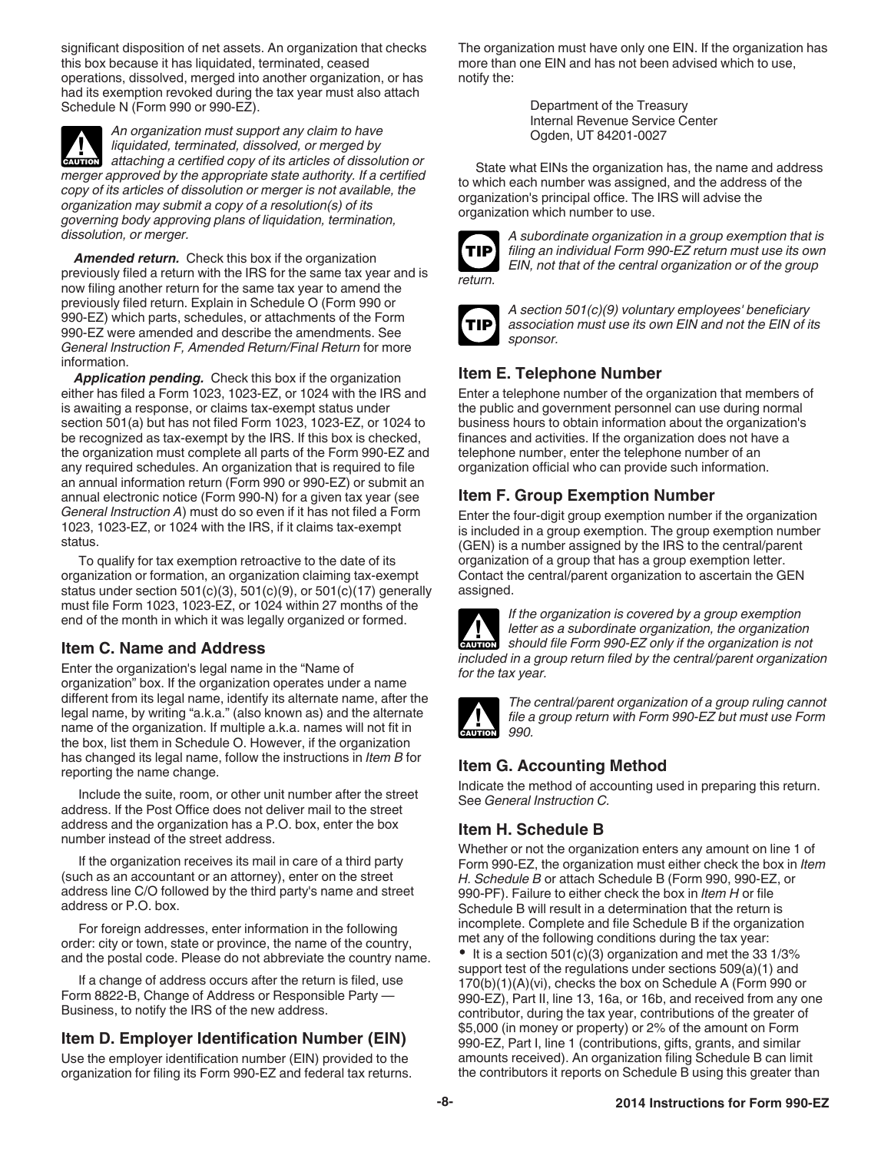<span id="page-7-0"></span>significant disposition of net assets. An organization that checks this box because it has liquidated, terminated, ceased operations, dissolved, merged into another organization, or has had its exemption revoked during the tax year must also attach Schedule N (Form 990 or 990-EZ).



*An organization must support any claim to have liquidated, terminated, dissolved, or merged by attaching a certified copy of its articles of dissolution or merger approved by the appropriate state authority. If a certified copy of its articles of dissolution or merger is not available, the organization may submit a copy of a resolution(s) of its governing body approving plans of liquidation, termination, dissolution, or merger.*

*Amended return.* Check this box if the organization previously filed a return with the IRS for the same tax year and is now filing another return for the same tax year to amend the previously filed return. Explain in Schedule O (Form 990 or 990-EZ) which parts, schedules, or attachments of the Form 990-EZ were amended and describe the amendments. See *General Instruction F, Amended Return/Final Return* for more information.

*Application pending.* Check this box if the organization either has filed a Form 1023, 1023-EZ, or 1024 with the IRS and is awaiting a response, or claims tax-exempt status under section 501(a) but has not filed Form 1023, 1023-EZ, or 1024 to be recognized as tax-exempt by the IRS. If this box is checked, the organization must complete all parts of the Form 990-EZ and any required schedules. An organization that is required to file an annual information return (Form 990 or 990-EZ) or submit an annual electronic notice (Form 990-N) for a given tax year (see *General Instruction A*) must do so even if it has not filed a Form 1023, 1023-EZ, or 1024 with the IRS, if it claims tax-exempt status.

To qualify for tax exemption retroactive to the date of its organization or formation, an organization claiming tax-exempt status under section 501(c)(3), 501(c)(9), or 501(c)(17) generally must file Form 1023, 1023-EZ, or 1024 within 27 months of the end of the month in which it was legally organized or formed.

#### **Item C. Name and Address**

Enter the organization's legal name in the "Name of organization" box. If the organization operates under a name different from its legal name, identify its alternate name, after the legal name, by writing "a.k.a." (also known as) and the alternate name of the organization. If multiple a.k.a. names will not fit in the box, list them in Schedule O. However, if the organization has changed its legal name, follow the instructions in *Item B* for reporting the name change.

Include the suite, room, or other unit number after the street address. If the Post Office does not deliver mail to the street address and the organization has a P.O. box, enter the box number instead of the street address.

If the organization receives its mail in care of a third party (such as an accountant or an attorney), enter on the street address line C/O followed by the third party's name and street address or P.O. box.

For foreign addresses, enter information in the following order: city or town, state or province, the name of the country, and the postal code. Please do not abbreviate the country name.

If a change of address occurs after the return is filed, use Form 8822-B, Change of Address or Responsible Party — Business, to notify the IRS of the new address.

## **Item D. Employer Identification Number (EIN)**

Use the employer identification number (EIN) provided to the organization for filing its Form 990-EZ and federal tax returns. The organization must have only one EIN. If the organization has more than one EIN and has not been advised which to use, notify the:

> Department of the Treasury Internal Revenue Service Center Ogden, UT 84201-0027

State what EINs the organization has, the name and address to which each number was assigned, and the address of the organization's principal office. The IRS will advise the organization which number to use.



*A subordinate organization in a group exemption that is filing an individual Form 990-EZ return must use its own EIN, not that of the central organization or of the group* 



*A section 501(c)(9) voluntary employees' beneficiary association must use its own EIN and not the EIN of its sponsor.*

## **Item E. Telephone Number**

Enter a telephone number of the organization that members of the public and government personnel can use during normal business hours to obtain information about the organization's finances and activities. If the organization does not have a telephone number, enter the telephone number of an organization official who can provide such information.

## **Item F. Group Exemption Number**

Enter the four-digit group exemption number if the organization is included in a group exemption. The group exemption number (GEN) is a number assigned by the IRS to the central/parent organization of a group that has a group exemption letter. Contact the central/parent organization to ascertain the GEN assigned.



*If the organization is covered by a group exemption letter as a subordinate organization, the organization*  **z** *should file Form 990-EZ only if the organization is not should file Form 990-EZ only if the organization is not included in a group return filed by the central/parent organization for the tax year.*



*The central/parent organization of a group ruling cannot file a group return with Form 990-EZ but must use Form 990.*

## **Item G. Accounting Method**

Indicate the method of accounting used in preparing this return. See *General Instruction C.*

#### **Item H. Schedule B**

Whether or not the organization enters any amount on line 1 of Form 990-EZ, the organization must either check the box in *Item H. Schedule B* or attach Schedule B (Form 990, 990-EZ, or 990-PF). Failure to either check the box in *Item H* or file Schedule B will result in a determination that the return is incomplete. Complete and file Schedule B if the organization met any of the following conditions during the tax year:

 $\bullet$  It is a section 501(c)(3) organization and met the 33 1/3% support test of the regulations under sections 509(a)(1) and 170(b)(1)(A)(vi), checks the box on Schedule A (Form 990 or 990-EZ), Part II, line 13, 16a, or 16b, and received from any one contributor, during the tax year, contributions of the greater of \$5,000 (in money or property) or 2% of the amount on Form 990-EZ, Part I, line 1 (contributions, gifts, grants, and similar amounts received). An organization filing Schedule B can limit the contributors it reports on Schedule B using this greater than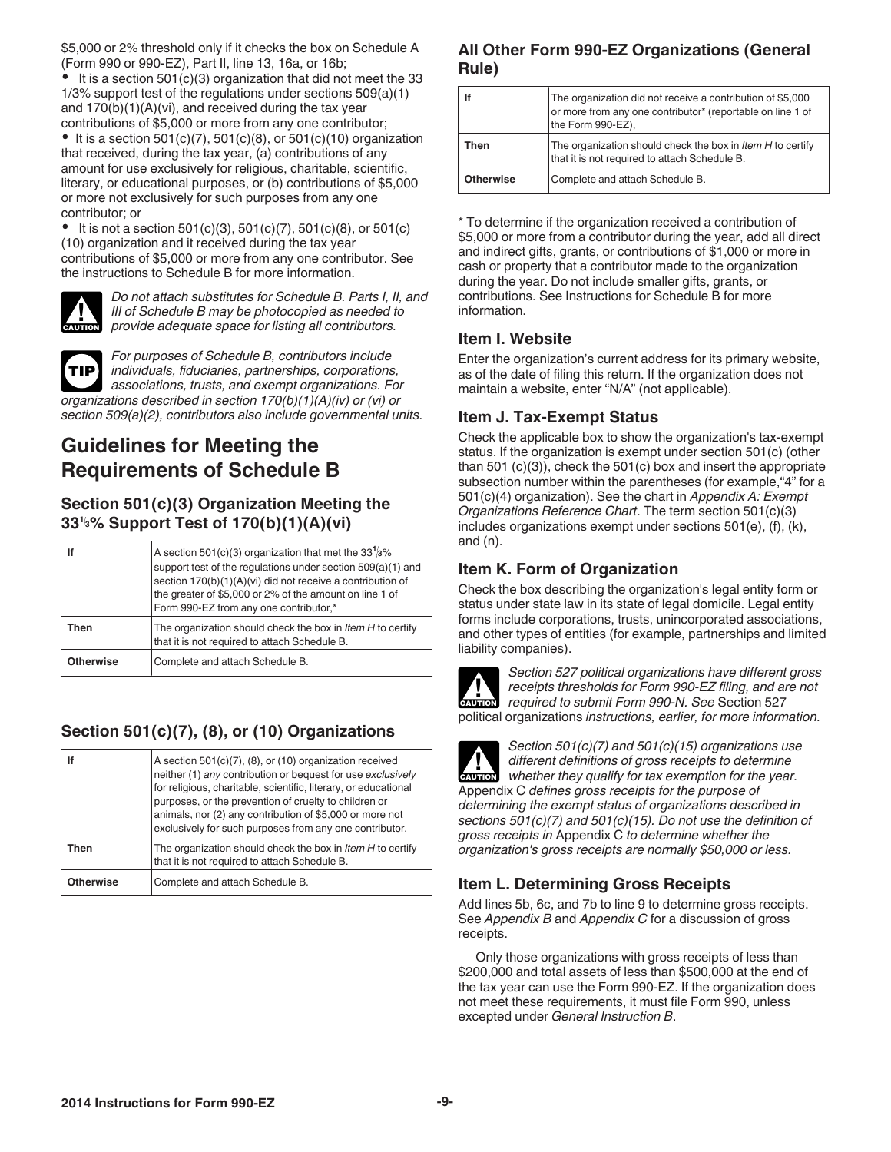<span id="page-8-0"></span>\$5,000 or 2% threshold only if it checks the box on Schedule A (Form 990 or 990-EZ), Part II, line 13, 16a, or 16b;

 It is a section 501(c)(3) organization that did not meet the 33 1/3% support test of the regulations under sections 509(a)(1) and 170(b)(1)(A)(vi), and received during the tax year contributions of \$5,000 or more from any one contributor;

 $\bullet$  It is a section 501(c)(7), 501(c)(8), or 501(c)(10) organization that received, during the tax year, (a) contributions of any amount for use exclusively for religious, charitable, scientific, literary, or educational purposes, or (b) contributions of \$5,000 or more not exclusively for such purposes from any one contributor; or

It is not a section 501(c)(3), 501(c)(7), 501(c)(8), or 501(c) (10) organization and it received during the tax year contributions of \$5,000 or more from any one contributor. See the instructions to Schedule B for more information.



*Do not attach substitutes for Schedule B. Parts I, II, and III of Schedule B may be photocopied as needed to provide adequate space for listing all contributors.*

*For purposes of Schedule B, contributors include individuals, fiduciaries, partnerships, corporations, associations, trusts, and exempt organizations. For organizations described in section 170(b)(1)(A)(iv) or (vi) or*  **TIP**

*section 509(a)(2), contributors also include governmental units.*

## **Guidelines for Meeting the Requirements of Schedule B**

## **Section 501(c)(3) Organization Meeting the <sup>3</sup>% Support Test of 170(b)(1)(A)(vi)**

| I support test of the regulations under section $509(a)(1)$ and $\Box$<br>Item K. Form of Organization<br>section 170(b)(1)(A)(vi) did not receive a contribution of<br>Check the box describing the organization's legal entity form or<br>the greater of \$5,000 or 2% of the amount on line 1 of<br>status under state law in its state of legal domicile. Legal entity<br>Form 990-EZ from any one contributor,*<br>forms include corporations, trusts, unincorporated associations,<br>The organization should check the box in <i>Item H</i> to certify<br>and other types of entities (for example, partnerships and limited<br>that it is not required to attach Schedule B.<br>'iability companies). |
|---------------------------------------------------------------------------------------------------------------------------------------------------------------------------------------------------------------------------------------------------------------------------------------------------------------------------------------------------------------------------------------------------------------------------------------------------------------------------------------------------------------------------------------------------------------------------------------------------------------------------------------------------------------------------------------------------------------|
|                                                                                                                                                                                                                                                                                                                                                                                                                                                                                                                                                                                                                                                                                                               |
| A section 501(c)(3) organization that met the 33 $\frac{1}{2}$ %                                                                                                                                                                                                                                                                                                                                                                                                                                                                                                                                                                                                                                              |

## **Section 501(c)(7), (8), or (10) Organizations**

| lf               | A section 501(c)(7), (8), or (10) organization received<br>neither (1) any contribution or bequest for use exclusively<br>for religious, charitable, scientific, literary, or educational<br>purposes, or the prevention of cruelty to children or<br>animals, nor (2) any contribution of \$5,000 or more not<br>exclusively for such purposes from any one contributor, |
|------------------|---------------------------------------------------------------------------------------------------------------------------------------------------------------------------------------------------------------------------------------------------------------------------------------------------------------------------------------------------------------------------|
| Then             | The organization should check the box in Item H to certify<br>that it is not required to attach Schedule B.                                                                                                                                                                                                                                                               |
| <b>Otherwise</b> | Complete and attach Schedule B.                                                                                                                                                                                                                                                                                                                                           |

### **All Other Form 990-EZ Organizations (General Rule)**

|                  | The organization did not receive a contribution of \$5,000<br>or more from any one contributor* (reportable on line 1 of<br>the Form 990-EZ), |
|------------------|-----------------------------------------------------------------------------------------------------------------------------------------------|
| Then             | The organization should check the box in <i>Item H</i> to certify<br>that it is not required to attach Schedule B.                            |
| <b>Otherwise</b> | Complete and attach Schedule B.                                                                                                               |

\* To determine if the organization received a contribution of \$5,000 or more from a contributor during the year, add all direct and indirect gifts, grants, or contributions of \$1,000 or more in cash or property that a contributor made to the organization during the year. Do not include smaller gifts, grants, or contributions. See Instructions for Schedule B for more information.

#### **Item I. Website**

Enter the organization's current address for its primary website, as of the date of filing this return. If the organization does not maintain a website, enter "N/A" (not applicable).

#### **Item J. Tax-Exempt Status**

 $33\frac{1}{2}$ % Support Test of  $170(b)(1)(A)(vi)$  includes organizations exempt under sections 501(e), (f), (k), Check the applicable box to show the organization's tax-exempt status. If the organization is exempt under section 501(c) (other than 501 (c)(3)), check the 501(c) box and insert the appropriate subsection number within the parentheses (for example,"4" for a 501(c)(4) organization). See the chart in *Appendix A: Exempt Organizations Reference Chart*. The term section 501(c)(3) and (n).

## **Item K. Form of Organization**



*Section 527 political organizations have different gross receipts thresholds for Form 990-EZ filing, and are not*  **PERITMENT ASSEMBLY A THE PROPERTY OF SUBMIT FORM 990-RZ filing, and an** *required to submit Form 990-N.* **See Section 527** political organizations *instructions, earlier, for more information.*



*Section 501(c)(7) and 501(c)(15) organizations use different definitions of gross receipts to determine whether they qualify for tax exemption for the year.*  Appendix C *defines gross receipts for the purpose of* 

*determining the exempt status of organizations described in sections 501(c)(7) and 501(c)(15). Do not use the definition of gross receipts in* Appendix C *to determine whether the organization's gross receipts are normally \$50,000 or less.*

## **Item L. Determining Gross Receipts**

Add lines 5b, 6c, and 7b to line 9 to determine gross receipts. See *Appendix B* and *Appendix C* for a discussion of gross receipts.

Only those organizations with gross receipts of less than \$200,000 and total assets of less than \$500,000 at the end of the tax year can use the Form 990-EZ. If the organization does not meet these requirements, it must file Form 990, unless excepted under *General Instruction B*.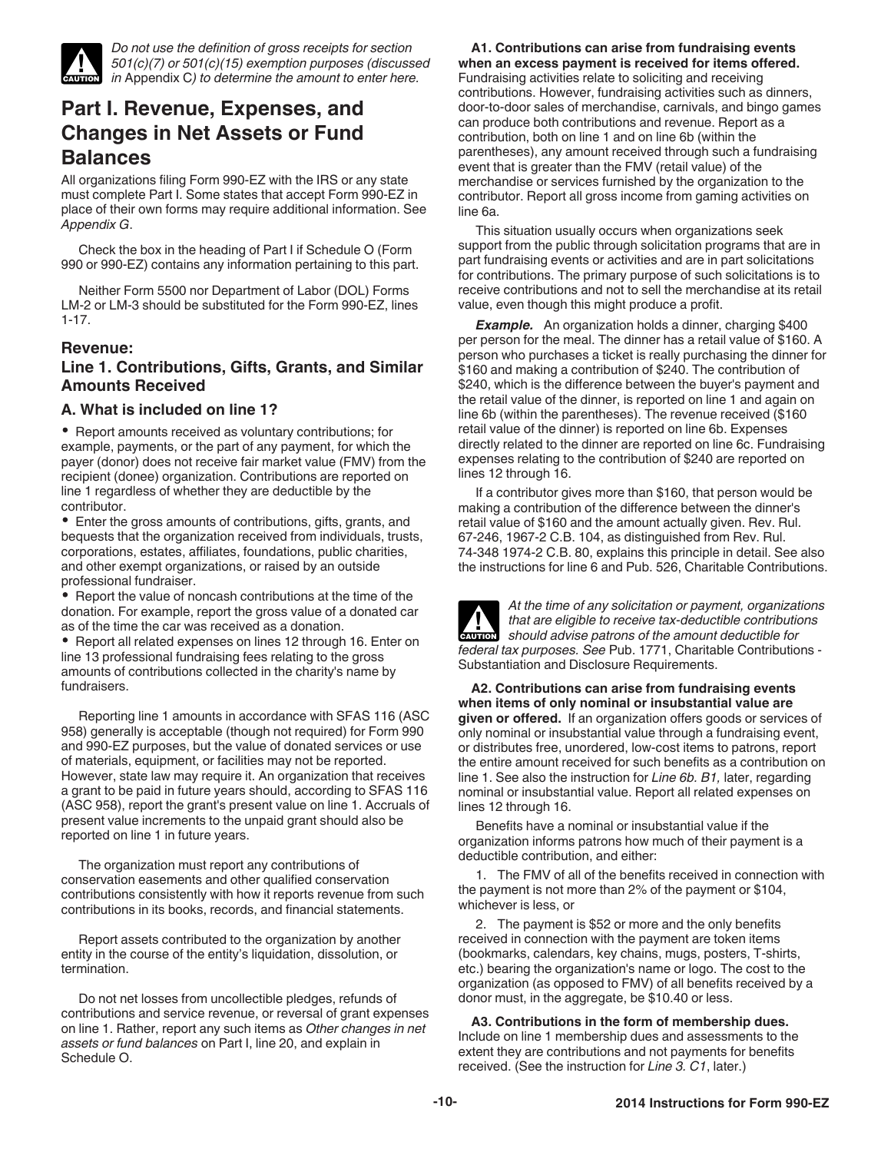<span id="page-9-0"></span>

*Do not use the definition of gross receipts for section 501(c)(7) or 501(c)(15) exemption purposes (discussed in* Appendix C*) to determine the amount to enter here.*

## **Part I. Revenue, Expenses, and Changes in Net Assets or Fund Balances**

All organizations filing Form 990-EZ with the IRS or any state must complete Part I. Some states that accept Form 990-EZ in place of their own forms may require additional information. See *Appendix G*.

Check the box in the heading of Part I if Schedule O (Form 990 or 990-EZ) contains any information pertaining to this part.

Neither Form 5500 nor Department of Labor (DOL) Forms LM-2 or LM-3 should be substituted for the Form 990-EZ, lines 1-17.

#### **Revenue:**

#### **Line 1. Contributions, Gifts, Grants, and Similar Amounts Received**

#### **A. What is included on line 1?**

Report amounts received as voluntary contributions; for example, payments, or the part of any payment, for which the payer (donor) does not receive fair market value (FMV) from the recipient (donee) organization. Contributions are reported on line 1 regardless of whether they are deductible by the contributor.

Enter the gross amounts of contributions, gifts, grants, and bequests that the organization received from individuals, trusts, corporations, estates, affiliates, foundations, public charities, and other exempt organizations, or raised by an outside professional fundraiser.

Report the value of noncash contributions at the time of the donation. For example, report the gross value of a donated car as of the time the car was received as a donation.

• Report all related expenses on lines 12 through 16. Enter on line 13 professional fundraising fees relating to the gross amounts of contributions collected in the charity's name by fundraisers.

Reporting line 1 amounts in accordance with SFAS 116 (ASC 958) generally is acceptable (though not required) for Form 990 and 990-EZ purposes, but the value of donated services or use of materials, equipment, or facilities may not be reported. However, state law may require it. An organization that receives a grant to be paid in future years should, according to SFAS 116 (ASC 958), report the grant's present value on line 1. Accruals of present value increments to the unpaid grant should also be reported on line 1 in future years.

The organization must report any contributions of conservation easements and other qualified conservation contributions consistently with how it reports revenue from such contributions in its books, records, and financial statements.

Report assets contributed to the organization by another entity in the course of the entity's liquidation, dissolution, or termination.

Do not net losses from uncollectible pledges, refunds of contributions and service revenue, or reversal of grant expenses on line 1. Rather, report any such items as *Other changes in net assets or fund balances* on Part I, line 20, and explain in Schedule O.

**A1. Contributions can arise from fundraising events when an excess payment is received for items offered.** Fundraising activities relate to soliciting and receiving contributions. However, fundraising activities such as dinners, door-to-door sales of merchandise, carnivals, and bingo games can produce both contributions and revenue. Report as a contribution, both on line 1 and on line 6b (within the parentheses), any amount received through such a fundraising event that is greater than the FMV (retail value) of the merchandise or services furnished by the organization to the contributor. Report all gross income from gaming activities on line 6a.

This situation usually occurs when organizations seek support from the public through solicitation programs that are in part fundraising events or activities and are in part solicitations for contributions. The primary purpose of such solicitations is to receive contributions and not to sell the merchandise at its retail value, even though this might produce a profit.

**Example.** An organization holds a dinner, charging \$400 per person for the meal. The dinner has a retail value of \$160. A person who purchases a ticket is really purchasing the dinner for \$160 and making a contribution of \$240. The contribution of \$240, which is the difference between the buyer's payment and the retail value of the dinner, is reported on line 1 and again on line 6b (within the parentheses). The revenue received (\$160 retail value of the dinner) is reported on line 6b. Expenses directly related to the dinner are reported on line 6c. Fundraising expenses relating to the contribution of \$240 are reported on lines 12 through 16.

If a contributor gives more than \$160, that person would be making a contribution of the difference between the dinner's retail value of \$160 and the amount actually given. Rev. Rul. 67-246, 1967-2 C.B. 104, as distinguished from Rev. Rul. 74-348 1974-2 C.B. 80, explains this principle in detail. See also the instructions for line 6 and Pub. 526, Charitable Contributions.



*At the time of any solicitation or payment, organizations that are eligible to receive tax-deductible contributions should advise patrons of the amount deductible for federal tax purposes. See* Pub. 1771, Charitable Contributions - Substantiation and Disclosure Requirements.

**A2. Contributions can arise from fundraising events when items of only nominal or insubstantial value are given or offered.** If an organization offers goods or services of only nominal or insubstantial value through a fundraising event, or distributes free, unordered, low-cost items to patrons, report the entire amount received for such benefits as a contribution on line 1. See also the instruction for *Line 6b. B1,* later, regarding nominal or insubstantial value. Report all related expenses on lines 12 through 16.

Benefits have a nominal or insubstantial value if the organization informs patrons how much of their payment is a deductible contribution, and either:

1. The FMV of all of the benefits received in connection with the payment is not more than 2% of the payment or \$104, whichever is less, or

2. The payment is \$52 or more and the only benefits received in connection with the payment are token items (bookmarks, calendars, key chains, mugs, posters, T-shirts, etc.) bearing the organization's name or logo. The cost to the organization (as opposed to FMV) of all benefits received by a donor must, in the aggregate, be \$10.40 or less.

**A3. Contributions in the form of membership dues.** Include on line 1 membership dues and assessments to the extent they are contributions and not payments for benefits received. (See the instruction for *Line 3. C1*, later.)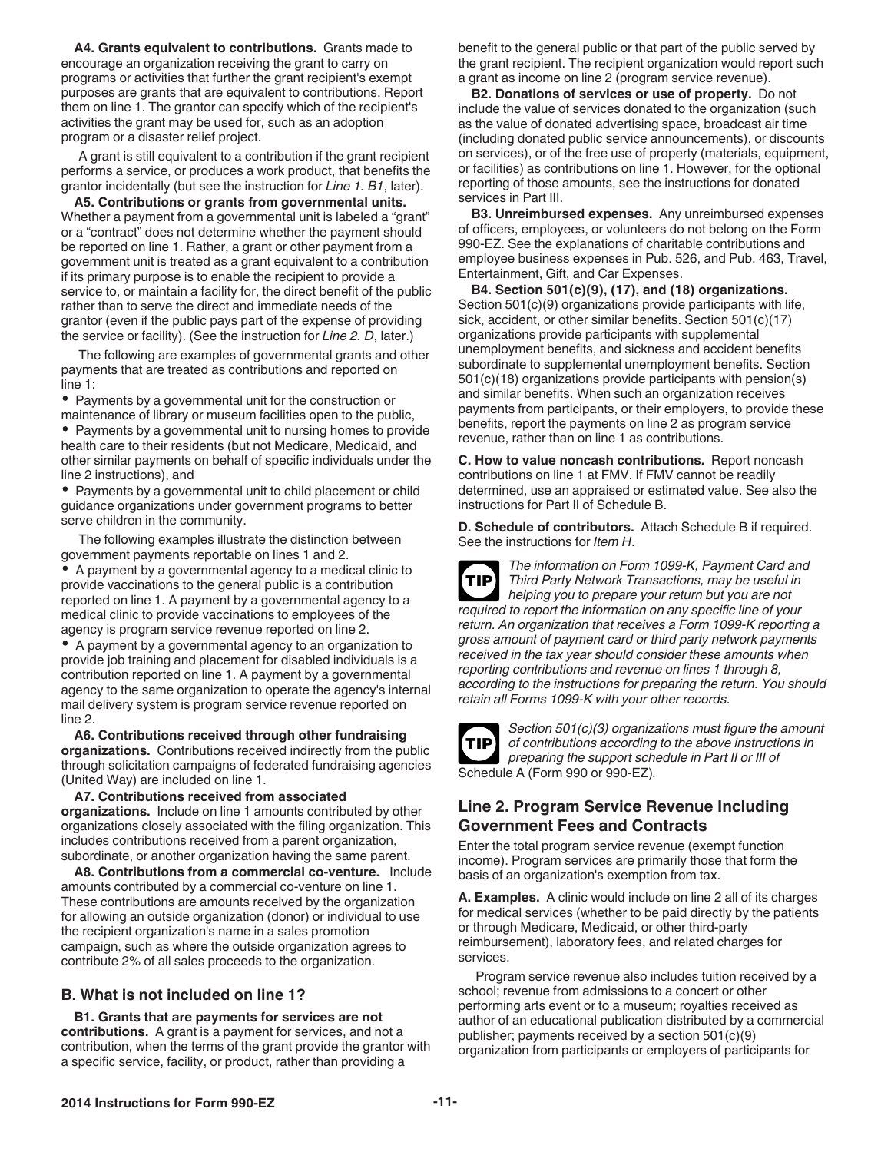<span id="page-10-0"></span>**A4. Grants equivalent to contributions.** Grants made to encourage an organization receiving the grant to carry on programs or activities that further the grant recipient's exempt purposes are grants that are equivalent to contributions. Report them on line 1. The grantor can specify which of the recipient's activities the grant may be used for, such as an adoption program or a disaster relief project.

A grant is still equivalent to a contribution if the grant recipient performs a service, or produces a work product, that benefits the grantor incidentally (but see the instruction for *Line 1. B1*, later).

**A5. Contributions or grants from governmental units.**  Whether a payment from a governmental unit is labeled a "grant" or a "contract" does not determine whether the payment should be reported on line 1. Rather, a grant or other payment from a government unit is treated as a grant equivalent to a contribution if its primary purpose is to enable the recipient to provide a service to, or maintain a facility for, the direct benefit of the public rather than to serve the direct and immediate needs of the grantor (even if the public pays part of the expense of providing the service or facility). (See the instruction for *Line 2. D*, later.)

The following are examples of governmental grants and other payments that are treated as contributions and reported on line 1:

• Payments by a governmental unit for the construction or maintenance of library or museum facilities open to the public,

• Payments by a governmental unit to nursing homes to provide health care to their residents (but not Medicare, Medicaid, and other similar payments on behalf of specific individuals under the line 2 instructions), and

• Payments by a governmental unit to child placement or child guidance organizations under government programs to better serve children in the community.

The following examples illustrate the distinction between government payments reportable on lines 1 and 2.

A payment by a governmental agency to a medical clinic to provide vaccinations to the general public is a contribution reported on line 1. A payment by a governmental agency to a medical clinic to provide vaccinations to employees of the agency is program service revenue reported on line 2.

A payment by a governmental agency to an organization to provide job training and placement for disabled individuals is a contribution reported on line 1. A payment by a governmental agency to the same organization to operate the agency's internal mail delivery system is program service revenue reported on line 2.

**A6. Contributions received through other fundraising organizations.** Contributions received indirectly from the public through solicitation campaigns of federated fundraising agencies (United Way) are included on line 1.

**A7. Contributions received from associated organizations.** Include on line 1 amounts contributed by other organizations closely associated with the filing organization. This includes contributions received from a parent organization, subordinate, or another organization having the same parent.

**A8. Contributions from a commercial co-venture.** Include amounts contributed by a commercial co-venture on line 1. These contributions are amounts received by the organization for allowing an outside organization (donor) or individual to use the recipient organization's name in a sales promotion campaign, such as where the outside organization agrees to contribute 2% of all sales proceeds to the organization.

#### **B. What is not included on line 1?**

**B1. Grants that are payments for services are not contributions.** A grant is a payment for services, and not a contribution, when the terms of the grant provide the grantor with a specific service, facility, or product, rather than providing a

benefit to the general public or that part of the public served by the grant recipient. The recipient organization would report such a grant as income on line 2 (program service revenue).

**B2. Donations of services or use of property.** Do not include the value of services donated to the organization (such as the value of donated advertising space, broadcast air time (including donated public service announcements), or discounts on services), or of the free use of property (materials, equipment, or facilities) as contributions on line 1. However, for the optional reporting of those amounts, see the instructions for donated services in Part III.

**B3. Unreimbursed expenses.** Any unreimbursed expenses of officers, employees, or volunteers do not belong on the Form 990-EZ. See the explanations of charitable contributions and employee business expenses in Pub. 526, and Pub. 463, Travel, Entertainment, Gift, and Car Expenses.

**B4. Section 501(c)(9), (17), and (18) organizations.**  Section 501(c)(9) organizations provide participants with life, sick, accident, or other similar benefits. Section 501(c)(17) organizations provide participants with supplemental unemployment benefits, and sickness and accident benefits subordinate to supplemental unemployment benefits. Section 501(c)(18) organizations provide participants with pension(s) and similar benefits. When such an organization receives payments from participants, or their employers, to provide these benefits, report the payments on line 2 as program service revenue, rather than on line 1 as contributions.

**C. How to value noncash contributions.** Report noncash contributions on line 1 at FMV. If FMV cannot be readily determined, use an appraised or estimated value. See also the instructions for Part II of Schedule B.

**D. Schedule of contributors.** Attach Schedule B if required. See the instructions for *Item H*.

*The information on Form 1099-K, Payment Card and Third Party Network Transactions, may be useful in helping you to prepare your return but you are not required to report the information on any specific line of your return. An organization that receives a Form 1099-K reporting a gross amount of payment card or third party network payments received in the tax year should consider these amounts when reporting contributions and revenue on lines 1 through 8, according to the instructions for preparing the return. You should retain all Forms 1099-K with your other records.* **TIP**



*Section 501(c)(3) organizations must figure the amount of contributions according to the above instructions in preparing the support schedule in Part II or III of*  Schedule A (Form 990 or 990-EZ)*.*

#### **Line 2. Program Service Revenue Including Government Fees and Contracts**

Enter the total program service revenue (exempt function income). Program services are primarily those that form the basis of an organization's exemption from tax.

**A. Examples.** A clinic would include on line 2 all of its charges for medical services (whether to be paid directly by the patients or through Medicare, Medicaid, or other third-party reimbursement), laboratory fees, and related charges for services.

Program service revenue also includes tuition received by a school; revenue from admissions to a concert or other performing arts event or to a museum; royalties received as author of an educational publication distributed by a commercial publisher; payments received by a section 501(c)(9) organization from participants or employers of participants for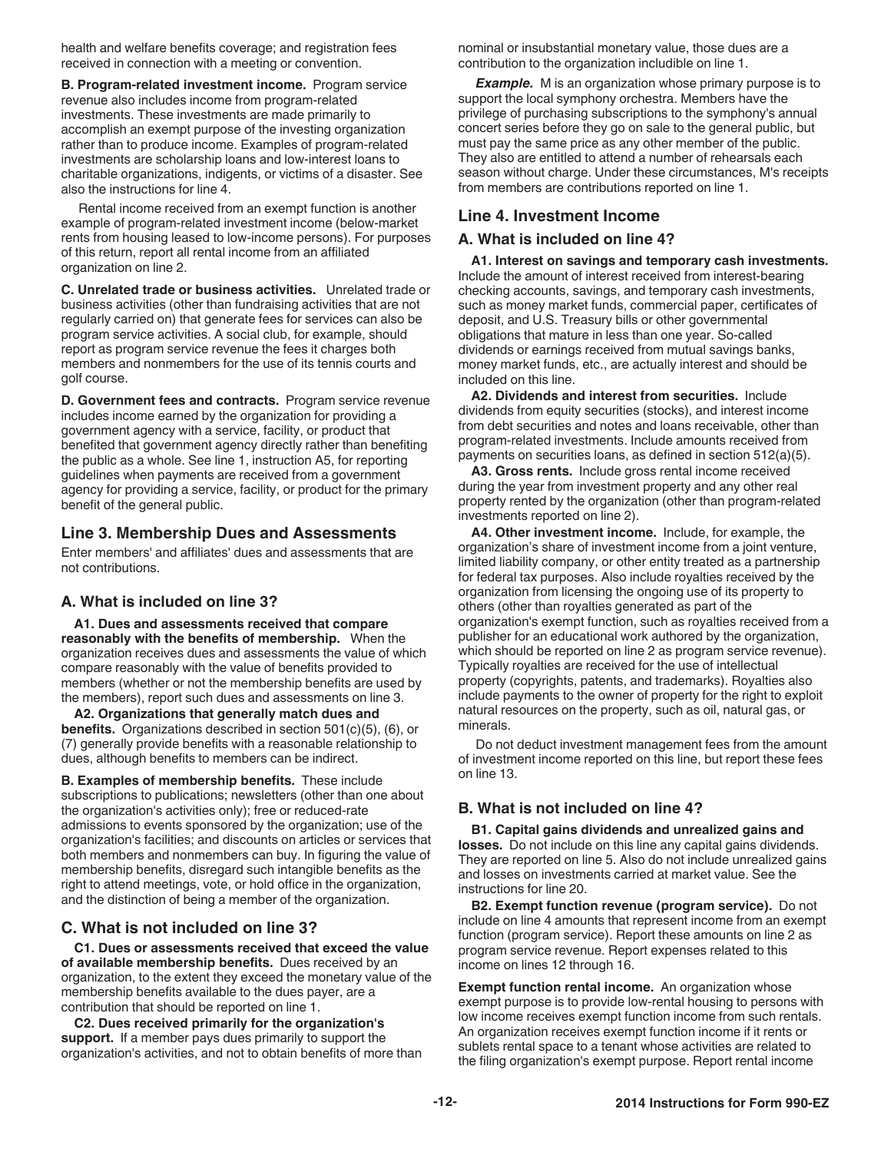<span id="page-11-0"></span>health and welfare benefits coverage; and registration fees received in connection with a meeting or convention.

**B. Program-related investment income.** Program service revenue also includes income from program-related investments. These investments are made primarily to accomplish an exempt purpose of the investing organization rather than to produce income. Examples of program-related investments are scholarship loans and low-interest loans to charitable organizations, indigents, or victims of a disaster. See also the instructions for line 4.

Rental income received from an exempt function is another example of program-related investment income (below-market rents from housing leased to low-income persons). For purposes of this return, report all rental income from an affiliated organization on line 2.

**C. Unrelated trade or business activities.** Unrelated trade or business activities (other than fundraising activities that are not regularly carried on) that generate fees for services can also be program service activities. A social club, for example, should report as program service revenue the fees it charges both members and nonmembers for the use of its tennis courts and golf course.

**D. Government fees and contracts.** Program service revenue includes income earned by the organization for providing a government agency with a service, facility, or product that benefited that government agency directly rather than benefiting the public as a whole. See line 1, instruction A5, for reporting guidelines when payments are received from a government agency for providing a service, facility, or product for the primary benefit of the general public.

#### **Line 3. Membership Dues and Assessments**

Enter members' and affiliates' dues and assessments that are not contributions.

#### **A. What is included on line 3?**

**A1. Dues and assessments received that compare reasonably with the benefits of membership.** When the organization receives dues and assessments the value of which compare reasonably with the value of benefits provided to members (whether or not the membership benefits are used by the members), report such dues and assessments on line 3.

**A2. Organizations that generally match dues and benefits.** Organizations described in section 501(c)(5), (6), or (7) generally provide benefits with a reasonable relationship to dues, although benefits to members can be indirect.

**B. Examples of membership benefits.** These include subscriptions to publications; newsletters (other than one about the organization's activities only); free or reduced-rate admissions to events sponsored by the organization; use of the organization's facilities; and discounts on articles or services that both members and nonmembers can buy. In figuring the value of membership benefits, disregard such intangible benefits as the right to attend meetings, vote, or hold office in the organization, and the distinction of being a member of the organization.

#### **C. What is not included on line 3?**

**C1. Dues or assessments received that exceed the value of available membership benefits.** Dues received by an organization, to the extent they exceed the monetary value of the membership benefits available to the dues payer, are a contribution that should be reported on line 1.

**C2. Dues received primarily for the organization's support.** If a member pays dues primarily to support the organization's activities, and not to obtain benefits of more than nominal or insubstantial monetary value, those dues are a contribution to the organization includible on line 1.

**Example.** M is an organization whose primary purpose is to support the local symphony orchestra. Members have the privilege of purchasing subscriptions to the symphony's annual concert series before they go on sale to the general public, but must pay the same price as any other member of the public. They also are entitled to attend a number of rehearsals each season without charge. Under these circumstances, M's receipts from members are contributions reported on line 1.

#### **Line 4. Investment Income**

#### **A. What is included on line 4?**

**A1. Interest on savings and temporary cash investments.** Include the amount of interest received from interest-bearing checking accounts, savings, and temporary cash investments, such as money market funds, commercial paper, certificates of deposit, and U.S. Treasury bills or other governmental obligations that mature in less than one year. So-called dividends or earnings received from mutual savings banks, money market funds, etc., are actually interest and should be included on this line.

**A2. Dividends and interest from securities.** Include dividends from equity securities (stocks), and interest income from debt securities and notes and loans receivable, other than program-related investments. Include amounts received from payments on securities loans, as defined in section 512(a)(5).

**A3. Gross rents.** Include gross rental income received during the year from investment property and any other real property rented by the organization (other than program-related investments reported on line 2).

**A4. Other investment income.** Include, for example, the organization's share of investment income from a joint venture, limited liability company, or other entity treated as a partnership for federal tax purposes. Also include royalties received by the organization from licensing the ongoing use of its property to others (other than royalties generated as part of the organization's exempt function, such as royalties received from a publisher for an educational work authored by the organization, which should be reported on line 2 as program service revenue). Typically royalties are received for the use of intellectual property (copyrights, patents, and trademarks). Royalties also include payments to the owner of property for the right to exploit natural resources on the property, such as oil, natural gas, or minerals.

Do not deduct investment management fees from the amount of investment income reported on this line, but report these fees on line 13.

#### **B. What is not included on line 4?**

**B1. Capital gains dividends and unrealized gains and losses.** Do not include on this line any capital gains dividends. They are reported on line 5. Also do not include unrealized gains and losses on investments carried at market value. See the instructions for line 20.

**B2. Exempt function revenue (program service).** Do not include on line 4 amounts that represent income from an exempt function (program service). Report these amounts on line 2 as program service revenue. Report expenses related to this income on lines 12 through 16.

**Exempt function rental income.** An organization whose exempt purpose is to provide low-rental housing to persons with low income receives exempt function income from such rentals. An organization receives exempt function income if it rents or sublets rental space to a tenant whose activities are related to the filing organization's exempt purpose. Report rental income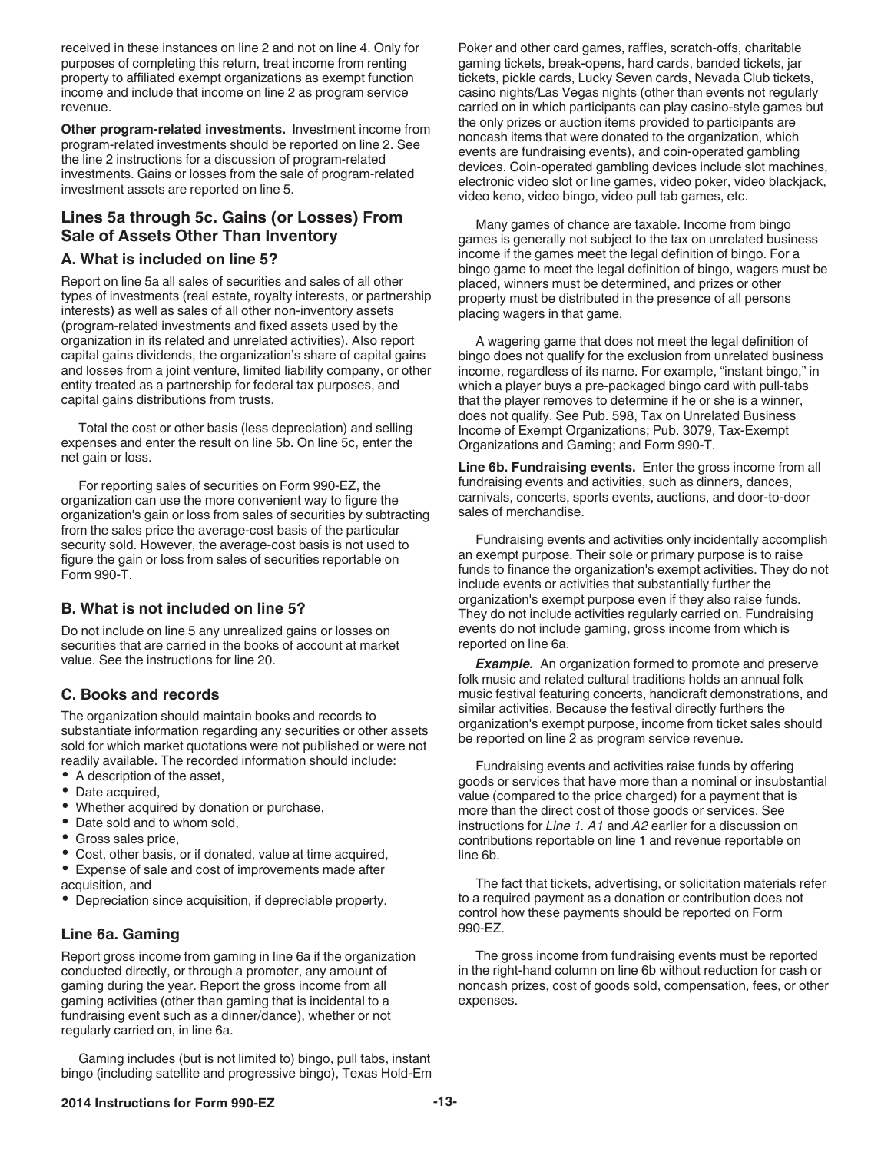<span id="page-12-0"></span>received in these instances on line 2 and not on line 4. Only for purposes of completing this return, treat income from renting property to affiliated exempt organizations as exempt function income and include that income on line 2 as program service revenue.

**Other program-related investments.** Investment income from program-related investments should be reported on line 2. See the line 2 instructions for a discussion of program-related investments. Gains or losses from the sale of program-related investment assets are reported on line 5.

#### **Lines 5a through 5c. Gains (or Losses) From Sale of Assets Other Than Inventory**

#### **A. What is included on line 5?**

Report on line 5a all sales of securities and sales of all other types of investments (real estate, royalty interests, or partnership interests) as well as sales of all other non-inventory assets (program-related investments and fixed assets used by the organization in its related and unrelated activities). Also report capital gains dividends, the organization's share of capital gains and losses from a joint venture, limited liability company, or other entity treated as a partnership for federal tax purposes, and capital gains distributions from trusts.

Total the cost or other basis (less depreciation) and selling expenses and enter the result on line 5b. On line 5c, enter the net gain or loss.

For reporting sales of securities on Form 990-EZ, the organization can use the more convenient way to figure the organization's gain or loss from sales of securities by subtracting from the sales price the average-cost basis of the particular security sold. However, the average-cost basis is not used to figure the gain or loss from sales of securities reportable on Form 990-T.

#### **B. What is not included on line 5?**

Do not include on line 5 any unrealized gains or losses on securities that are carried in the books of account at market value. See the instructions for line 20.

#### **C. Books and records**

The organization should maintain books and records to substantiate information regarding any securities or other assets sold for which market quotations were not published or were not readily available. The recorded information should include:

- A description of the asset,
- $\bullet$ Date acquired,
- Whether acquired by donation or purchase,
- $\bullet$ Date sold and to whom sold,
- $\bullet$ Gross sales price,
- Cost, other basis, or if donated, value at time acquired,
- $\bullet$ Expense of sale and cost of improvements made after acquisition, and
- Depreciation since acquisition, if depreciable property.

#### **Line 6a. Gaming**

Report gross income from gaming in line 6a if the organization conducted directly, or through a promoter, any amount of gaming during the year. Report the gross income from all gaming activities (other than gaming that is incidental to a fundraising event such as a dinner/dance), whether or not regularly carried on, in line 6a.

Gaming includes (but is not limited to) bingo, pull tabs, instant bingo (including satellite and progressive bingo), Texas Hold-Em Poker and other card games, raffles, scratch-offs, charitable gaming tickets, break-opens, hard cards, banded tickets, jar tickets, pickle cards, Lucky Seven cards, Nevada Club tickets, casino nights/Las Vegas nights (other than events not regularly carried on in which participants can play casino-style games but the only prizes or auction items provided to participants are noncash items that were donated to the organization, which events are fundraising events), and coin-operated gambling devices. Coin-operated gambling devices include slot machines, electronic video slot or line games, video poker, video blackjack, video keno, video bingo, video pull tab games, etc.

Many games of chance are taxable. Income from bingo games is generally not subject to the tax on unrelated business income if the games meet the legal definition of bingo. For a bingo game to meet the legal definition of bingo, wagers must be placed, winners must be determined, and prizes or other property must be distributed in the presence of all persons placing wagers in that game.

A wagering game that does not meet the legal definition of bingo does not qualify for the exclusion from unrelated business income, regardless of its name. For example, "instant bingo," in which a player buys a pre-packaged bingo card with pull-tabs that the player removes to determine if he or she is a winner, does not qualify. See Pub. 598, Tax on Unrelated Business Income of Exempt Organizations; Pub. 3079, Tax-Exempt Organizations and Gaming; and Form 990-T.

**Line 6b. Fundraising events.** Enter the gross income from all fundraising events and activities, such as dinners, dances, carnivals, concerts, sports events, auctions, and door-to-door sales of merchandise.

Fundraising events and activities only incidentally accomplish an exempt purpose. Their sole or primary purpose is to raise funds to finance the organization's exempt activities. They do not include events or activities that substantially further the organization's exempt purpose even if they also raise funds. They do not include activities regularly carried on. Fundraising events do not include gaming, gross income from which is reported on line 6a.

**Example.** An organization formed to promote and preserve folk music and related cultural traditions holds an annual folk music festival featuring concerts, handicraft demonstrations, and similar activities. Because the festival directly furthers the organization's exempt purpose, income from ticket sales should be reported on line 2 as program service revenue.

Fundraising events and activities raise funds by offering goods or services that have more than a nominal or insubstantial value (compared to the price charged) for a payment that is more than the direct cost of those goods or services. See instructions for *Line 1. A1* and *A2* earlier for a discussion on contributions reportable on line 1 and revenue reportable on line 6b.

The fact that tickets, advertising, or solicitation materials refer to a required payment as a donation or contribution does not control how these payments should be reported on Form 990-EZ.

The gross income from fundraising events must be reported in the right-hand column on line 6b without reduction for cash or noncash prizes, cost of goods sold, compensation, fees, or other expenses.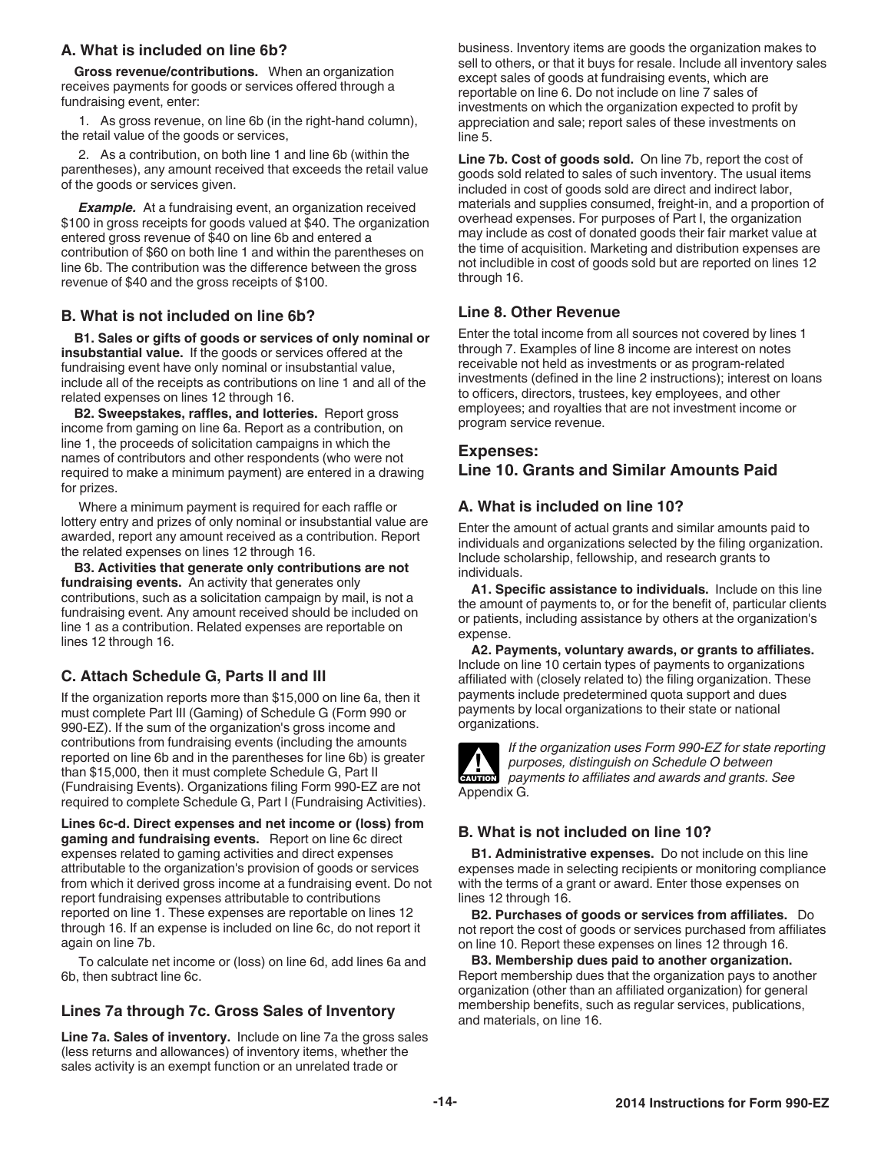#### <span id="page-13-0"></span>**A. What is included on line 6b?**

**Gross revenue/contributions.** When an organization receives payments for goods or services offered through a fundraising event, enter:

1. As gross revenue, on line 6b (in the right-hand column), the retail value of the goods or services,

2. As a contribution, on both line 1 and line 6b (within the parentheses), any amount received that exceeds the retail value of the goods or services given.

**Example.** At a fundraising event, an organization received \$100 in gross receipts for goods valued at \$40. The organization entered gross revenue of \$40 on line 6b and entered a contribution of \$60 on both line 1 and within the parentheses on line 6b. The contribution was the difference between the gross revenue of \$40 and the gross receipts of \$100.

#### **B. What is not included on line 6b?**

**B1. Sales or gifts of goods or services of only nominal or insubstantial value.** If the goods or services offered at the fundraising event have only nominal or insubstantial value, include all of the receipts as contributions on line 1 and all of the related expenses on lines 12 through 16.

**B2. Sweepstakes, raffles, and lotteries.** Report gross income from gaming on line 6a. Report as a contribution, on line 1, the proceeds of solicitation campaigns in which the names of contributors and other respondents (who were not required to make a minimum payment) are entered in a drawing for prizes.

Where a minimum payment is required for each raffle or lottery entry and prizes of only nominal or insubstantial value are awarded, report any amount received as a contribution. Report the related expenses on lines 12 through 16.

**B3. Activities that generate only contributions are not fundraising events.** An activity that generates only contributions, such as a solicitation campaign by mail, is not a fundraising event. Any amount received should be included on line 1 as a contribution. Related expenses are reportable on lines 12 through 16.

#### **C. Attach Schedule G, Parts II and III**

If the organization reports more than \$15,000 on line 6a, then it must complete Part III (Gaming) of Schedule G (Form 990 or 990-EZ). If the sum of the organization's gross income and contributions from fundraising events (including the amounts reported on line 6b and in the parentheses for line 6b) is greater than \$15,000, then it must complete Schedule G, Part II (Fundraising Events). Organizations filing Form 990-EZ are not required to complete Schedule G, Part I (Fundraising Activities).

**Lines 6c-d. Direct expenses and net income or (loss) from gaming and fundraising events.** Report on line 6c direct expenses related to gaming activities and direct expenses attributable to the organization's provision of goods or services from which it derived gross income at a fundraising event. Do not report fundraising expenses attributable to contributions reported on line 1. These expenses are reportable on lines 12 through 16. If an expense is included on line 6c, do not report it again on line 7b.

To calculate net income or (loss) on line 6d, add lines 6a and 6b, then subtract line 6c.

#### **Lines 7a through 7c. Gross Sales of Inventory**

**Line 7a. Sales of inventory.** Include on line 7a the gross sales (less returns and allowances) of inventory items, whether the sales activity is an exempt function or an unrelated trade or

business. Inventory items are goods the organization makes to sell to others, or that it buys for resale. Include all inventory sales except sales of goods at fundraising events, which are reportable on line 6. Do not include on line 7 sales of investments on which the organization expected to profit by appreciation and sale; report sales of these investments on line 5.

**Line 7b. Cost of goods sold.** On line 7b, report the cost of goods sold related to sales of such inventory. The usual items included in cost of goods sold are direct and indirect labor, materials and supplies consumed, freight-in, and a proportion of overhead expenses. For purposes of Part I, the organization may include as cost of donated goods their fair market value at the time of acquisition. Marketing and distribution expenses are not includible in cost of goods sold but are reported on lines 12 through 16.

#### **Line 8. Other Revenue**

Enter the total income from all sources not covered by lines 1 through 7. Examples of line 8 income are interest on notes receivable not held as investments or as program-related investments (defined in the line 2 instructions); interest on loans to officers, directors, trustees, key employees, and other employees; and royalties that are not investment income or program service revenue.

#### **Expenses: Line 10. Grants and Similar Amounts Paid**

#### **A. What is included on line 10?**

Enter the amount of actual grants and similar amounts paid to individuals and organizations selected by the filing organization. Include scholarship, fellowship, and research grants to individuals.

**A1. Specific assistance to individuals.** Include on this line the amount of payments to, or for the benefit of, particular clients or patients, including assistance by others at the organization's expense.

**A2. Payments, voluntary awards, or grants to affiliates.** Include on line 10 certain types of payments to organizations affiliated with (closely related to) the filing organization. These payments include predetermined quota support and dues payments by local organizations to their state or national organizations.



*If the organization uses Form 990-EZ for state reporting purposes, distinguish on Schedule O between payments to affiliates and awards and grants. See* 

#### **B. What is not included on line 10?**

**B1. Administrative expenses.** Do not include on this line expenses made in selecting recipients or monitoring compliance with the terms of a grant or award. Enter those expenses on lines 12 through 16.

**B2. Purchases of goods or services from affiliates.** Do not report the cost of goods or services purchased from affiliates on line 10. Report these expenses on lines 12 through 16.

**B3. Membership dues paid to another organization.**  Report membership dues that the organization pays to another organization (other than an affiliated organization) for general membership benefits, such as regular services, publications, and materials, on line 16.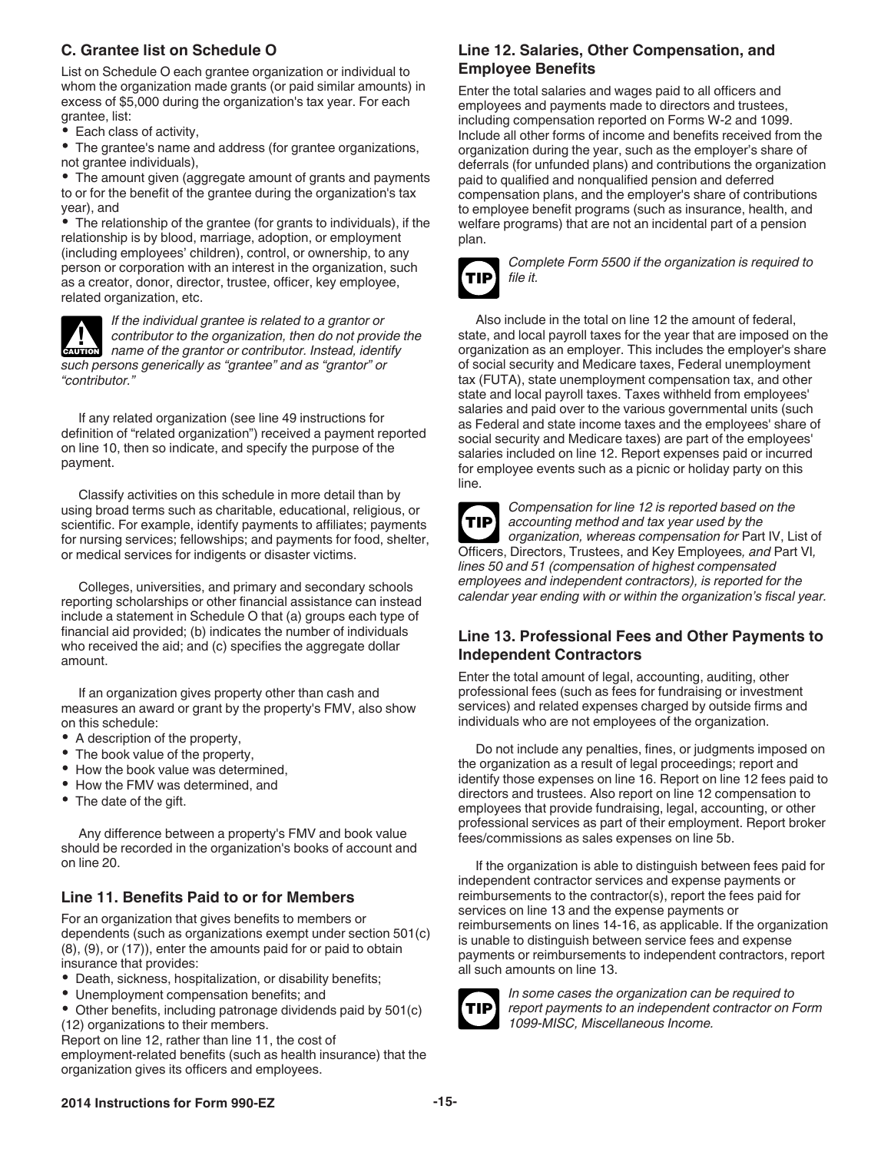#### <span id="page-14-0"></span>**C. Grantee list on Schedule O**

List on Schedule O each grantee organization or individual to whom the organization made grants (or paid similar amounts) in excess of \$5,000 during the organization's tax year. For each grantee, list:

Each class of activity,

The grantee's name and address (for grantee organizations, not grantee individuals),

The amount given (aggregate amount of grants and payments to or for the benefit of the grantee during the organization's tax year), and

The relationship of the grantee (for grants to individuals), if the relationship is by blood, marriage, adoption, or employment (including employees' children), control, or ownership, to any person or corporation with an interest in the organization, such as a creator, donor, director, trustee, officer, key employee, related organization, etc.

**!**

*If the individual grantee is related to a grantor or contributor to the organization, then do not provide the name of the grantor or contributor. Instead, identify such persons generically as "grantee" and as "grantor" or "contributor."* **CAUTION**

If any related organization (see line 49 instructions for definition of "related organization") received a payment reported on line 10, then so indicate, and specify the purpose of the payment.

Classify activities on this schedule in more detail than by using broad terms such as charitable, educational, religious, or scientific. For example, identify payments to affiliates; payments for nursing services; fellowships; and payments for food, shelter, or medical services for indigents or disaster victims.

Colleges, universities, and primary and secondary schools reporting scholarships or other financial assistance can instead include a statement in Schedule O that (a) groups each type of financial aid provided; (b) indicates the number of individuals who received the aid; and (c) specifies the aggregate dollar amount.

If an organization gives property other than cash and measures an award or grant by the property's FMV, also show on this schedule:

- A description of the property,
- The book value of the property,
- How the book value was determined,
- How the FMV was determined, and
- The date of the gift.

Any difference between a property's FMV and book value should be recorded in the organization's books of account and on line 20.

#### **Line 11. Benefits Paid to or for Members**

For an organization that gives benefits to members or dependents (such as organizations exempt under section 501(c) (8), (9), or (17)), enter the amounts paid for or paid to obtain insurance that provides:

- Death, sickness, hospitalization, or disability benefits;
- Unemployment compensation benefits; and
- Other benefits, including patronage dividends paid by 501(c)
- (12) organizations to their members.

Report on line 12, rather than line 11, the cost of employment-related benefits (such as health insurance) that the organization gives its officers and employees.

#### **Line 12. Salaries, Other Compensation, and Employee Benefits**

Enter the total salaries and wages paid to all officers and employees and payments made to directors and trustees, including compensation reported on Forms W-2 and 1099. Include all other forms of income and benefits received from the organization during the year, such as the employer's share of deferrals (for unfunded plans) and contributions the organization paid to qualified and nonqualified pension and deferred compensation plans, and the employer's share of contributions to employee benefit programs (such as insurance, health, and welfare programs) that are not an incidental part of a pension plan.



*Complete Form 5500 if the organization is required to file it.*

Also include in the total on line 12 the amount of federal, state, and local payroll taxes for the year that are imposed on the organization as an employer. This includes the employer's share of social security and Medicare taxes, Federal unemployment tax (FUTA), state unemployment compensation tax, and other state and local payroll taxes. Taxes withheld from employees' salaries and paid over to the various governmental units (such as Federal and state income taxes and the employees' share of social security and Medicare taxes) are part of the employees' salaries included on line 12. Report expenses paid or incurred for employee events such as a picnic or holiday party on this line.

|     | Compensation for line 12 is reported based on the              |
|-----|----------------------------------------------------------------|
| [1] | accounting method and tax year used by the                     |
|     | organization, whereas compensation for Part IV, List of        |
|     | Officers, Directors, Trustees, and Key Employees, and Part VI, |
|     | lines 50 and 51 (compensation of highest compensated           |
|     |                                                                |

*lines 50 and 51 (compensation of highest compensated employees and independent contractors), is reported for the calendar year ending with or within the organization's fiscal year.*

#### **Line 13. Professional Fees and Other Payments to Independent Contractors**

Enter the total amount of legal, accounting, auditing, other professional fees (such as fees for fundraising or investment services) and related expenses charged by outside firms and individuals who are not employees of the organization.

Do not include any penalties, fines, or judgments imposed on the organization as a result of legal proceedings; report and identify those expenses on line 16. Report on line 12 fees paid to directors and trustees. Also report on line 12 compensation to employees that provide fundraising, legal, accounting, or other professional services as part of their employment. Report broker fees/commissions as sales expenses on line 5b.

If the organization is able to distinguish between fees paid for independent contractor services and expense payments or reimbursements to the contractor(s), report the fees paid for services on line 13 and the expense payments or reimbursements on lines 14-16, as applicable. If the organization is unable to distinguish between service fees and expense payments or reimbursements to independent contractors, report all such amounts on line 13.



*In some cases the organization can be required to report payments to an independent contractor on Form 1099-MISC, Miscellaneous Income.*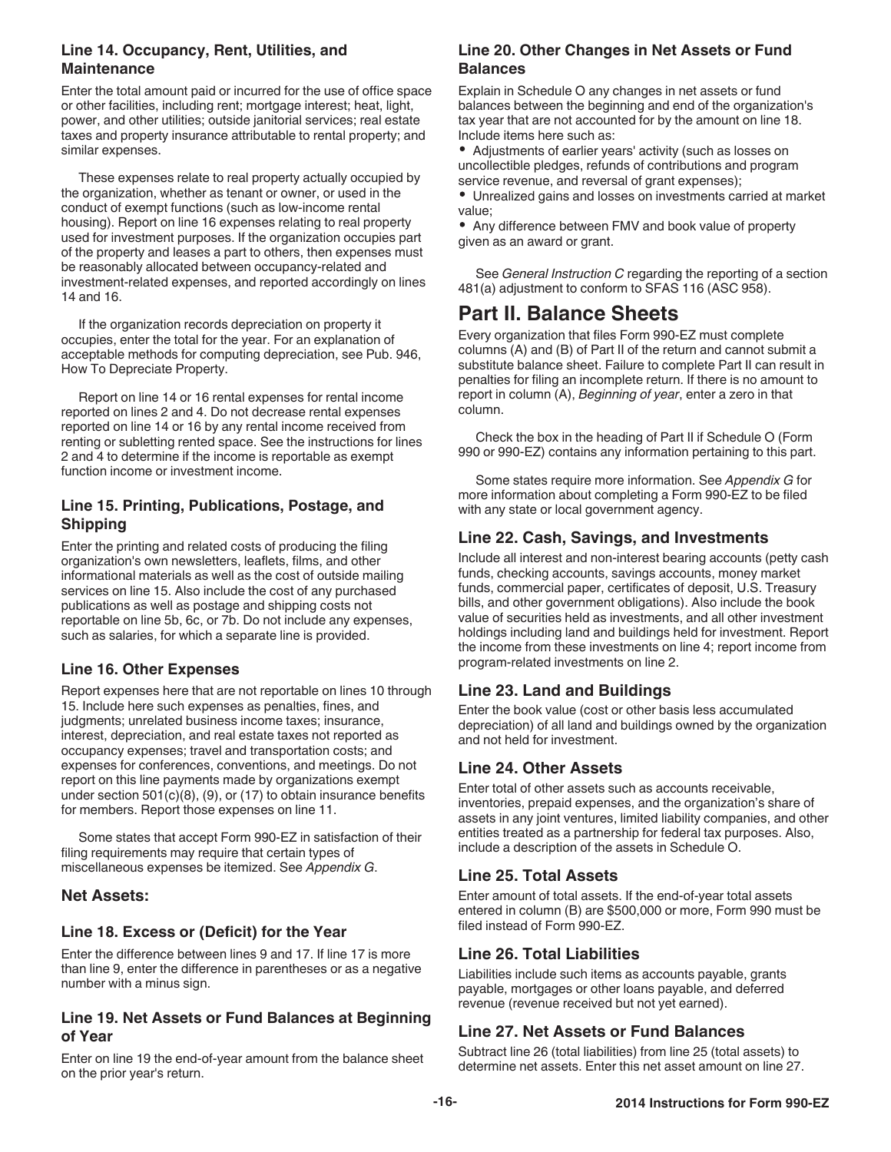#### <span id="page-15-0"></span>**Line 14. Occupancy, Rent, Utilities, and Maintenance**

Enter the total amount paid or incurred for the use of office space or other facilities, including rent; mortgage interest; heat, light, power, and other utilities; outside janitorial services; real estate taxes and property insurance attributable to rental property; and similar expenses.

These expenses relate to real property actually occupied by the organization, whether as tenant or owner, or used in the conduct of exempt functions (such as low-income rental housing). Report on line 16 expenses relating to real property used for investment purposes. If the organization occupies part of the property and leases a part to others, then expenses must be reasonably allocated between occupancy-related and investment-related expenses, and reported accordingly on lines 14 and 16.

If the organization records depreciation on property it occupies, enter the total for the year. For an explanation of acceptable methods for computing depreciation, see Pub. 946, How To Depreciate Property.

Report on line 14 or 16 rental expenses for rental income reported on lines 2 and 4. Do not decrease rental expenses reported on line 14 or 16 by any rental income received from renting or subletting rented space. See the instructions for lines 2 and 4 to determine if the income is reportable as exempt function income or investment income.

#### **Line 15. Printing, Publications, Postage, and Shipping**

Enter the printing and related costs of producing the filing organization's own newsletters, leaflets, films, and other informational materials as well as the cost of outside mailing services on line 15. Also include the cost of any purchased publications as well as postage and shipping costs not reportable on line 5b, 6c, or 7b. Do not include any expenses, such as salaries, for which a separate line is provided.

#### **Line 16. Other Expenses**

Report expenses here that are not reportable on lines 10 through 15. Include here such expenses as penalties, fines, and judgments; unrelated business income taxes; insurance, interest, depreciation, and real estate taxes not reported as occupancy expenses; travel and transportation costs; and expenses for conferences, conventions, and meetings. Do not report on this line payments made by organizations exempt under section 501(c)(8), (9), or (17) to obtain insurance benefits for members. Report those expenses on line 11.

Some states that accept Form 990-EZ in satisfaction of their filing requirements may require that certain types of miscellaneous expenses be itemized. See *Appendix G*.

#### **Net Assets:**

#### **Line 18. Excess or (Deficit) for the Year**

Enter the difference between lines 9 and 17. If line 17 is more than line 9, enter the difference in parentheses or as a negative number with a minus sign.

#### **Line 19. Net Assets or Fund Balances at Beginning of Year**

Enter on line 19 the end-of-year amount from the balance sheet on the prior year's return.

#### **Line 20. Other Changes in Net Assets or Fund Balances**

Explain in Schedule O any changes in net assets or fund balances between the beginning and end of the organization's tax year that are not accounted for by the amount on line 18. Include items here such as:

Adjustments of earlier years' activity (such as losses on uncollectible pledges, refunds of contributions and program service revenue, and reversal of grant expenses);

Unrealized gains and losses on investments carried at market value;

Any difference between FMV and book value of property given as an award or grant.

See *General Instruction C* regarding the reporting of a section 481(a) adjustment to conform to SFAS 116 (ASC 958).

## **Part II. Balance Sheets**

Every organization that files Form 990-EZ must complete columns (A) and (B) of Part II of the return and cannot submit a substitute balance sheet. Failure to complete Part II can result in penalties for filing an incomplete return. If there is no amount to report in column (A), *Beginning of year*, enter a zero in that column.

Check the box in the heading of Part II if Schedule O (Form 990 or 990-EZ) contains any information pertaining to this part.

Some states require more information. See *Appendix G* for more information about completing a Form 990-EZ to be filed with any state or local government agency.

#### **Line 22. Cash, Savings, and Investments**

Include all interest and non-interest bearing accounts (petty cash funds, checking accounts, savings accounts, money market funds, commercial paper, certificates of deposit, U.S. Treasury bills, and other government obligations). Also include the book value of securities held as investments, and all other investment holdings including land and buildings held for investment. Report the income from these investments on line 4; report income from program-related investments on line 2.

#### **Line 23. Land and Buildings**

Enter the book value (cost or other basis less accumulated depreciation) of all land and buildings owned by the organization and not held for investment.

#### **Line 24. Other Assets**

Enter total of other assets such as accounts receivable, inventories, prepaid expenses, and the organization's share of assets in any joint ventures, limited liability companies, and other entities treated as a partnership for federal tax purposes. Also, include a description of the assets in Schedule O.

#### **Line 25. Total Assets**

Enter amount of total assets. If the end-of-year total assets entered in column (B) are \$500,000 or more, Form 990 must be filed instead of Form 990-EZ.

#### **Line 26. Total Liabilities**

Liabilities include such items as accounts payable, grants payable, mortgages or other loans payable, and deferred revenue (revenue received but not yet earned).

#### **Line 27. Net Assets or Fund Balances**

Subtract line 26 (total liabilities) from line 25 (total assets) to determine net assets. Enter this net asset amount on line 27.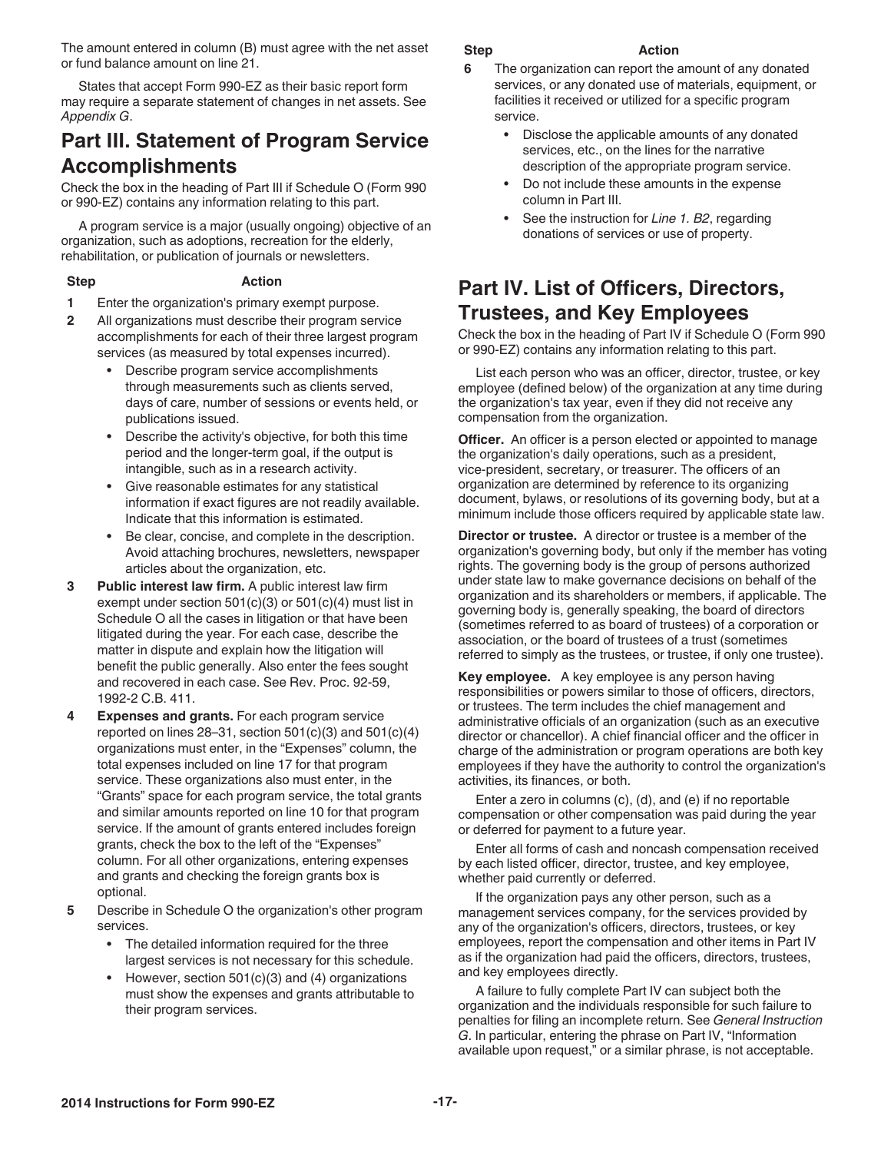<span id="page-16-0"></span>The amount entered in column (B) must agree with the net asset or fund balance amount on line 21.

States that accept Form 990-EZ as their basic report form may require a separate statement of changes in net assets. See *Appendix G*.

## **Part III. Statement of Program Service Accomplishments**

Check the box in the heading of Part III if Schedule O (Form 990 or 990-EZ) contains any information relating to this part.

A program service is a major (usually ongoing) objective of an organization, such as adoptions, recreation for the elderly, rehabilitation, or publication of journals or newsletters.

#### **Step Action**

- **1** Enter the organization's primary exempt purpose.
- **2** All organizations must describe their program service accomplishments for each of their three largest program services (as measured by total expenses incurred).
	- **•** Describe program service accomplishments through measurements such as clients served, days of care, number of sessions or events held, or publications issued.
	- **•** Describe the activity's objective, for both this time period and the longer-term goal, if the output is intangible, such as in a research activity.
	- **•** Give reasonable estimates for any statistical information if exact figures are not readily available. Indicate that this information is estimated.
	- **•** Be clear, concise, and complete in the description. Avoid attaching brochures, newsletters, newspaper articles about the organization, etc.
- **3 Public interest law firm.** A public interest law firm exempt under section 501(c)(3) or 501(c)(4) must list in Schedule O all the cases in litigation or that have been litigated during the year. For each case, describe the matter in dispute and explain how the litigation will benefit the public generally. Also enter the fees sought and recovered in each case. See Rev. Proc. 92-59, 1992-2 C.B. 411.
- **4 Expenses and grants.** For each program service reported on lines  $28-31$ , section  $501(c)(3)$  and  $501(c)(4)$ organizations must enter, in the "Expenses" column, the total expenses included on line 17 for that program service. These organizations also must enter, in the "Grants" space for each program service, the total grants and similar amounts reported on line 10 for that program service. If the amount of grants entered includes foreign grants, check the box to the left of the "Expenses" column. For all other organizations, entering expenses and grants and checking the foreign grants box is optional.
- **5** Describe in Schedule O the organization's other program services.
	- **•** The detailed information required for the three largest services is not necessary for this schedule.
	- **•** However, section 501(c)(3) and (4) organizations must show the expenses and grants attributable to their program services.

#### **Step Action**

- **6** The organization can report the amount of any donated services, or any donated use of materials, equipment, or facilities it received or utilized for a specific program service.
	- **•** Disclose the applicable amounts of any donated services, etc., on the lines for the narrative description of the appropriate program service.
	- **•** Do not include these amounts in the expense column in Part III.
	- **•** See the instruction for *Line 1. B2*, regarding donations of services or use of property.

## **Part IV. List of Officers, Directors, Trustees, and Key Employees**

Check the box in the heading of Part IV if Schedule O (Form 990 or 990-EZ) contains any information relating to this part.

List each person who was an officer, director, trustee, or key employee (defined below) of the organization at any time during the organization's tax year, even if they did not receive any compensation from the organization.

**Officer.** An officer is a person elected or appointed to manage the organization's daily operations, such as a president, vice-president, secretary, or treasurer. The officers of an organization are determined by reference to its organizing document, bylaws, or resolutions of its governing body, but at a minimum include those officers required by applicable state law.

**Director or trustee.** A director or trustee is a member of the organization's governing body, but only if the member has voting rights. The governing body is the group of persons authorized under state law to make governance decisions on behalf of the organization and its shareholders or members, if applicable. The governing body is, generally speaking, the board of directors (sometimes referred to as board of trustees) of a corporation or association, or the board of trustees of a trust (sometimes referred to simply as the trustees, or trustee, if only one trustee).

**Key employee.** A key employee is any person having responsibilities or powers similar to those of officers, directors, or trustees. The term includes the chief management and administrative officials of an organization (such as an executive director or chancellor). A chief financial officer and the officer in charge of the administration or program operations are both key employees if they have the authority to control the organization's activities, its finances, or both.

Enter a zero in columns (c), (d), and (e) if no reportable compensation or other compensation was paid during the year or deferred for payment to a future year.

Enter all forms of cash and noncash compensation received by each listed officer, director, trustee, and key employee, whether paid currently or deferred.

If the organization pays any other person, such as a management services company, for the services provided by any of the organization's officers, directors, trustees, or key employees, report the compensation and other items in Part IV as if the organization had paid the officers, directors, trustees, and key employees directly.

A failure to fully complete Part IV can subject both the organization and the individuals responsible for such failure to penalties for filing an incomplete return. See *General Instruction G*. In particular, entering the phrase on Part IV, "Information available upon request," or a similar phrase, is not acceptable.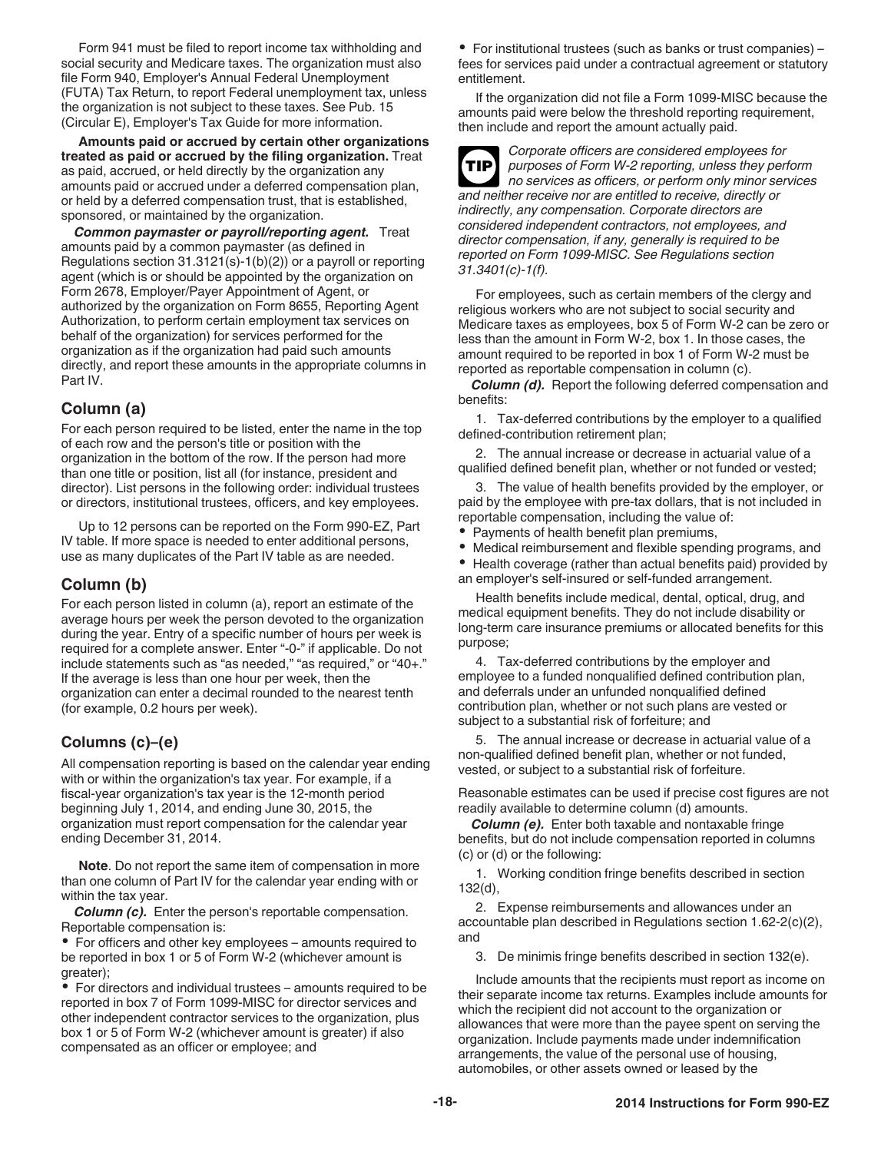<span id="page-17-0"></span>Form 941 must be filed to report income tax withholding and social security and Medicare taxes. The organization must also file Form 940, Employer's Annual Federal Unemployment (FUTA) Tax Return, to report Federal unemployment tax, unless the organization is not subject to these taxes. See Pub. 15 (Circular E), Employer's Tax Guide for more information.

**Amounts paid or accrued by certain other organizations treated as paid or accrued by the filing organization.** Treat as paid, accrued, or held directly by the organization any amounts paid or accrued under a deferred compensation plan, or held by a deferred compensation trust, that is established, sponsored, or maintained by the organization.

*Common paymaster or payroll/reporting agent.* Treat amounts paid by a common paymaster (as defined in Regulations section 31.3121(s)-1(b)(2)) or a payroll or reporting agent (which is or should be appointed by the organization on Form 2678, Employer/Payer Appointment of Agent, or authorized by the organization on Form 8655, Reporting Agent Authorization, to perform certain employment tax services on behalf of the organization) for services performed for the organization as if the organization had paid such amounts directly, and report these amounts in the appropriate columns in Part IV.

#### **Column (a)**

For each person required to be listed, enter the name in the top of each row and the person's title or position with the organization in the bottom of the row. If the person had more than one title or position, list all (for instance, president and director). List persons in the following order: individual trustees or directors, institutional trustees, officers, and key employees.

Up to 12 persons can be reported on the Form 990-EZ, Part IV table. If more space is needed to enter additional persons, use as many duplicates of the Part IV table as are needed.

#### **Column (b)**

For each person listed in column (a), report an estimate of the average hours per week the person devoted to the organization during the year. Entry of a specific number of hours per week is required for a complete answer. Enter "-0-" if applicable. Do not include statements such as "as needed," "as required," or "40+." If the average is less than one hour per week, then the organization can enter a decimal rounded to the nearest tenth (for example, 0.2 hours per week).

#### **Columns (c)–(e)**

All compensation reporting is based on the calendar year ending with or within the organization's tax year. For example, if a fiscal-year organization's tax year is the 12-month period beginning July 1, 2014, and ending June 30, 2015, the organization must report compensation for the calendar year ending December 31, 2014.

**Note**. Do not report the same item of compensation in more than one column of Part IV for the calendar year ending with or within the tax year.

*Column (c).* Enter the person's reportable compensation. Reportable compensation is:

For officers and other key employees – amounts required to be reported in box 1 or 5 of Form W-2 (whichever amount is greater);

For directors and individual trustees – amounts required to be reported in box 7 of Form 1099-MISC for director services and other independent contractor services to the organization, plus box 1 or 5 of Form W-2 (whichever amount is greater) if also compensated as an officer or employee; and

For institutional trustees (such as banks or trust companies) – fees for services paid under a contractual agreement or statutory entitlement.

If the organization did not file a Form 1099-MISC because the amounts paid were below the threshold reporting requirement, then include and report the amount actually paid.

*Corporate officers are considered employees for purposes of Form W-2 reporting, unless they perform no services as officers, or perform only minor services and neither receive nor are entitled to receive, directly or indirectly, any compensation. Corporate directors are considered independent contractors, not employees, and director compensation, if any, generally is required to be reported on Form 1099-MISC. See Regulations section 31.3401(c)-1(f).* **TIP**

For employees, such as certain members of the clergy and religious workers who are not subject to social security and Medicare taxes as employees, box 5 of Form W-2 can be zero or less than the amount in Form W-2, box 1. In those cases, the amount required to be reported in box 1 of Form W-2 must be reported as reportable compensation in column (c).

*Column (d).* Report the following deferred compensation and benefits:

1. Tax-deferred contributions by the employer to a qualified defined-contribution retirement plan;

2. The annual increase or decrease in actuarial value of a qualified defined benefit plan, whether or not funded or vested;

3. The value of health benefits provided by the employer, or paid by the employee with pre-tax dollars, that is not included in reportable compensation, including the value of:

- Payments of health benefit plan premiums,
- Medical reimbursement and flexible spending programs, and

• Health coverage (rather than actual benefits paid) provided by an employer's self-insured or self-funded arrangement.

Health benefits include medical, dental, optical, drug, and medical equipment benefits. They do not include disability or long-term care insurance premiums or allocated benefits for this purpose;

4. Tax-deferred contributions by the employer and employee to a funded nonqualified defined contribution plan, and deferrals under an unfunded nonqualified defined contribution plan, whether or not such plans are vested or subject to a substantial risk of forfeiture; and

5. The annual increase or decrease in actuarial value of a non-qualified defined benefit plan, whether or not funded, vested, or subject to a substantial risk of forfeiture.

Reasonable estimates can be used if precise cost figures are not readily available to determine column (d) amounts.

*Column (e).* Enter both taxable and nontaxable fringe benefits, but do not include compensation reported in columns (c) or (d) or the following:

1. Working condition fringe benefits described in section 132(d),

2. Expense reimbursements and allowances under an accountable plan described in Regulations section 1.62-2(c)(2), and

3. De minimis fringe benefits described in section 132(e).

Include amounts that the recipients must report as income on their separate income tax returns. Examples include amounts for which the recipient did not account to the organization or allowances that were more than the payee spent on serving the organization. Include payments made under indemnification arrangements, the value of the personal use of housing, automobiles, or other assets owned or leased by the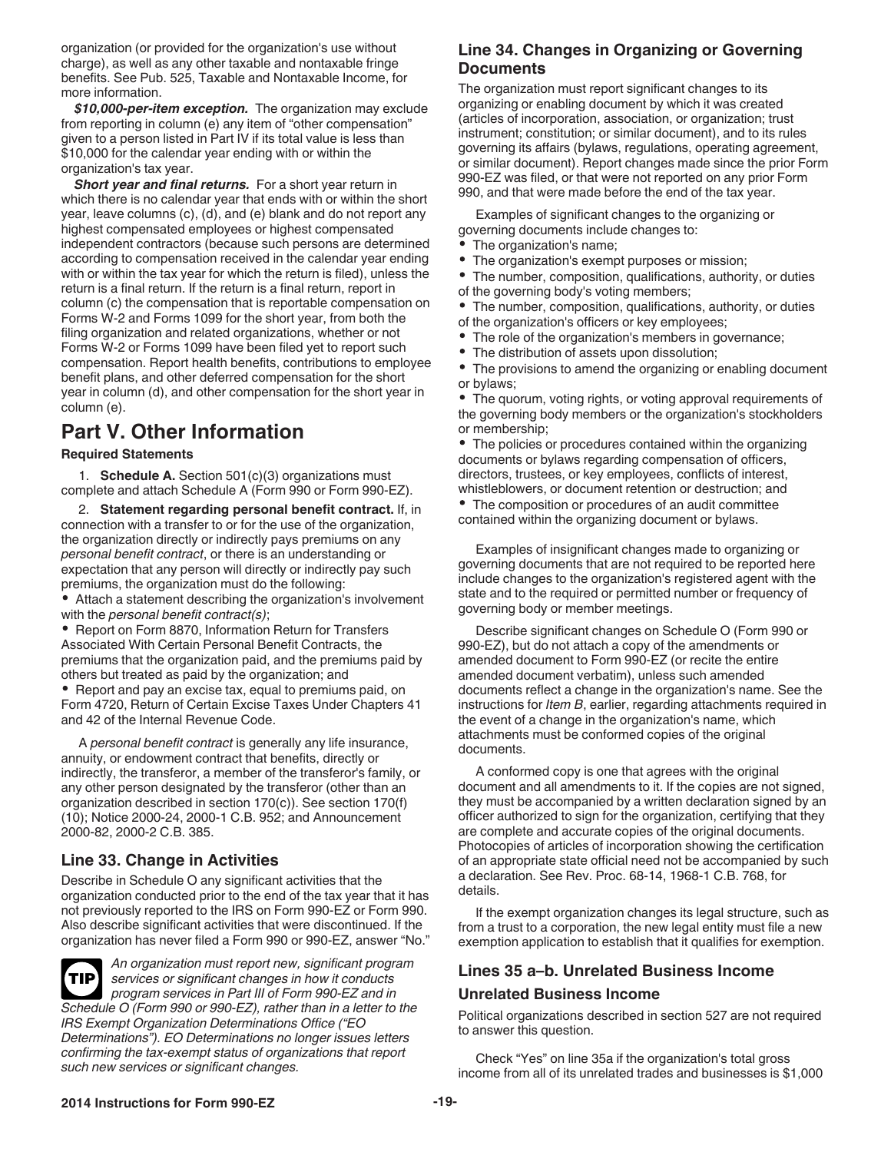<span id="page-18-0"></span>organization (or provided for the organization's use without charge), as well as any other taxable and nontaxable fringe benefits. See Pub. 525, Taxable and Nontaxable Income, for more information.

*\$10,000-per-item exception.* The organization may exclude from reporting in column (e) any item of "other compensation" given to a person listed in Part IV if its total value is less than \$10,000 for the calendar year ending with or within the organization's tax year.

**Short year and final returns.** For a short year return in which there is no calendar year that ends with or within the short year, leave columns (c), (d), and (e) blank and do not report any highest compensated employees or highest compensated independent contractors (because such persons are determined according to compensation received in the calendar year ending with or within the tax year for which the return is filed), unless the return is a final return. If the return is a final return, report in column (c) the compensation that is reportable compensation on Forms W-2 and Forms 1099 for the short year, from both the filing organization and related organizations, whether or not Forms W-2 or Forms 1099 have been filed yet to report such compensation. Report health benefits, contributions to employee benefit plans, and other deferred compensation for the short year in column (d), and other compensation for the short year in column (e).

## **Part V. Other Information**

#### **Required Statements**

1. **Schedule A.** Section 501(c)(3) organizations must complete and attach Schedule A (Form 990 or Form 990-EZ).

2. **Statement regarding personal benefit contract.** If, in connection with a transfer to or for the use of the organization, the organization directly or indirectly pays premiums on any *personal benefit contract*, or there is an understanding or expectation that any person will directly or indirectly pay such premiums, the organization must do the following:

Attach a statement describing the organization's involvement with the *personal benefit contract(s)*;

Report on Form 8870, Information Return for Transfers Associated With Certain Personal Benefit Contracts, the premiums that the organization paid, and the premiums paid by others but treated as paid by the organization; and

• Report and pay an excise tax, equal to premiums paid, on Form 4720, Return of Certain Excise Taxes Under Chapters 41 and 42 of the Internal Revenue Code.

A *personal benefit contract* is generally any life insurance, annuity, or endowment contract that benefits, directly or indirectly, the transferor, a member of the transferor's family, or any other person designated by the transferor (other than an organization described in section 170(c)). See section 170(f) (10); Notice 2000-24, 2000-1 C.B. 952; and Announcement 2000-82, 2000-2 C.B. 385.

#### **Line 33. Change in Activities**

Describe in Schedule O any significant activities that the organization conducted prior to the end of the tax year that it has not previously reported to the IRS on Form 990-EZ or Form 990. Also describe significant activities that were discontinued. If the organization has never filed a Form 990 or 990-EZ, answer "No."

*An organization must report new, significant program services or significant changes in how it conducts program services in Part III of Form 990-EZ and in Schedule O (Form 990 or 990-EZ), rather than in a letter to the IRS Exempt Organization Determinations Office ("EO Determinations"). EO Determinations no longer issues letters confirming the tax-exempt status of organizations that report such new services or significant changes.* **TIP**

#### **Line 34. Changes in Organizing or Governing Documents**

The organization must report significant changes to its organizing or enabling document by which it was created (articles of incorporation, association, or organization; trust instrument; constitution; or similar document), and to its rules governing its affairs (bylaws, regulations, operating agreement, or similar document). Report changes made since the prior Form 990-EZ was filed, or that were not reported on any prior Form 990, and that were made before the end of the tax year.

Examples of significant changes to the organizing or governing documents include changes to:

- The organization's name;
- $\bullet$ The organization's exempt purposes or mission;
- The number, composition, qualifications, authority, or duties of the governing body's voting members;

The number, composition, qualifications, authority, or duties of the organization's officers or key employees;

- The role of the organization's members in governance;
- The distribution of assets upon dissolution;

The provisions to amend the organizing or enabling document or bylaws;

The quorum, voting rights, or voting approval requirements of the governing body members or the organization's stockholders or membership;

The policies or procedures contained within the organizing documents or bylaws regarding compensation of officers, directors, trustees, or key employees, conflicts of interest, whistleblowers, or document retention or destruction; and

The composition or procedures of an audit committee contained within the organizing document or bylaws.

Examples of insignificant changes made to organizing or governing documents that are not required to be reported here include changes to the organization's registered agent with the state and to the required or permitted number or frequency of governing body or member meetings.

Describe significant changes on Schedule O (Form 990 or 990-EZ), but do not attach a copy of the amendments or amended document to Form 990-EZ (or recite the entire amended document verbatim), unless such amended documents reflect a change in the organization's name. See the instructions for *Item B*, earlier, regarding attachments required in the event of a change in the organization's name, which attachments must be conformed copies of the original documents.

A conformed copy is one that agrees with the original document and all amendments to it. If the copies are not signed, they must be accompanied by a written declaration signed by an officer authorized to sign for the organization, certifying that they are complete and accurate copies of the original documents. Photocopies of articles of incorporation showing the certification of an appropriate state official need not be accompanied by such a declaration. See Rev. Proc. 68-14, 1968-1 C.B. 768, for details.

If the exempt organization changes its legal structure, such as from a trust to a corporation, the new legal entity must file a new exemption application to establish that it qualifies for exemption.

#### **Lines 35 a–b. Unrelated Business Income**

#### **Unrelated Business Income**

Political organizations described in section 527 are not required to answer this question.

Check "Yes" on line 35a if the organization's total gross income from all of its unrelated trades and businesses is \$1,000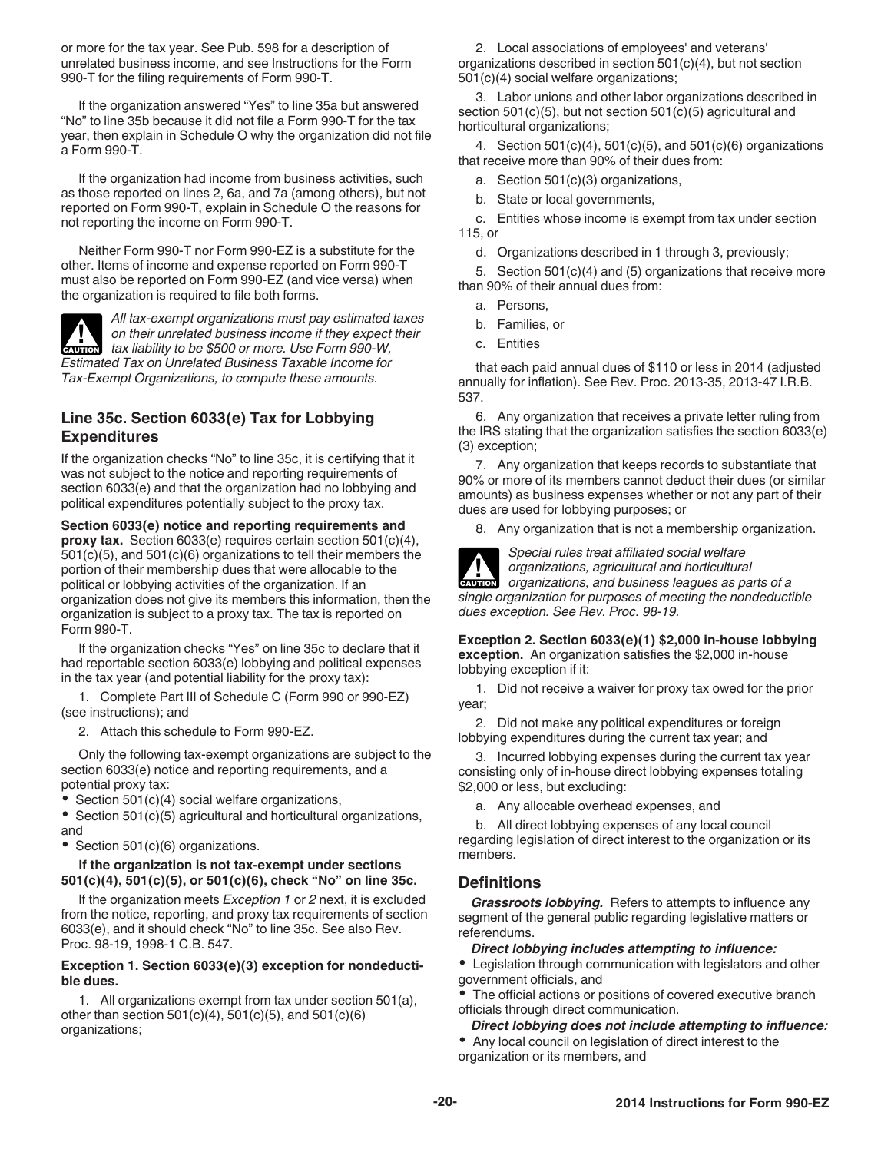<span id="page-19-0"></span>or more for the tax year. See Pub. 598 for a description of unrelated business income, and see Instructions for the Form 990-T for the filing requirements of Form 990-T.

If the organization answered "Yes" to line 35a but answered "No" to line 35b because it did not file a Form 990-T for the tax year, then explain in Schedule O why the organization did not file a Form 990-T.

If the organization had income from business activities, such as those reported on lines 2, 6a, and 7a (among others), but not reported on Form 990-T, explain in Schedule O the reasons for not reporting the income on Form 990-T.

Neither Form 990-T nor Form 990-EZ is a substitute for the other. Items of income and expense reported on Form 990-T must also be reported on Form 990-EZ (and vice versa) when the organization is required to file both forms.

*All tax-exempt organizations must pay estimated taxes on their unrelated business income if they expect their*  **z** on their unrelated business income if they expect tax liability to be \$500 or more. Use Form 990-W, *Estimated Tax on Unrelated Business Taxable Income for Tax-Exempt Organizations, to compute these amounts.*

#### **Line 35c. Section 6033(e) Tax for Lobbying Expenditures**

If the organization checks "No" to line 35c, it is certifying that it was not subject to the notice and reporting requirements of section 6033(e) and that the organization had no lobbying and political expenditures potentially subject to the proxy tax.

#### **Section 6033(e) notice and reporting requirements and**

**proxy tax.** Section 6033(e) requires certain section 501(c)(4), 501(c)(5), and 501(c)(6) organizations to tell their members the portion of their membership dues that were allocable to the political or lobbying activities of the organization. If an organization does not give its members this information, then the organization is subject to a proxy tax. The tax is reported on Form 990-T.

If the organization checks "Yes" on line 35c to declare that it had reportable section 6033(e) lobbying and political expenses in the tax year (and potential liability for the proxy tax):

1. Complete Part III of Schedule C (Form 990 or 990-EZ) (see instructions); and

2. Attach this schedule to Form 990-EZ.

Only the following tax-exempt organizations are subject to the section 6033(e) notice and reporting requirements, and a potential proxy tax:

Section 501(c)(4) social welfare organizations,

Section 501(c)(5) agricultural and horticultural organizations, and

Section 501(c)(6) organizations.

#### **If the organization is not tax-exempt under sections 501(c)(4), 501(c)(5), or 501(c)(6), check "No" on line 35c.**

If the organization meets *Exception 1* or *2* next, it is excluded from the notice, reporting, and proxy tax requirements of section 6033(e), and it should check "No" to line 35c. See also Rev. Proc. 98-19, 1998-1 C.B. 547.

#### **Exception 1. Section 6033(e)(3) exception for nondeductible dues.**

1. All organizations exempt from tax under section 501(a), other than section 501(c)(4), 501(c)(5), and 501(c)(6) organizations;

2. Local associations of employees' and veterans' organizations described in section 501(c)(4), but not section 501(c)(4) social welfare organizations;

3. Labor unions and other labor organizations described in section 501(c)(5), but not section 501(c)(5) agricultural and horticultural organizations;

4. Section 501(c)(4), 501(c)(5), and 501(c)(6) organizations that receive more than 90% of their dues from:

a. Section 501(c)(3) organizations,

b. State or local governments,

c. Entities whose income is exempt from tax under section 115, or

d. Organizations described in 1 through 3, previously;

5. Section 501(c)(4) and (5) organizations that receive more than 90% of their annual dues from:

- a. Persons,
- b. Families, or
- c. Entities

that each paid annual dues of \$110 or less in 2014 (adjusted annually for inflation). See Rev. Proc. 2013-35, 2013-47 I.R.B. 537.

6. Any organization that receives a private letter ruling from the IRS stating that the organization satisfies the section 6033(e) (3) exception;

7. Any organization that keeps records to substantiate that 90% or more of its members cannot deduct their dues (or similar amounts) as business expenses whether or not any part of their dues are used for lobbying purposes; or

8. Any organization that is not a membership organization.



*Special rules treat affiliated social welfare organizations, agricultural and horticultural*  **CAUTION** *organizations, agricultural and horticultural*<br> *cautions organizations, and business leagues as parts of a* 

*single organization for purposes of meeting the nondeductible dues exception. See Rev. Proc. 98-19.*

**Exception 2. Section 6033(e)(1) \$2,000 in-house lobbying exception.** An organization satisfies the \$2,000 in-house lobbying exception if it:

1. Did not receive a waiver for proxy tax owed for the prior year;

2. Did not make any political expenditures or foreign lobbying expenditures during the current tax year; and

3. Incurred lobbying expenses during the current tax year consisting only of in-house direct lobbying expenses totaling \$2,000 or less, but excluding:

a. Any allocable overhead expenses, and

b. All direct lobbying expenses of any local council regarding legislation of direct interest to the organization or its members.

#### **Definitions**

*Grassroots lobbying.* Refers to attempts to influence any segment of the general public regarding legislative matters or referendums.

#### *Direct lobbying includes attempting to influence:*

Legislation through communication with legislators and other government officials, and

The official actions or positions of covered executive branch officials through direct communication.

*Direct lobbying does not include attempting to influence:* 

Any local council on legislation of direct interest to the organization or its members, and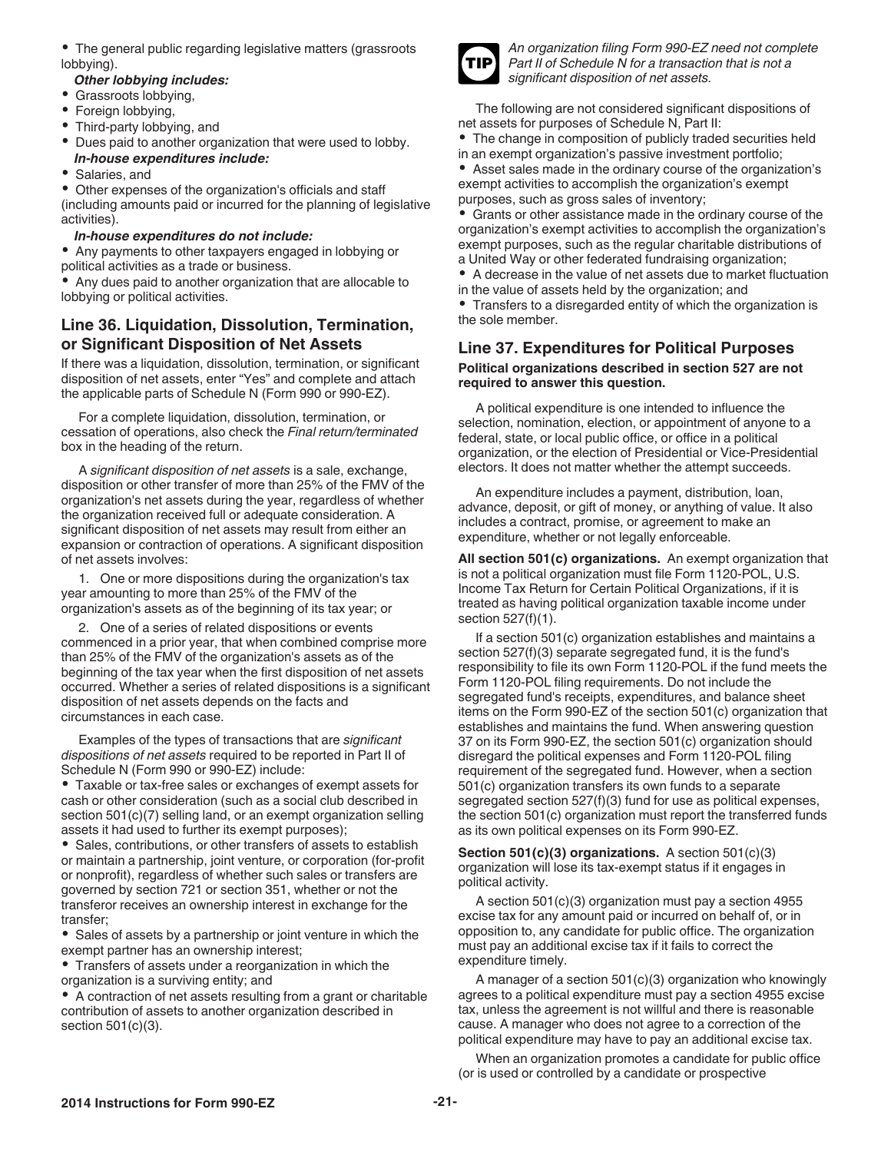#### <span id="page-20-0"></span>The general public regarding legislative matters (grassroots lobbying).

#### *Other lobbying includes:*

- Grassroots lobbying,
- Foreign lobbying,
- Third-party lobbying, and
- Dues paid to another organization that were used to lobby. *In-house expenditures include:*
- Salaries, and

Other expenses of the organization's officials and staff (including amounts paid or incurred for the planning of legislative activities).

#### *In-house expenditures do not include:*

Any payments to other taxpayers engaged in lobbying or political activities as a trade or business.

Any dues paid to another organization that are allocable to lobbying or political activities.

#### **Line 36. Liquidation, Dissolution, Termination, or Significant Disposition of Net Assets**

If there was a liquidation, dissolution, termination, or significant disposition of net assets, enter "Yes" and complete and attach the applicable parts of Schedule N (Form 990 or 990-EZ).

For a complete liquidation, dissolution, termination, or cessation of operations, also check the *Final return/terminated*  box in the heading of the return.

A *significant disposition of net assets* is a sale, exchange, disposition or other transfer of more than 25% of the FMV of the organization's net assets during the year, regardless of whether the organization received full or adequate consideration. A significant disposition of net assets may result from either an expansion or contraction of operations. A significant disposition of net assets involves:

1. One or more dispositions during the organization's tax year amounting to more than 25% of the FMV of the organization's assets as of the beginning of its tax year; or

2. One of a series of related dispositions or events commenced in a prior year, that when combined comprise more than 25% of the FMV of the organization's assets as of the beginning of the tax year when the first disposition of net assets occurred. Whether a series of related dispositions is a significant disposition of net assets depends on the facts and circumstances in each case.

Examples of the types of transactions that are *significant dispositions of net assets* required to be reported in Part II of Schedule N (Form 990 or 990-EZ) include:

Taxable or tax-free sales or exchanges of exempt assets for cash or other consideration (such as a social club described in section 501(c)(7) selling land, or an exempt organization selling assets it had used to further its exempt purposes);

• Sales, contributions, or other transfers of assets to establish or maintain a partnership, joint venture, or corporation (for-profit or nonprofit), regardless of whether such sales or transfers are governed by section 721 or section 351, whether or not the transferor receives an ownership interest in exchange for the transfer;

Sales of assets by a partnership or joint venture in which the exempt partner has an ownership interest;

Transfers of assets under a reorganization in which the organization is a surviving entity; and

A contraction of net assets resulting from a grant or charitable contribution of assets to another organization described in section 501(c)(3).



*An organization filing Form 990-EZ need not complete Part II of Schedule N for a transaction that is not a significant disposition of net assets.*

The following are not considered significant dispositions of net assets for purposes of Schedule N, Part II:

The change in composition of publicly traded securities held in an exempt organization's passive investment portfolio;

Asset sales made in the ordinary course of the organization's exempt activities to accomplish the organization's exempt purposes, such as gross sales of inventory;

Grants or other assistance made in the ordinary course of the organization's exempt activities to accomplish the organization's exempt purposes, such as the regular charitable distributions of a United Way or other federated fundraising organization;

A decrease in the value of net assets due to market fluctuation in the value of assets held by the organization; and

Transfers to a disregarded entity of which the organization is the sole member.

## **Line 37. Expenditures for Political Purposes**

#### **Political organizations described in section 527 are not required to answer this question.**

A political expenditure is one intended to influence the selection, nomination, election, or appointment of anyone to a federal, state, or local public office, or office in a political organization, or the election of Presidential or Vice-Presidential electors. It does not matter whether the attempt succeeds.

An expenditure includes a payment, distribution, loan, advance, deposit, or gift of money, or anything of value. It also includes a contract, promise, or agreement to make an expenditure, whether or not legally enforceable.

**All section 501(c) organizations.** An exempt organization that is not a political organization must file Form 1120-POL, U.S. Income Tax Return for Certain Political Organizations, if it is treated as having political organization taxable income under section 527(f)(1).

If a section 501(c) organization establishes and maintains a section 527(f)(3) separate segregated fund, it is the fund's responsibility to file its own Form 1120-POL if the fund meets the Form 1120-POL filing requirements. Do not include the segregated fund's receipts, expenditures, and balance sheet items on the Form 990-EZ of the section 501(c) organization that establishes and maintains the fund. When answering question 37 on its Form 990-EZ, the section 501(c) organization should disregard the political expenses and Form 1120-POL filing requirement of the segregated fund. However, when a section 501(c) organization transfers its own funds to a separate segregated section 527(f)(3) fund for use as political expenses, the section 501(c) organization must report the transferred funds as its own political expenses on its Form 990-EZ.

**Section 501(c)(3) organizations.** A section 501(c)(3) organization will lose its tax-exempt status if it engages in political activity.

A section 501(c)(3) organization must pay a section 4955 excise tax for any amount paid or incurred on behalf of, or in opposition to, any candidate for public office. The organization must pay an additional excise tax if it fails to correct the expenditure timely.

A manager of a section 501(c)(3) organization who knowingly agrees to a political expenditure must pay a section 4955 excise tax, unless the agreement is not willful and there is reasonable cause. A manager who does not agree to a correction of the political expenditure may have to pay an additional excise tax.

When an organization promotes a candidate for public office (or is used or controlled by a candidate or prospective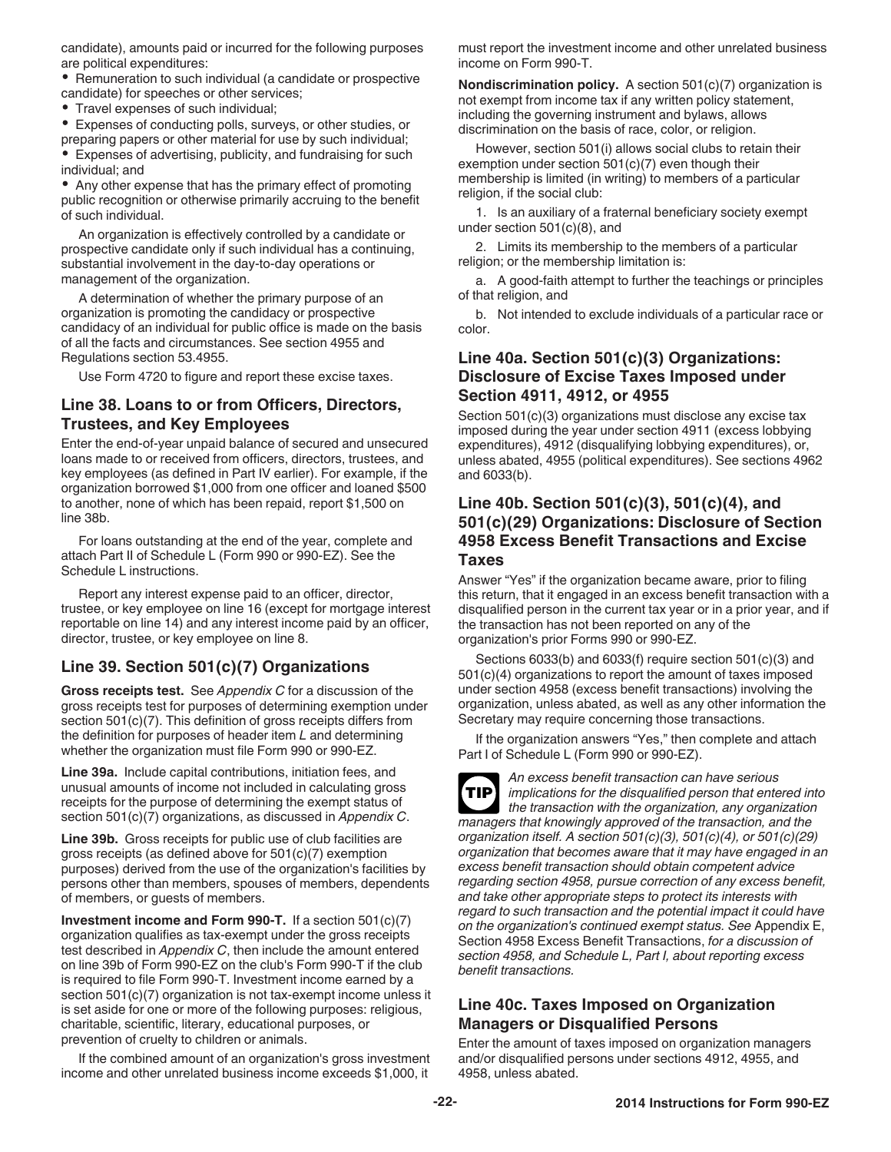<span id="page-21-0"></span>candidate), amounts paid or incurred for the following purposes are political expenditures:

Remuneration to such individual (a candidate or prospective candidate) for speeches or other services;

• Travel expenses of such individual;

Expenses of conducting polls, surveys, or other studies, or

preparing papers or other material for use by such individual;

Expenses of advertising, publicity, and fundraising for such individual; and

Any other expense that has the primary effect of promoting public recognition or otherwise primarily accruing to the benefit of such individual.

An organization is effectively controlled by a candidate or prospective candidate only if such individual has a continuing, substantial involvement in the day-to-day operations or management of the organization.

A determination of whether the primary purpose of an organization is promoting the candidacy or prospective candidacy of an individual for public office is made on the basis of all the facts and circumstances. See section 4955 and Regulations section 53.4955.

Use Form 4720 to figure and report these excise taxes.

#### **Line 38. Loans to or from Officers, Directors, Trustees, and Key Employees**

Enter the end-of-year unpaid balance of secured and unsecured loans made to or received from officers, directors, trustees, and key employees (as defined in Part IV earlier). For example, if the organization borrowed \$1,000 from one officer and loaned \$500 to another, none of which has been repaid, report \$1,500 on line 38b.

For loans outstanding at the end of the year, complete and attach Part II of Schedule L (Form 990 or 990-EZ). See the Schedule L instructions.

Report any interest expense paid to an officer, director, trustee, or key employee on line 16 (except for mortgage interest reportable on line 14) and any interest income paid by an officer, director, trustee, or key employee on line 8.

#### **Line 39. Section 501(c)(7) Organizations**

**Gross receipts test.** See *Appendix C* for a discussion of the gross receipts test for purposes of determining exemption under section 501(c)(7). This definition of gross receipts differs from the definition for purposes of header item *L* and determining whether the organization must file Form 990 or 990-EZ.

**Line 39a.** Include capital contributions, initiation fees, and unusual amounts of income not included in calculating gross receipts for the purpose of determining the exempt status of section 501(c)(7) organizations, as discussed in *Appendix C*.

**Line 39b.** Gross receipts for public use of club facilities are gross receipts (as defined above for 501(c)(7) exemption purposes) derived from the use of the organization's facilities by persons other than members, spouses of members, dependents of members, or guests of members.

**Investment income and Form 990-T.** If a section 501(c)(7) organization qualifies as tax-exempt under the gross receipts test described in *Appendix C*, then include the amount entered on line 39b of Form 990-EZ on the club's Form 990-T if the club is required to file Form 990-T. Investment income earned by a section 501(c)(7) organization is not tax-exempt income unless it is set aside for one or more of the following purposes: religious, charitable, scientific, literary, educational purposes, or prevention of cruelty to children or animals.

If the combined amount of an organization's gross investment income and other unrelated business income exceeds \$1,000, it

must report the investment income and other unrelated business income on Form 990-T.

**Nondiscrimination policy.** A section 501(c)(7) organization is not exempt from income tax if any written policy statement, including the governing instrument and bylaws, allows discrimination on the basis of race, color, or religion.

However, section 501(i) allows social clubs to retain their exemption under section  $501(c)(7)$  even though their membership is limited (in writing) to members of a particular religion, if the social club:

1. Is an auxiliary of a fraternal beneficiary society exempt under section 501(c)(8), and

2. Limits its membership to the members of a particular religion; or the membership limitation is:

a. A good-faith attempt to further the teachings or principles of that religion, and

b. Not intended to exclude individuals of a particular race or color.

#### **Line 40a. Section 501(c)(3) Organizations: Disclosure of Excise Taxes Imposed under Section 4911, 4912, or 4955**

Section 501(c)(3) organizations must disclose any excise tax imposed during the year under section 4911 (excess lobbying expenditures), 4912 (disqualifying lobbying expenditures), or, unless abated, 4955 (political expenditures). See sections 4962 and 6033(b).

#### **Line 40b. Section 501(c)(3), 501(c)(4), and 501(c)(29) Organizations: Disclosure of Section 4958 Excess Benefit Transactions and Excise Taxes**

Answer "Yes" if the organization became aware, prior to filing this return, that it engaged in an excess benefit transaction with a disqualified person in the current tax year or in a prior year, and if the transaction has not been reported on any of the organization's prior Forms 990 or 990-EZ.

Sections 6033(b) and 6033(f) require section 501(c)(3) and 501(c)(4) organizations to report the amount of taxes imposed under section 4958 (excess benefit transactions) involving the organization, unless abated, as well as any other information the Secretary may require concerning those transactions.

If the organization answers "Yes," then complete and attach Part I of Schedule L (Form 990 or 990-EZ).

*An excess benefit transaction can have serious implications for the disqualified person that entered into the transaction with the organization, any organization managers that knowingly approved of the transaction, and the organization itself. A section 501(c)(3), 501(c)(4), or 501(c)(29) organization that becomes aware that it may have engaged in an excess benefit transaction should obtain competent advice regarding section 4958, pursue correction of any excess benefit, and take other appropriate steps to protect its interests with regard to such transaction and the potential impact it could have on the organization's continued exempt status. See* Appendix E, Section 4958 Excess Benefit Transactions, *for a discussion of section 4958, and Schedule L, Part I, about reporting excess benefit transactions.* **TIP**

#### **Line 40c. Taxes Imposed on Organization Managers or Disqualified Persons**

Enter the amount of taxes imposed on organization managers and/or disqualified persons under sections 4912, 4955, and 4958, unless abated.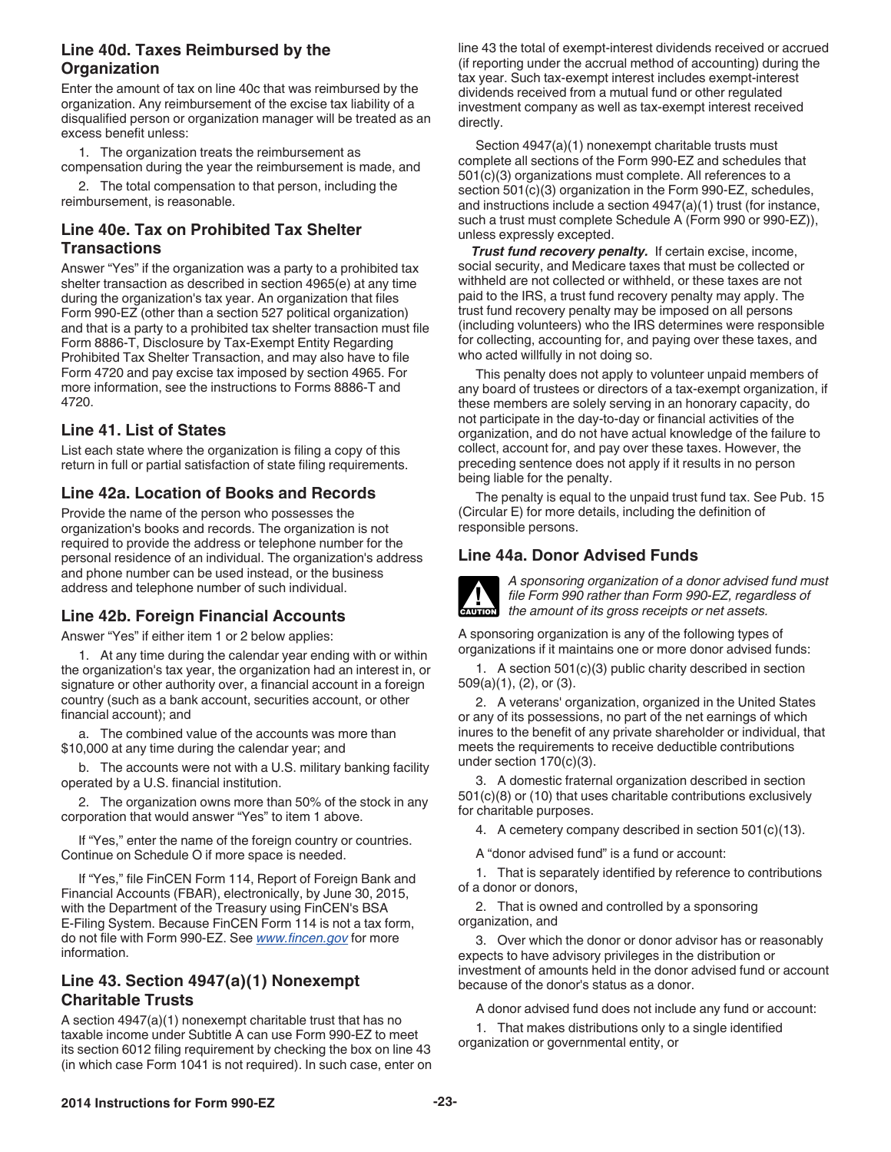#### <span id="page-22-0"></span>**Line 40d. Taxes Reimbursed by the Organization**

Enter the amount of tax on line 40c that was reimbursed by the organization. Any reimbursement of the excise tax liability of a disqualified person or organization manager will be treated as an excess benefit unless:

1. The organization treats the reimbursement as compensation during the year the reimbursement is made, and

2. The total compensation to that person, including the reimbursement, is reasonable.

#### **Line 40e. Tax on Prohibited Tax Shelter Transactions**

Answer "Yes" if the organization was a party to a prohibited tax shelter transaction as described in section 4965(e) at any time during the organization's tax year. An organization that files Form 990-EZ (other than a section 527 political organization) and that is a party to a prohibited tax shelter transaction must file Form 8886-T, Disclosure by Tax-Exempt Entity Regarding Prohibited Tax Shelter Transaction, and may also have to file Form 4720 and pay excise tax imposed by section 4965. For more information, see the instructions to Forms 8886-T and 4720.

#### **Line 41. List of States**

List each state where the organization is filing a copy of this return in full or partial satisfaction of state filing requirements.

#### **Line 42a. Location of Books and Records**

Provide the name of the person who possesses the organization's books and records. The organization is not required to provide the address or telephone number for the personal residence of an individual. The organization's address and phone number can be used instead, or the business address and telephone number of such individual.

#### **Line 42b. Foreign Financial Accounts**

Answer "Yes" if either item 1 or 2 below applies:

1. At any time during the calendar year ending with or within the organization's tax year, the organization had an interest in, or signature or other authority over, a financial account in a foreign country (such as a bank account, securities account, or other financial account); and

a. The combined value of the accounts was more than \$10,000 at any time during the calendar year; and

b. The accounts were not with a U.S. military banking facility operated by a U.S. financial institution.

2. The organization owns more than 50% of the stock in any corporation that would answer "Yes" to item 1 above.

If "Yes," enter the name of the foreign country or countries. Continue on Schedule O if more space is needed.

If "Yes," file FinCEN Form 114, Report of Foreign Bank and Financial Accounts (FBAR), electronically, by June 30, 2015, with the Department of the Treasury using FinCEN's BSA E-Filing System. Because FinCEN Form 114 is not a tax form, do not file with Form 990-EZ. See *[www.fincen.gov](http://www.fincen.gov)* for more information.

#### **Line 43. Section 4947(a)(1) Nonexempt Charitable Trusts**

A section 4947(a)(1) nonexempt charitable trust that has no taxable income under Subtitle A can use Form 990-EZ to meet its section 6012 filing requirement by checking the box on line 43 (in which case Form 1041 is not required). In such case, enter on line 43 the total of exempt-interest dividends received or accrued (if reporting under the accrual method of accounting) during the tax year. Such tax-exempt interest includes exempt-interest dividends received from a mutual fund or other regulated investment company as well as tax-exempt interest received directly.

Section 4947(a)(1) nonexempt charitable trusts must complete all sections of the Form 990-EZ and schedules that 501(c)(3) organizations must complete. All references to a section 501(c)(3) organization in the Form 990-EZ, schedules, and instructions include a section 4947(a)(1) trust (for instance, such a trust must complete Schedule A (Form 990 or 990-EZ)), unless expressly excepted.

*Trust fund recovery penalty.* If certain excise, income, social security, and Medicare taxes that must be collected or withheld are not collected or withheld, or these taxes are not paid to the IRS, a trust fund recovery penalty may apply. The trust fund recovery penalty may be imposed on all persons (including volunteers) who the IRS determines were responsible for collecting, accounting for, and paying over these taxes, and who acted willfully in not doing so.

This penalty does not apply to volunteer unpaid members of any board of trustees or directors of a tax-exempt organization, if these members are solely serving in an honorary capacity, do not participate in the day-to-day or financial activities of the organization, and do not have actual knowledge of the failure to collect, account for, and pay over these taxes. However, the preceding sentence does not apply if it results in no person being liable for the penalty.

The penalty is equal to the unpaid trust fund tax. See Pub. 15 (Circular E) for more details, including the definition of responsible persons.

#### **Line 44a. Donor Advised Funds**



*A sponsoring organization of a donor advised fund must file Form 990 rather than Form 990-EZ, regardless of*  **the Form 990 rather than Form 990-EZ, regard**<br>the amount of its gross receipts or net assets.

A sponsoring organization is any of the following types of organizations if it maintains one or more donor advised funds:

1. A section 501(c)(3) public charity described in section 509(a)(1), (2), or (3).

2. A veterans' organization, organized in the United States or any of its possessions, no part of the net earnings of which inures to the benefit of any private shareholder or individual, that meets the requirements to receive deductible contributions under section 170(c)(3).

3. A domestic fraternal organization described in section 501(c)(8) or (10) that uses charitable contributions exclusively for charitable purposes.

4. A cemetery company described in section 501(c)(13).

A "donor advised fund" is a fund or account:

1. That is separately identified by reference to contributions of a donor or donors,

2. That is owned and controlled by a sponsoring organization, and

3. Over which the donor or donor advisor has or reasonably expects to have advisory privileges in the distribution or investment of amounts held in the donor advised fund or account because of the donor's status as a donor.

A donor advised fund does not include any fund or account:

1. That makes distributions only to a single identified organization or governmental entity, or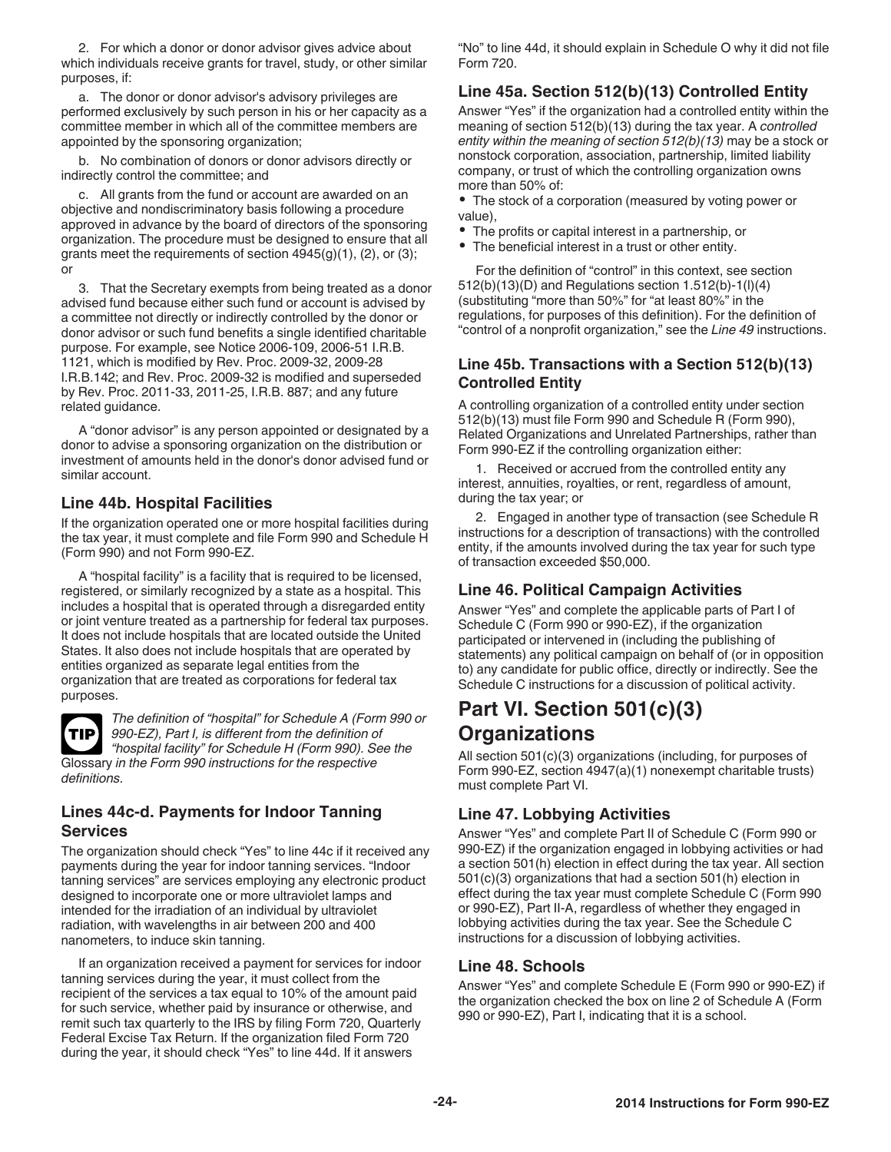<span id="page-23-0"></span>2. For which a donor or donor advisor gives advice about which individuals receive grants for travel, study, or other similar purposes, if:

a. The donor or donor advisor's advisory privileges are performed exclusively by such person in his or her capacity as a committee member in which all of the committee members are appointed by the sponsoring organization;

b. No combination of donors or donor advisors directly or indirectly control the committee; and

c. All grants from the fund or account are awarded on an objective and nondiscriminatory basis following a procedure approved in advance by the board of directors of the sponsoring organization. The procedure must be designed to ensure that all grants meet the requirements of section 4945(g)(1), (2), or (3); or

3. That the Secretary exempts from being treated as a donor advised fund because either such fund or account is advised by a committee not directly or indirectly controlled by the donor or donor advisor or such fund benefits a single identified charitable purpose. For example, see Notice 2006-109, 2006-51 I.R.B. 1121, which is modified by Rev. Proc. 2009-32, 2009-28 I.R.B.142; and Rev. Proc. 2009-32 is modified and superseded by Rev. Proc. 2011-33, 2011-25, I.R.B. 887; and any future related guidance.

A "donor advisor" is any person appointed or designated by a donor to advise a sponsoring organization on the distribution or investment of amounts held in the donor's donor advised fund or similar account.

#### **Line 44b. Hospital Facilities**

If the organization operated one or more hospital facilities during the tax year, it must complete and file Form 990 and Schedule H (Form 990) and not Form 990-EZ.

A "hospital facility" is a facility that is required to be licensed, registered, or similarly recognized by a state as a hospital. This includes a hospital that is operated through a disregarded entity or joint venture treated as a partnership for federal tax purposes. It does not include hospitals that are located outside the United States. It also does not include hospitals that are operated by entities organized as separate legal entities from the organization that are treated as corporations for federal tax purposes.



*The definition of "hospital" for Schedule A (Form 990 or 990-EZ), Part I, is different from the definition of "hospital facility" for Schedule H (Form 990). See the*  Glossary *in the Form 990 instructions for the respective definitions.*

#### **Lines 44c-d. Payments for Indoor Tanning Services**

The organization should check "Yes" to line 44c if it received any payments during the year for indoor tanning services. "Indoor tanning services" are services employing any electronic product designed to incorporate one or more ultraviolet lamps and intended for the irradiation of an individual by ultraviolet radiation, with wavelengths in air between 200 and 400 nanometers, to induce skin tanning.

If an organization received a payment for services for indoor tanning services during the year, it must collect from the recipient of the services a tax equal to 10% of the amount paid for such service, whether paid by insurance or otherwise, and remit such tax quarterly to the IRS by filing Form 720, Quarterly Federal Excise Tax Return. If the organization filed Form 720 during the year, it should check "Yes" to line 44d. If it answers

"No" to line 44d, it should explain in Schedule O why it did not file Form 720.

#### **Line 45a. Section 512(b)(13) Controlled Entity**

Answer "Yes" if the organization had a controlled entity within the meaning of section 512(b)(13) during the tax year. A *controlled entity within the meaning of section 512(b)(13)* may be a stock or nonstock corporation, association, partnership, limited liability company, or trust of which the controlling organization owns more than 50% of:

The stock of a corporation (measured by voting power or value),

- The profits or capital interest in a partnership, or
- The beneficial interest in a trust or other entity.

For the definition of "control" in this context, see section 512(b)(13)(D) and Regulations section 1.512(b)-1(l)(4) (substituting "more than 50%" for "at least 80%" in the regulations, for purposes of this definition). For the definition of "control of a nonprofit organization," see the *Line 49* instructions.

#### **Line 45b. Transactions with a Section 512(b)(13) Controlled Entity**

A controlling organization of a controlled entity under section 512(b)(13) must file Form 990 and Schedule R (Form 990), Related Organizations and Unrelated Partnerships, rather than Form 990-EZ if the controlling organization either:

1. Received or accrued from the controlled entity any interest, annuities, royalties, or rent, regardless of amount, during the tax year; or

2. Engaged in another type of transaction (see Schedule R instructions for a description of transactions) with the controlled entity, if the amounts involved during the tax year for such type of transaction exceeded \$50,000.

#### **Line 46. Political Campaign Activities**

Answer "Yes" and complete the applicable parts of Part I of Schedule C (Form 990 or 990-EZ), if the organization participated or intervened in (including the publishing of statements) any political campaign on behalf of (or in opposition to) any candidate for public office, directly or indirectly. See the Schedule C instructions for a discussion of political activity.

## **Part VI. Section 501(c)(3) Organizations**

All section 501(c)(3) organizations (including, for purposes of Form 990-EZ, section 4947(a)(1) nonexempt charitable trusts) must complete Part VI.

#### **Line 47. Lobbying Activities**

Answer "Yes" and complete Part II of Schedule C (Form 990 or 990-EZ) if the organization engaged in lobbying activities or had a section 501(h) election in effect during the tax year. All section 501(c)(3) organizations that had a section 501(h) election in effect during the tax year must complete Schedule C (Form 990 or 990-EZ), Part II-A, regardless of whether they engaged in lobbying activities during the tax year. See the Schedule C instructions for a discussion of lobbying activities.

#### **Line 48. Schools**

Answer "Yes" and complete Schedule E (Form 990 or 990-EZ) if the organization checked the box on line 2 of Schedule A (Form 990 or 990-EZ), Part I, indicating that it is a school.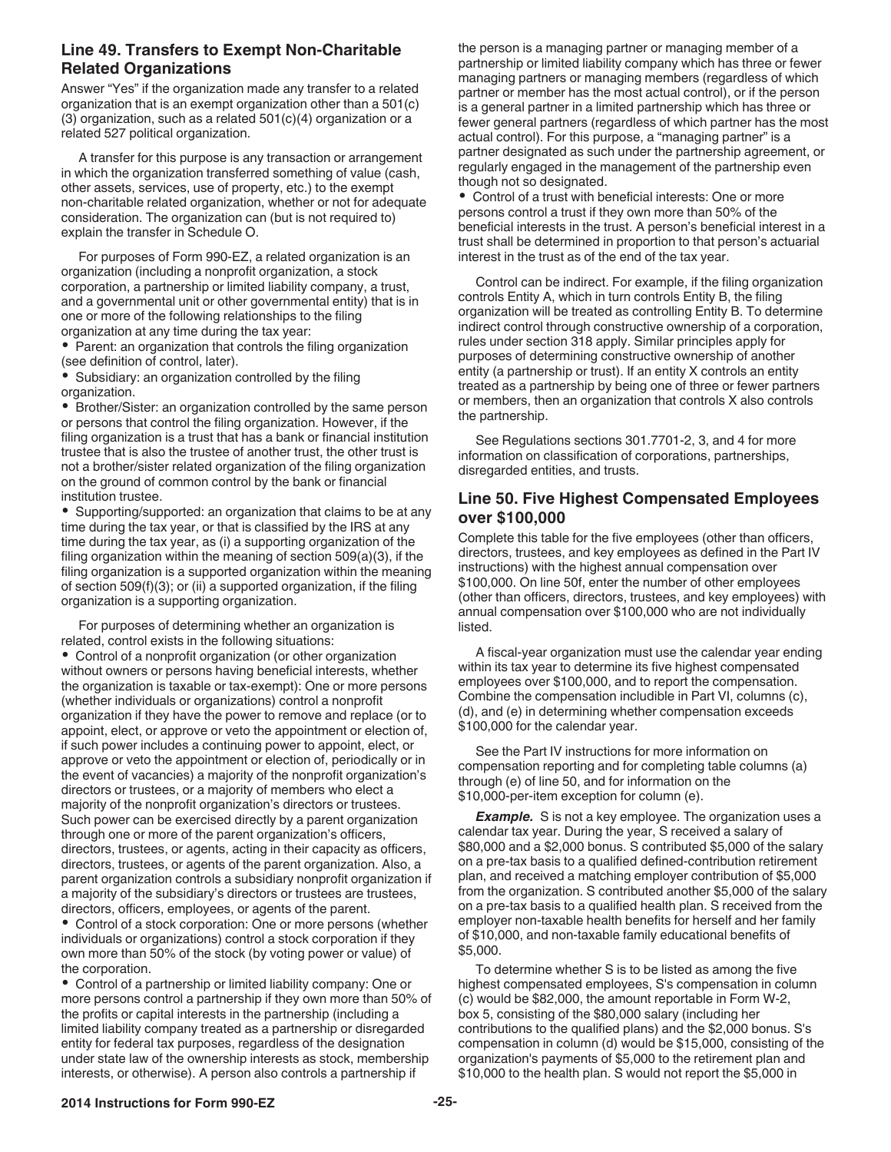#### <span id="page-24-0"></span>**Line 49. Transfers to Exempt Non-Charitable Related Organizations**

Answer "Yes" if the organization made any transfer to a related organization that is an exempt organization other than a 501(c) (3) organization, such as a related 501(c)(4) organization or a related 527 political organization.

A transfer for this purpose is any transaction or arrangement in which the organization transferred something of value (cash, other assets, services, use of property, etc.) to the exempt non-charitable related organization, whether or not for adequate consideration. The organization can (but is not required to) explain the transfer in Schedule O.

For purposes of Form 990-EZ, a related organization is an organization (including a nonprofit organization, a stock corporation, a partnership or limited liability company, a trust, and a governmental unit or other governmental entity) that is in one or more of the following relationships to the filing organization at any time during the tax year:

• Parent: an organization that controls the filing organization (see definition of control, later).

Subsidiary: an organization controlled by the filing organization.

Brother/Sister: an organization controlled by the same person or persons that control the filing organization. However, if the filing organization is a trust that has a bank or financial institution trustee that is also the trustee of another trust, the other trust is not a brother/sister related organization of the filing organization on the ground of common control by the bank or financial institution trustee.

Supporting/supported: an organization that claims to be at any time during the tax year, or that is classified by the IRS at any time during the tax year, as (i) a supporting organization of the filing organization within the meaning of section 509(a)(3), if the filing organization is a supported organization within the meaning of section 509(f)(3); or (ii) a supported organization, if the filing organization is a supporting organization.

For purposes of determining whether an organization is related, control exists in the following situations:

Control of a nonprofit organization (or other organization without owners or persons having beneficial interests, whether the organization is taxable or tax-exempt): One or more persons (whether individuals or organizations) control a nonprofit organization if they have the power to remove and replace (or to appoint, elect, or approve or veto the appointment or election of, if such power includes a continuing power to appoint, elect, or approve or veto the appointment or election of, periodically or in the event of vacancies) a majority of the nonprofit organization's directors or trustees, or a majority of members who elect a majority of the nonprofit organization's directors or trustees. Such power can be exercised directly by a parent organization through one or more of the parent organization's officers, directors, trustees, or agents, acting in their capacity as officers, directors, trustees, or agents of the parent organization. Also, a parent organization controls a subsidiary nonprofit organization if a majority of the subsidiary's directors or trustees are trustees, directors, officers, employees, or agents of the parent.

Control of a stock corporation: One or more persons (whether individuals or organizations) control a stock corporation if they own more than 50% of the stock (by voting power or value) of the corporation.

Control of a partnership or limited liability company: One or more persons control a partnership if they own more than 50% of the profits or capital interests in the partnership (including a limited liability company treated as a partnership or disregarded entity for federal tax purposes, regardless of the designation under state law of the ownership interests as stock, membership interests, or otherwise). A person also controls a partnership if

the person is a managing partner or managing member of a partnership or limited liability company which has three or fewer managing partners or managing members (regardless of which partner or member has the most actual control), or if the person is a general partner in a limited partnership which has three or fewer general partners (regardless of which partner has the most actual control). For this purpose, a "managing partner" is a partner designated as such under the partnership agreement, or regularly engaged in the management of the partnership even though not so designated.

Control of a trust with beneficial interests: One or more persons control a trust if they own more than 50% of the beneficial interests in the trust. A person's beneficial interest in a trust shall be determined in proportion to that person's actuarial interest in the trust as of the end of the tax year.

Control can be indirect. For example, if the filing organization controls Entity A, which in turn controls Entity B, the filing organization will be treated as controlling Entity B. To determine indirect control through constructive ownership of a corporation, rules under section 318 apply. Similar principles apply for purposes of determining constructive ownership of another entity (a partnership or trust). If an entity X controls an entity treated as a partnership by being one of three or fewer partners or members, then an organization that controls X also controls the partnership.

See Regulations sections 301.7701-2, 3, and 4 for more information on classification of corporations, partnerships, disregarded entities, and trusts.

#### **Line 50. Five Highest Compensated Employees over \$100,000**

Complete this table for the five employees (other than officers, directors, trustees, and key employees as defined in the Part IV instructions) with the highest annual compensation over \$100,000. On line 50f, enter the number of other employees (other than officers, directors, trustees, and key employees) with annual compensation over \$100,000 who are not individually listed.

A fiscal-year organization must use the calendar year ending within its tax year to determine its five highest compensated employees over \$100,000, and to report the compensation. Combine the compensation includible in Part VI, columns (c), (d), and (e) in determining whether compensation exceeds \$100,000 for the calendar year.

See the Part IV instructions for more information on compensation reporting and for completing table columns (a) through (e) of line 50, and for information on the \$10,000-per-item exception for column (e).

*Example.* S is not a key employee. The organization uses a calendar tax year. During the year, S received a salary of \$80,000 and a \$2,000 bonus. S contributed \$5,000 of the salary on a pre-tax basis to a qualified defined-contribution retirement plan, and received a matching employer contribution of \$5,000 from the organization. S contributed another \$5,000 of the salary on a pre-tax basis to a qualified health plan. S received from the employer non-taxable health benefits for herself and her family of \$10,000, and non-taxable family educational benefits of \$5,000.

To determine whether S is to be listed as among the five highest compensated employees, S's compensation in column (c) would be \$82,000, the amount reportable in Form W-2, box 5, consisting of the \$80,000 salary (including her contributions to the qualified plans) and the \$2,000 bonus. S's compensation in column (d) would be \$15,000, consisting of the organization's payments of \$5,000 to the retirement plan and \$10,000 to the health plan. S would not report the \$5,000 in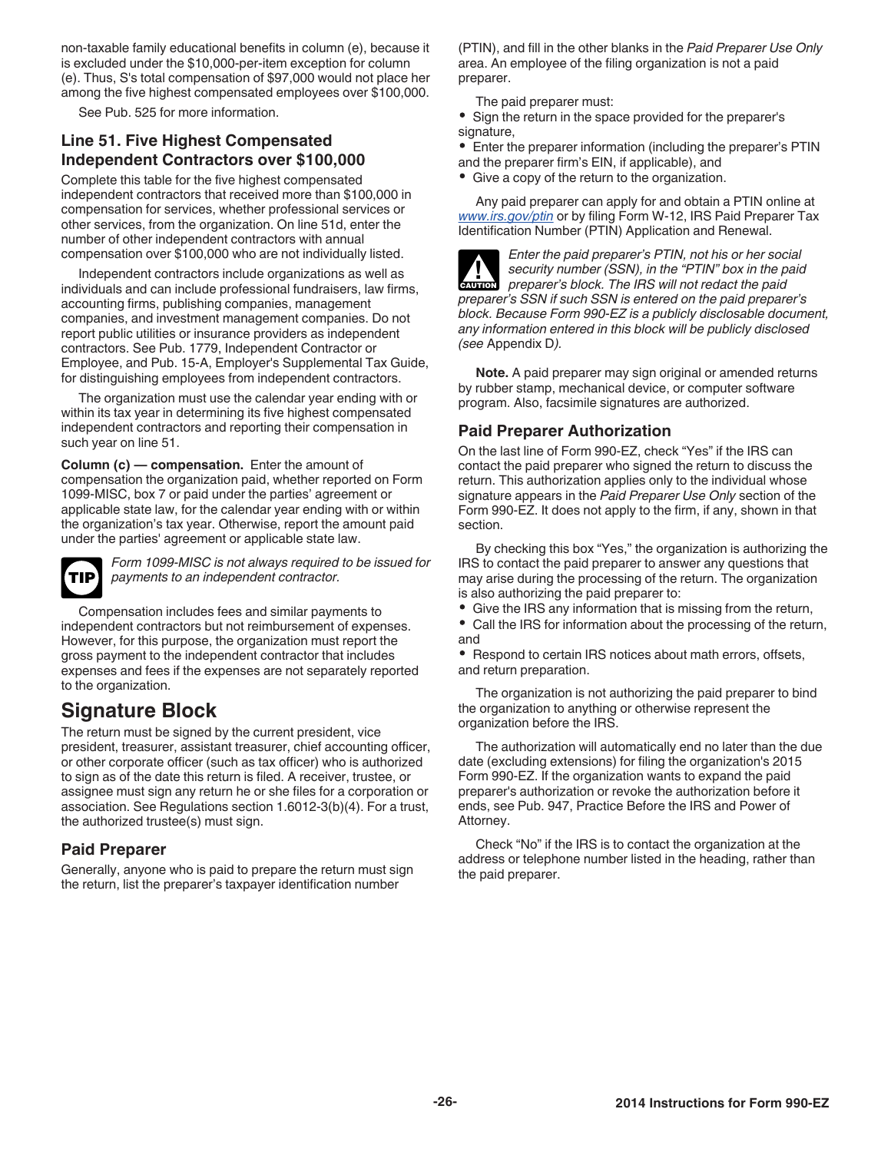<span id="page-25-0"></span>non-taxable family educational benefits in column (e), because it is excluded under the \$10,000-per-item exception for column (e). Thus, S's total compensation of \$97,000 would not place her among the five highest compensated employees over \$100,000.

See Pub. 525 for more information.

### **Line 51. Five Highest Compensated Independent Contractors over \$100,000**

Complete this table for the five highest compensated independent contractors that received more than \$100,000 in compensation for services, whether professional services or other services, from the organization. On line 51d, enter the number of other independent contractors with annual compensation over \$100,000 who are not individually listed.

Independent contractors include organizations as well as individuals and can include professional fundraisers, law firms, accounting firms, publishing companies, management companies, and investment management companies. Do not report public utilities or insurance providers as independent contractors. See Pub. 1779, Independent Contractor or Employee, and Pub. 15-A, Employer's Supplemental Tax Guide, for distinguishing employees from independent contractors.

The organization must use the calendar year ending with or within its tax year in determining its five highest compensated independent contractors and reporting their compensation in such year on line 51.

**Column (c) — compensation.** Enter the amount of compensation the organization paid, whether reported on Form 1099-MISC, box 7 or paid under the parties' agreement or applicable state law, for the calendar year ending with or within the organization's tax year. Otherwise, report the amount paid under the parties' agreement or applicable state law.



*Form 1099-MISC is not always required to be issued for payments to an independent contractor.*

Compensation includes fees and similar payments to independent contractors but not reimbursement of expenses. However, for this purpose, the organization must report the gross payment to the independent contractor that includes expenses and fees if the expenses are not separately reported to the organization.

## **Signature Block**

The return must be signed by the current president, vice president, treasurer, assistant treasurer, chief accounting officer, or other corporate officer (such as tax officer) who is authorized to sign as of the date this return is filed. A receiver, trustee, or assignee must sign any return he or she files for a corporation or association. See Regulations section 1.6012-3(b)(4). For a trust, the authorized trustee(s) must sign.

#### **Paid Preparer**

Generally, anyone who is paid to prepare the return must sign the return, list the preparer's taxpayer identification number

(PTIN), and fill in the other blanks in the *Paid Preparer Use Only*  area. An employee of the filing organization is not a paid preparer.

The paid preparer must:

• Sign the return in the space provided for the preparer's signature,

Enter the preparer information (including the preparer's PTIN and the preparer firm's EIN, if applicable), and

Give a copy of the return to the organization.

Any paid preparer can apply for and obtain a PTIN online at *[www.irs.gov/ptin](http://www.irs.gov/Tax-Professionals/PTIN-Requirements-for-Tax-Return-Preparers)* or by filing Form W-12, IRS Paid Preparer Tax Identification Number (PTIN) Application and Renewal.



*Enter the paid preparer's PTIN, not his or her social security number (SSN), in the "PTIN" box in the paid preparer's block. The IRS will not redact the paid preparer's SSN if such SSN is entered on the paid preparer's block. Because Form 990-EZ is a publicly disclosable document, any information entered in this block will be publicly disclosed (see* Appendix D*).* **CAUTION !**

**Note.** A paid preparer may sign original or amended returns by rubber stamp, mechanical device, or computer software program. Also, facsimile signatures are authorized.

#### **Paid Preparer Authorization**

On the last line of Form 990-EZ, check "Yes" if the IRS can contact the paid preparer who signed the return to discuss the return. This authorization applies only to the individual whose signature appears in the *Paid Preparer Use Only* section of the Form 990-EZ. It does not apply to the firm, if any, shown in that section.

By checking this box "Yes," the organization is authorizing the IRS to contact the paid preparer to answer any questions that may arise during the processing of the return. The organization is also authorizing the paid preparer to:

Give the IRS any information that is missing from the return,

Call the IRS for information about the processing of the return, and

Respond to certain IRS notices about math errors, offsets, and return preparation.

The organization is not authorizing the paid preparer to bind the organization to anything or otherwise represent the organization before the IRS.

The authorization will automatically end no later than the due date (excluding extensions) for filing the organization's 2015 Form 990-EZ. If the organization wants to expand the paid preparer's authorization or revoke the authorization before it ends, see Pub. 947, Practice Before the IRS and Power of Attorney.

Check "No" if the IRS is to contact the organization at the address or telephone number listed in the heading, rather than the paid preparer.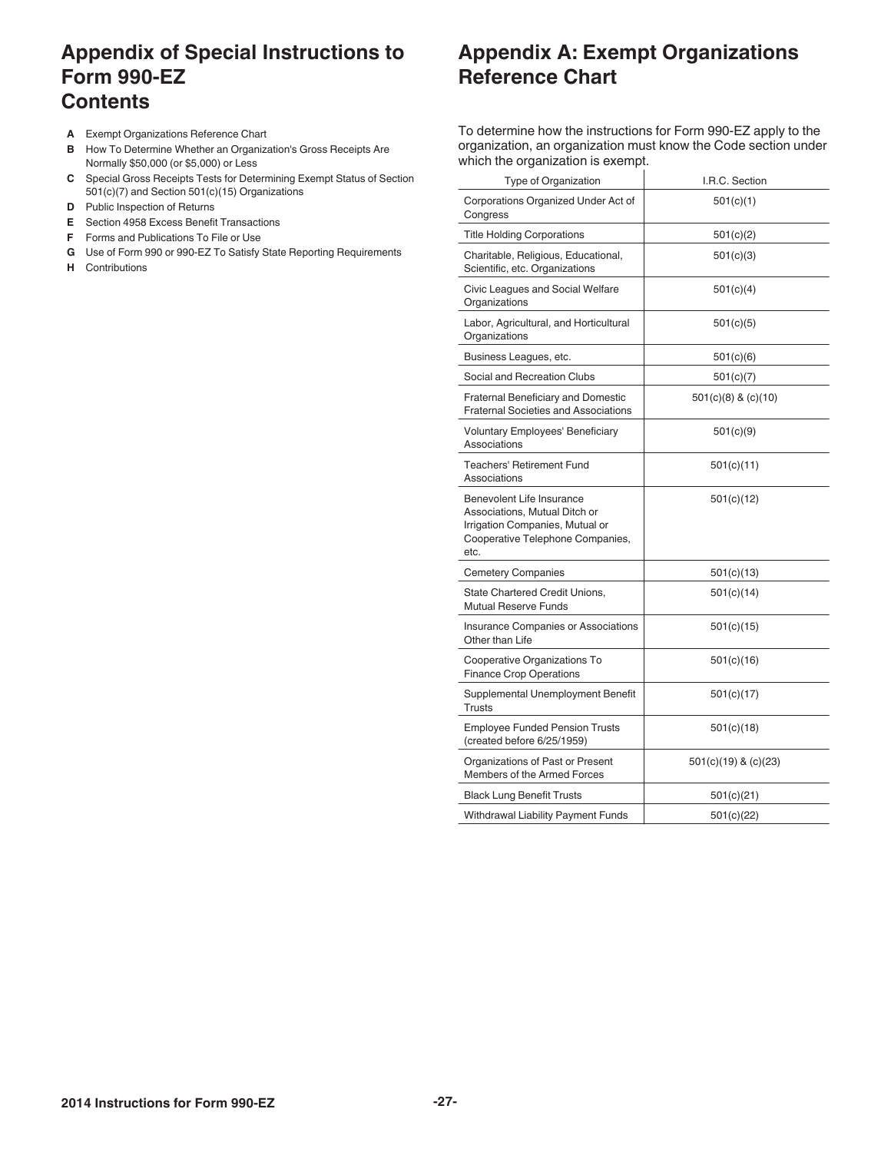## <span id="page-26-0"></span>**Appendix of Special Instructions to Form 990-EZ Contents**

- **A** Exempt Organizations Reference Chart
- **B** How To Determine Whether an Organization's Gross Receipts Are Normally \$50,000 (or \$5,000) or Less
- **C** Special Gross Receipts Tests for Determining Exempt Status of Section 501(c)(7) and Section 501(c)(15) Organizations
- **D** Public Inspection of Returns
- **E** Section 4958 Excess Benefit Transactions
- **F** Forms and Publications To File or Use
- **G** Use of Form 990 or 990-EZ To Satisfy State Reporting Requirements
- **H** Contributions

## **Appendix A: Exempt Organizations Reference Chart**

To determine how the instructions for Form 990-EZ apply to the organization, an organization must know the Code section under which the organization is exempt.

| Type of Organization                                                                                                                      | I.R.C. Section           |
|-------------------------------------------------------------------------------------------------------------------------------------------|--------------------------|
| Corporations Organized Under Act of<br>Congress                                                                                           | 501(c)(1)                |
| <b>Title Holding Corporations</b>                                                                                                         | 501(c)(2)                |
| Charitable, Religious, Educational,<br>Scientific, etc. Organizations                                                                     | 501(c)(3)                |
| Civic Leagues and Social Welfare<br>Organizations                                                                                         | 501(c)(4)                |
| Labor, Agricultural, and Horticultural<br>Organizations                                                                                   | 501(c)(5)                |
| Business Leagues, etc.                                                                                                                    | 501(c)(6)                |
| Social and Recreation Clubs                                                                                                               | 501(c)(7)                |
| <b>Fraternal Beneficiary and Domestic</b><br><b>Fraternal Societies and Associations</b>                                                  | 501(c)(8) & (c)(10)      |
| Voluntary Employees' Beneficiary<br>Associations                                                                                          | 501(c)(9)                |
| <b>Teachers' Retirement Fund</b><br>Associations                                                                                          | 501(c)(11)               |
| Benevolent Life Insurance<br>Associations, Mutual Ditch or<br>Irrigation Companies, Mutual or<br>Cooperative Telephone Companies,<br>etc. | 501(c)(12)               |
| <b>Cemetery Companies</b>                                                                                                                 | 501(c)(13)               |
| State Chartered Credit Unions,<br><b>Mutual Reserve Funds</b>                                                                             | 501(c)(14)               |
| <b>Insurance Companies or Associations</b><br>Other than Life                                                                             | 501(c)(15)               |
| Cooperative Organizations To<br><b>Finance Crop Operations</b>                                                                            | 501(c)(16)               |
| Supplemental Unemployment Benefit<br>Trusts                                                                                               | 501(c)(17)               |
| <b>Employee Funded Pension Trusts</b><br>(created before 6/25/1959)                                                                       | 501(c)(18)               |
| Organizations of Past or Present<br>Members of the Armed Forces                                                                           | $501(c)(19)$ & $(c)(23)$ |
| <b>Black Lung Benefit Trusts</b>                                                                                                          | 501(c)(21)               |
| Withdrawal Liability Payment Funds                                                                                                        | 501(c)(22)               |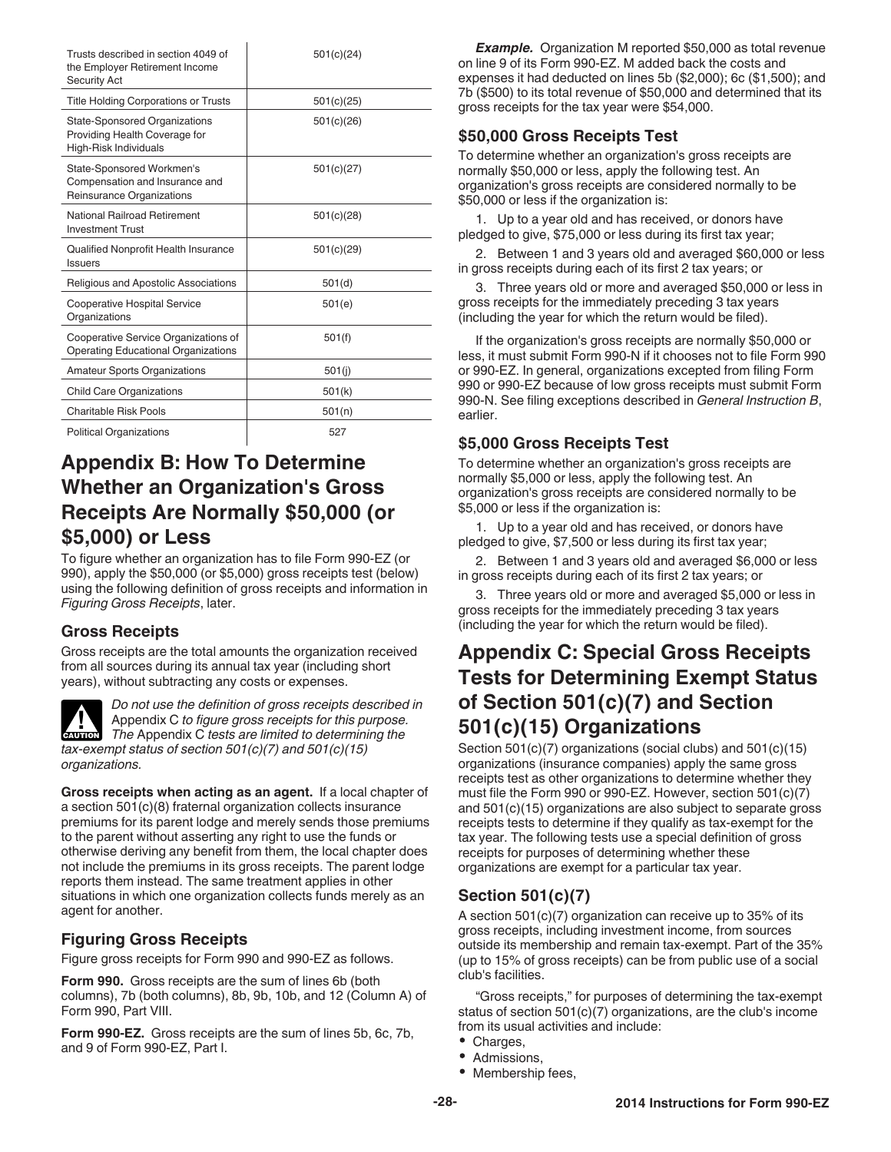<span id="page-27-0"></span>

| Trusts described in section 4049 of<br>the Employer Retirement Income<br><b>Security Act</b>   | 501(c)(24) |
|------------------------------------------------------------------------------------------------|------------|
| <b>Title Holding Corporations or Trusts</b>                                                    | 501(c)(25) |
| <b>State-Sponsored Organizations</b><br>Providing Health Coverage for<br>High-Risk Individuals | 501(c)(26) |
| State-Sponsored Workmen's<br>Compensation and Insurance and<br>Reinsurance Organizations       | 501(c)(27) |
| National Railroad Retirement<br><b>Investment Trust</b>                                        | 501(c)(28) |
| <b>Qualified Nonprofit Health Insurance</b><br><b>Issuers</b>                                  | 501(c)(29) |
| Religious and Apostolic Associations                                                           | 501(d)     |
| <b>Cooperative Hospital Service</b><br>Organizations                                           | 501(e)     |
| Cooperative Service Organizations of<br><b>Operating Educational Organizations</b>             | 501(f)     |
| <b>Amateur Sports Organizations</b>                                                            | 501(j)     |
| <b>Child Care Organizations</b>                                                                | 501(k)     |
| Charitable Risk Pools                                                                          | 501(n)     |
| <b>Political Organizations</b>                                                                 | 527        |

## **Appendix B: How To Determine Whether an Organization's Gross Receipts Are Normally \$50,000 (or \$5,000) or Less**

To figure whether an organization has to file Form 990-EZ (or 990), apply the \$50,000 (or \$5,000) gross receipts test (below) using the following definition of gross receipts and information in *Figuring Gross Receipts*, later.

#### **Gross Receipts**

Gross receipts are the total amounts the organization received from all sources during its annual tax year (including short years), without subtracting any costs or expenses.



*Do not use the definition of gross receipts described in*  Appendix C *to figure gross receipts for this purpose.*  **EXECUTE:** Appendix C to figure gross receipts for this purpose.<br>
The Appendix C tests are limited to determining the *tax-exempt status of section 501(c)(7) and 501(c)(15) organizations.*

**Gross receipts when acting as an agent.** If a local chapter of a section 501(c)(8) fraternal organization collects insurance premiums for its parent lodge and merely sends those premiums to the parent without asserting any right to use the funds or otherwise deriving any benefit from them, the local chapter does not include the premiums in its gross receipts. The parent lodge reports them instead. The same treatment applies in other situations in which one organization collects funds merely as an agent for another.

#### **Figuring Gross Receipts**

Figure gross receipts for Form 990 and 990-EZ as follows.

**Form 990.** Gross receipts are the sum of lines 6b (both columns), 7b (both columns), 8b, 9b, 10b, and 12 (Column A) of Form 990, Part VIII.

**Form 990-EZ.** Gross receipts are the sum of lines 5b, 6c, 7b, and 9 of Form 990-EZ, Part I.

*Example.* Organization M reported \$50,000 as total revenue on line 9 of its Form 990-EZ. M added back the costs and expenses it had deducted on lines 5b (\$2,000); 6c (\$1,500); and 7b (\$500) to its total revenue of \$50,000 and determined that its gross receipts for the tax year were \$54,000.

#### **\$50,000 Gross Receipts Test**

To determine whether an organization's gross receipts are normally \$50,000 or less, apply the following test. An organization's gross receipts are considered normally to be \$50,000 or less if the organization is:

1. Up to a year old and has received, or donors have pledged to give, \$75,000 or less during its first tax year;

2. Between 1 and 3 years old and averaged \$60,000 or less in gross receipts during each of its first 2 tax years; or

3. Three years old or more and averaged \$50,000 or less in gross receipts for the immediately preceding 3 tax years (including the year for which the return would be filed).

If the organization's gross receipts are normally \$50,000 or less, it must submit Form 990-N if it chooses not to file Form 990 or 990-EZ. In general, organizations excepted from filing Form 990 or 990-EZ because of low gross receipts must submit Form 990-N. See filing exceptions described in *General Instruction B*, earlier.

#### **\$5,000 Gross Receipts Test**

To determine whether an organization's gross receipts are normally \$5,000 or less, apply the following test. An organization's gross receipts are considered normally to be \$5,000 or less if the organization is:

1. Up to a year old and has received, or donors have pledged to give, \$7,500 or less during its first tax year;

2. Between 1 and 3 years old and averaged \$6,000 or less in gross receipts during each of its first 2 tax years; or

3. Three years old or more and averaged \$5,000 or less in gross receipts for the immediately preceding 3 tax years (including the year for which the return would be filed).

## **Appendix C: Special Gross Receipts Tests for Determining Exempt Status of Section 501(c)(7) and Section 501(c)(15) Organizations**

Section 501(c)(7) organizations (social clubs) and 501(c)(15) organizations (insurance companies) apply the same gross receipts test as other organizations to determine whether they must file the Form 990 or 990-EZ. However, section 501(c)(7) and 501(c)(15) organizations are also subject to separate gross receipts tests to determine if they qualify as tax-exempt for the tax year. The following tests use a special definition of gross receipts for purposes of determining whether these organizations are exempt for a particular tax year.

## **Section 501(c)(7)**

A section 501(c)(7) organization can receive up to 35% of its gross receipts, including investment income, from sources outside its membership and remain tax-exempt. Part of the 35% (up to 15% of gross receipts) can be from public use of a social club's facilities.

"Gross receipts," for purposes of determining the tax-exempt status of section 501(c)(7) organizations, are the club's income from its usual activities and include:

- Charges,
- Admissions,
- Membership fees,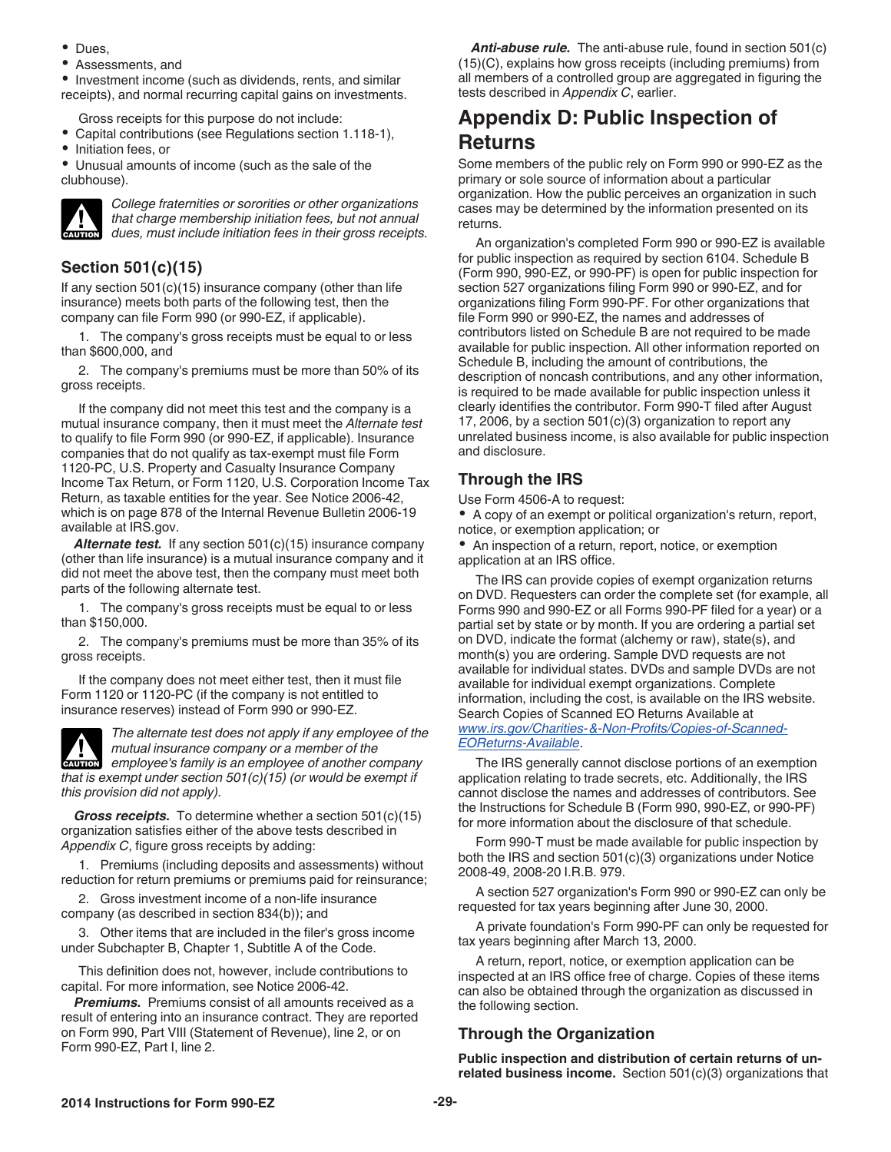- <span id="page-28-0"></span>• Dues,
- Assessments, and

• Investment income (such as dividends, rents, and similar receipts), and normal recurring capital gains on investments.

Gross receipts for this purpose do not include:

- Capital contributions (see Regulations section 1.118-1),
- Initiation fees, or

Unusual amounts of income (such as the sale of the clubhouse).



*College fraternities or sororities or other organizations that charge membership initiation fees, but not annual dues, must include initiation fees in their gross receipts.*

### **Section 501(c)(15)**

If any section  $501(c)(15)$  insurance company (other than life insurance) meets both parts of the following test, then the company can file Form 990 (or 990-EZ, if applicable).

1. The company's gross receipts must be equal to or less than \$600,000, and

2. The company's premiums must be more than 50% of its gross receipts.

If the company did not meet this test and the company is a mutual insurance company, then it must meet the *Alternate test*  to qualify to file Form 990 (or 990-EZ, if applicable). Insurance companies that do not qualify as tax-exempt must file Form 1120-PC, U.S. Property and Casualty Insurance Company Income Tax Return, or Form 1120, U.S. Corporation Income Tax Return, as taxable entities for the year. See Notice 2006-42, which is on page 878 of the Internal Revenue Bulletin 2006-19 available at IRS.gov.

*Alternate test.* If any section 501(c)(15) insurance company (other than life insurance) is a mutual insurance company and it did not meet the above test, then the company must meet both parts of the following alternate test.

1. The company's gross receipts must be equal to or less than \$150,000.

2. The company's premiums must be more than 35% of its gross receipts.

If the company does not meet either test, then it must file Form 1120 or 1120-PC (if the company is not entitled to insurance reserves) instead of Form 990 or 990-EZ.



*The alternate test does not apply if any employee of the mutual insurance company or a member of the*  **Product** *employee's family is an employee of another company or a member of the that is exempt under section 501(c)(15) (or would be exempt if this provision did not apply).*

*Gross receipts.* To determine whether a section 501(c)(15) organization satisfies either of the above tests described in *Appendix C*, figure gross receipts by adding:

1. Premiums (including deposits and assessments) without reduction for return premiums or premiums paid for reinsurance;

2. Gross investment income of a non-life insurance company (as described in section 834(b)); and

3. Other items that are included in the filer's gross income under Subchapter B, Chapter 1, Subtitle A of the Code.

This definition does not, however, include contributions to capital. For more information, see Notice 2006-42.

**Premiums.** Premiums consist of all amounts received as a result of entering into an insurance contract. They are reported on Form 990, Part VIII (Statement of Revenue), line 2, or on Form 990-EZ, Part I, line 2.

*Anti-abuse rule.* The anti-abuse rule, found in section 501(c) (15)(C), explains how gross receipts (including premiums) from all members of a controlled group are aggregated in figuring the tests described in *Appendix C*, earlier.

## **Appendix D: Public Inspection of Returns**

Some members of the public rely on Form 990 or 990-EZ as the primary or sole source of information about a particular organization. How the public perceives an organization in such cases may be determined by the information presented on its returns.

An organization's completed Form 990 or 990-EZ is available for public inspection as required by section 6104. Schedule B (Form 990, 990-EZ, or 990-PF) is open for public inspection for section 527 organizations filing Form 990 or 990-EZ, and for organizations filing Form 990-PF. For other organizations that file Form 990 or 990-EZ, the names and addresses of contributors listed on Schedule B are not required to be made available for public inspection. All other information reported on Schedule B, including the amount of contributions, the description of noncash contributions, and any other information, is required to be made available for public inspection unless it clearly identifies the contributor. Form 990-T filed after August 17, 2006, by a section 501(c)(3) organization to report any unrelated business income, is also available for public inspection and disclosure.

#### **Through the IRS**

Use Form 4506-A to request:

A copy of an exempt or political organization's return, report, notice, or exemption application; or

An inspection of a return, report, notice, or exemption application at an IRS office.

The IRS can provide copies of exempt organization returns on DVD. Requesters can order the complete set (for example, all Forms 990 and 990-EZ or all Forms 990-PF filed for a year) or a partial set by state or by month. If you are ordering a partial set on DVD, indicate the format (alchemy or raw), state(s), and month(s) you are ordering. Sample DVD requests are not available for individual states. DVDs and sample DVDs are not available for individual exempt organizations. Complete information, including the cost, is available on the IRS website. Search Copies of Scanned EO Returns Available at *[www.irs.gov/Charities-&-Non-Profits/Copies-of-Scanned-](http://www.irs.gov/Charities-&-Non-Profits/Copies-of-Scanned-EO-Returns-Available)[EOReturns-Available](http://www.irs.gov/Charities-&-Non-Profits/Copies-of-Scanned-EO-Returns-Available)*.

The IRS generally cannot disclose portions of an exemption application relating to trade secrets, etc. Additionally, the IRS cannot disclose the names and addresses of contributors. See the Instructions for Schedule B (Form 990, 990-EZ, or 990-PF) for more information about the disclosure of that schedule.

Form 990-T must be made available for public inspection by both the IRS and section 501(c)(3) organizations under Notice 2008-49, 2008-20 I.R.B. 979.

A section 527 organization's Form 990 or 990-EZ can only be requested for tax years beginning after June 30, 2000.

A private foundation's Form 990-PF can only be requested for tax years beginning after March 13, 2000.

A return, report, notice, or exemption application can be inspected at an IRS office free of charge. Copies of these items can also be obtained through the organization as discussed in the following section.

#### **Through the Organization**

**Public inspection and distribution of certain returns of unrelated business income.** Section 501(c)(3) organizations that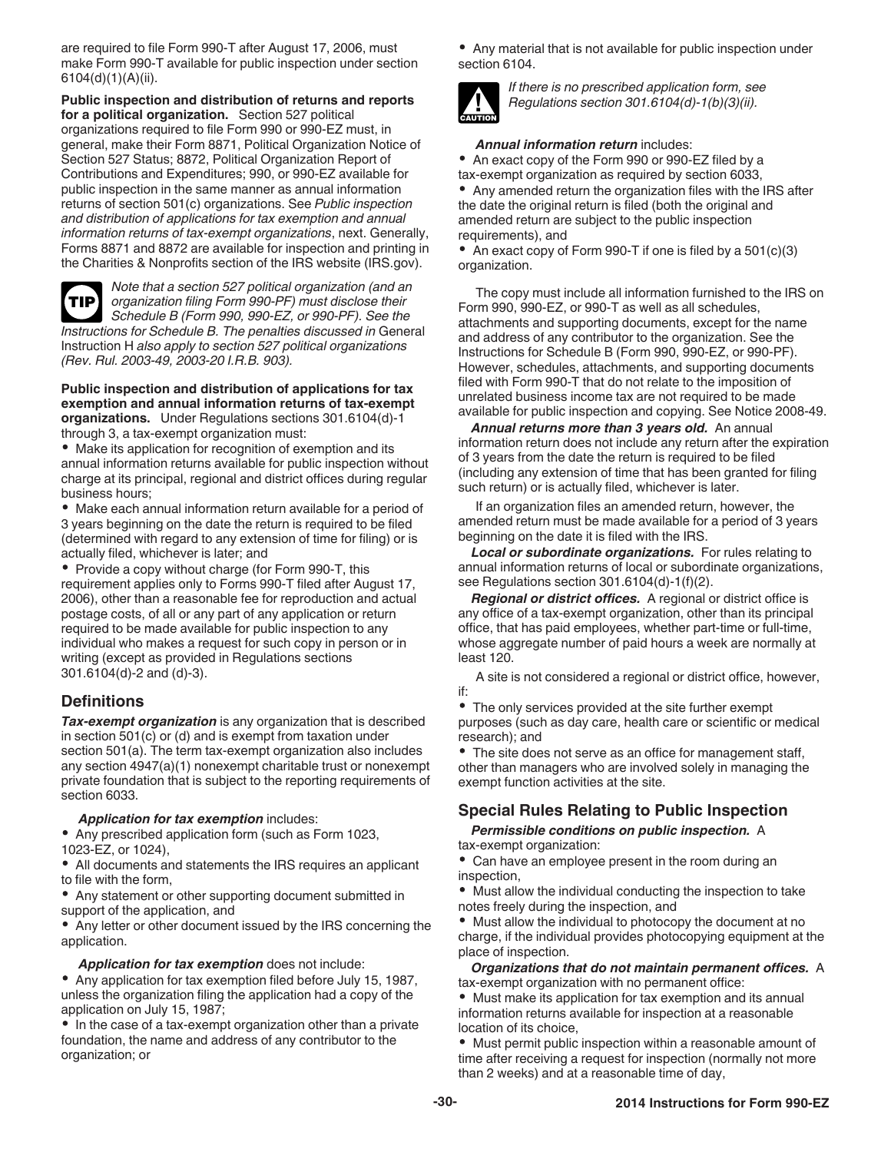<span id="page-29-0"></span>are required to file Form 990-T after August 17, 2006, must make Form 990-T available for public inspection under section 6104(d)(1)(A)(ii).

**Public inspection and distribution of returns and reports for a political organization.** Section 527 political organizations required to file Form 990 or 990-EZ must, in general, make their Form 8871, Political Organization Notice of Section 527 Status; 8872, Political Organization Report of Contributions and Expenditures; 990, or 990-EZ available for public inspection in the same manner as annual information returns of section 501(c) organizations. See *Public inspection and distribution of applications for tax exemption and annual information returns of tax-exempt organizations*, next. Generally, Forms 8871 and 8872 are available for inspection and printing in the Charities & Nonprofits section of the IRS website (IRS.gov).



*Note that a section 527 political organization (and an organization filing Form 990-PF) must disclose their Schedule B (Form 990, 990-EZ, or 990-PF). See the Instructions for Schedule B. The penalties discussed in* General Instruction H *also apply to section 527 political organizations (Rev. Rul. 2003-49, 2003-20 I.R.B. 903).*

**Public inspection and distribution of applications for tax exemption and annual information returns of tax-exempt organizations.** Under Regulations sections 301.6104(d)-1 through 3, a tax-exempt organization must:

Make its application for recognition of exemption and its annual information returns available for public inspection without charge at its principal, regional and district offices during regular business hours;

Make each annual information return available for a period of 3 years beginning on the date the return is required to be filed (determined with regard to any extension of time for filing) or is actually filed, whichever is later; and

• Provide a copy without charge (for Form 990-T, this requirement applies only to Forms 990-T filed after August 17, 2006), other than a reasonable fee for reproduction and actual postage costs, of all or any part of any application or return required to be made available for public inspection to any individual who makes a request for such copy in person or in writing (except as provided in Regulations sections 301.6104(d)-2 and (d)-3).

#### **Definitions**

*Tax-exempt organization* is any organization that is described in section 501(c) or (d) and is exempt from taxation under section 501(a). The term tax-exempt organization also includes any section 4947(a)(1) nonexempt charitable trust or nonexempt private foundation that is subject to the reporting requirements of section 6033.

#### *Application for tax exemption* includes:

Any prescribed application form (such as Form 1023, 1023-EZ, or 1024),

All documents and statements the IRS requires an applicant to file with the form,

Any statement or other supporting document submitted in support of the application, and

Any letter or other document issued by the IRS concerning the application.

#### *Application for tax exemption* does not include:

Any application for tax exemption filed before July 15, 1987, unless the organization filing the application had a copy of the application on July 15, 1987;

• In the case of a tax-exempt organization other than a private foundation, the name and address of any contributor to the organization; or

Any material that is not available for public inspection under section 6104.



*If there is no prescribed application form, see Regulations section 301.6104(d)-1(b)(3)(ii).*

#### *Annual information return* includes:

An exact copy of the Form 990 or 990-EZ filed by a tax-exempt organization as required by section 6033,

Any amended return the organization files with the IRS after the date the original return is filed (both the original and amended return are subject to the public inspection requirements), and

• An exact copy of Form 990-T if one is filed by a  $501(c)(3)$ organization.

The copy must include all information furnished to the IRS on Form 990, 990-EZ, or 990-T as well as all schedules, attachments and supporting documents, except for the name and address of any contributor to the organization. See the Instructions for Schedule B (Form 990, 990-EZ, or 990-PF). However, schedules, attachments, and supporting documents filed with Form 990-T that do not relate to the imposition of unrelated business income tax are not required to be made available for public inspection and copying. See Notice 2008-49.

*Annual returns more than 3 years old.* An annual information return does not include any return after the expiration of 3 years from the date the return is required to be filed (including any extension of time that has been granted for filing such return) or is actually filed, whichever is later.

If an organization files an amended return, however, the amended return must be made available for a period of 3 years beginning on the date it is filed with the IRS.

*Local or subordinate organizations.* For rules relating to annual information returns of local or subordinate organizations, see Regulations section 301.6104(d)-1(f)(2).

*Regional or district offices.* A regional or district office is any office of a tax-exempt organization, other than its principal office, that has paid employees, whether part-time or full-time, whose aggregate number of paid hours a week are normally at least 120.

A site is not considered a regional or district office, however, if:

The only services provided at the site further exempt purposes (such as day care, health care or scientific or medical research); and

The site does not serve as an office for management staff, other than managers who are involved solely in managing the exempt function activities at the site.

#### **Special Rules Relating to Public Inspection**

*Permissible conditions on public inspection.* A tax-exempt organization:

Can have an employee present in the room during an inspection,

Must allow the individual conducting the inspection to take notes freely during the inspection, and

Must allow the individual to photocopy the document at no charge, if the individual provides photocopying equipment at the place of inspection.

*Organizations that do not maintain permanent offices.* A tax-exempt organization with no permanent office:

Must make its application for tax exemption and its annual information returns available for inspection at a reasonable location of its choice,

Must permit public inspection within a reasonable amount of time after receiving a request for inspection (normally not more than 2 weeks) and at a reasonable time of day,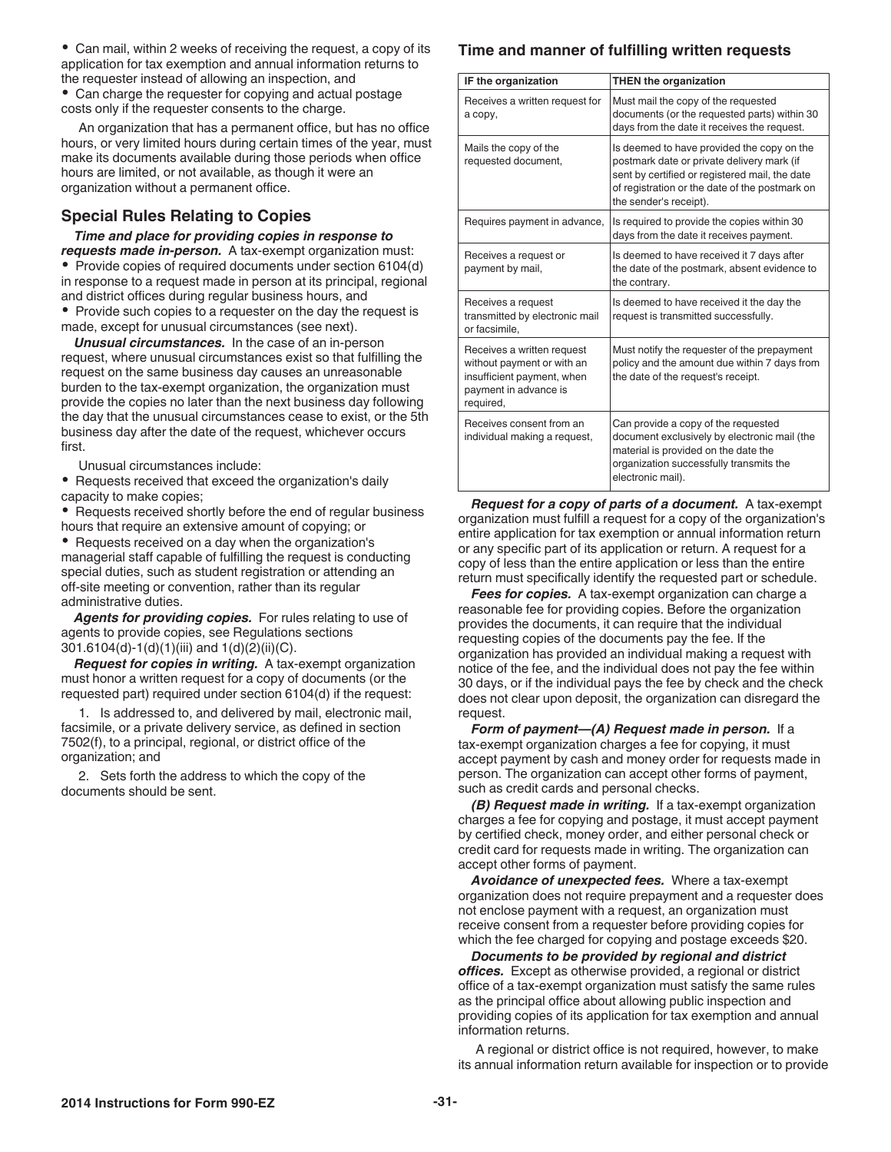<span id="page-30-0"></span>Can mail, within 2 weeks of receiving the request, a copy of its application for tax exemption and annual information returns to the requester instead of allowing an inspection, and

Can charge the requester for copying and actual postage costs only if the requester consents to the charge.

An organization that has a permanent office, but has no office hours, or very limited hours during certain times of the year, must make its documents available during those periods when office hours are limited, or not available, as though it were an organization without a permanent office.

#### **Special Rules Relating to Copies**

*Time and place for providing copies in response to requests made in-person.* A tax-exempt organization must: • Provide copies of required documents under section 6104(d) in response to a request made in person at its principal, regional and district offices during regular business hours, and • Provide such copies to a requester on the day the request is made, except for unusual circumstances (see next).

*Unusual circumstances.* In the case of an in-person request, where unusual circumstances exist so that fulfilling the request on the same business day causes an unreasonable burden to the tax-exempt organization, the organization must provide the copies no later than the next business day following the day that the unusual circumstances cease to exist, or the 5th business day after the date of the request, whichever occurs first.

Unusual circumstances include:

• Requests received that exceed the organization's daily capacity to make copies;

Requests received shortly before the end of regular business hours that require an extensive amount of copying; or

• Requests received on a day when the organization's managerial staff capable of fulfilling the request is conducting special duties, such as student registration or attending an off-site meeting or convention, rather than its regular administrative duties.

*Agents for providing copies.* For rules relating to use of agents to provide copies, see Regulations sections 301.6104(d)-1(d)(1)(iii) and 1(d)(2)(ii)(C).

*Request for copies in writing.* A tax-exempt organization must honor a written request for a copy of documents (or the requested part) required under section 6104(d) if the request:

1. Is addressed to, and delivered by mail, electronic mail, facsimile, or a private delivery service, as defined in section 7502(f), to a principal, regional, or district office of the organization; and

2. Sets forth the address to which the copy of the documents should be sent.

#### **Time and manner of fulfilling written requests**

| IF the organization                                                                                                          | <b>THEN the organization</b>                                                                                                                                                                                           |
|------------------------------------------------------------------------------------------------------------------------------|------------------------------------------------------------------------------------------------------------------------------------------------------------------------------------------------------------------------|
| Receives a written request for<br>a copy,                                                                                    | Must mail the copy of the requested<br>documents (or the requested parts) within 30<br>days from the date it receives the request.                                                                                     |
| Mails the copy of the<br>requested document,                                                                                 | Is deemed to have provided the copy on the<br>postmark date or private delivery mark (if<br>sent by certified or registered mail, the date<br>of registration or the date of the postmark on<br>the sender's receipt). |
| Requires payment in advance,                                                                                                 | Is required to provide the copies within 30<br>days from the date it receives payment.                                                                                                                                 |
| Receives a request or<br>payment by mail,                                                                                    | Is deemed to have received it 7 days after<br>the date of the postmark, absent evidence to<br>the contrary.                                                                                                            |
| Receives a request<br>transmitted by electronic mail<br>or facsimile,                                                        | Is deemed to have received it the day the<br>request is transmitted successfully.                                                                                                                                      |
| Receives a written request<br>without payment or with an<br>insufficient payment, when<br>payment in advance is<br>required, | Must notify the requester of the prepayment<br>policy and the amount due within 7 days from<br>the date of the request's receipt.                                                                                      |
| Receives consent from an<br>individual making a request,                                                                     | Can provide a copy of the requested<br>document exclusively by electronic mail (the<br>material is provided on the date the<br>organization successfully transmits the<br>electronic mail).                            |

*Request for a copy of parts of a document.* A tax-exempt organization must fulfill a request for a copy of the organization's entire application for tax exemption or annual information return or any specific part of its application or return. A request for a copy of less than the entire application or less than the entire return must specifically identify the requested part or schedule.

*Fees for copies.* A tax-exempt organization can charge a reasonable fee for providing copies. Before the organization provides the documents, it can require that the individual requesting copies of the documents pay the fee. If the organization has provided an individual making a request with notice of the fee, and the individual does not pay the fee within 30 days, or if the individual pays the fee by check and the check does not clear upon deposit, the organization can disregard the request.

*Form of payment—(A) Request made in person.* If a tax-exempt organization charges a fee for copying, it must accept payment by cash and money order for requests made in person. The organization can accept other forms of payment, such as credit cards and personal checks.

*(B) Request made in writing.* If a tax-exempt organization charges a fee for copying and postage, it must accept payment by certified check, money order, and either personal check or credit card for requests made in writing. The organization can accept other forms of payment.

*Avoidance of unexpected fees.* Where a tax-exempt organization does not require prepayment and a requester does not enclose payment with a request, an organization must receive consent from a requester before providing copies for which the fee charged for copying and postage exceeds \$20.

*Documents to be provided by regional and district offices.* Except as otherwise provided, a regional or district office of a tax-exempt organization must satisfy the same rules as the principal office about allowing public inspection and providing copies of its application for tax exemption and annual information returns.

A regional or district office is not required, however, to make its annual information return available for inspection or to provide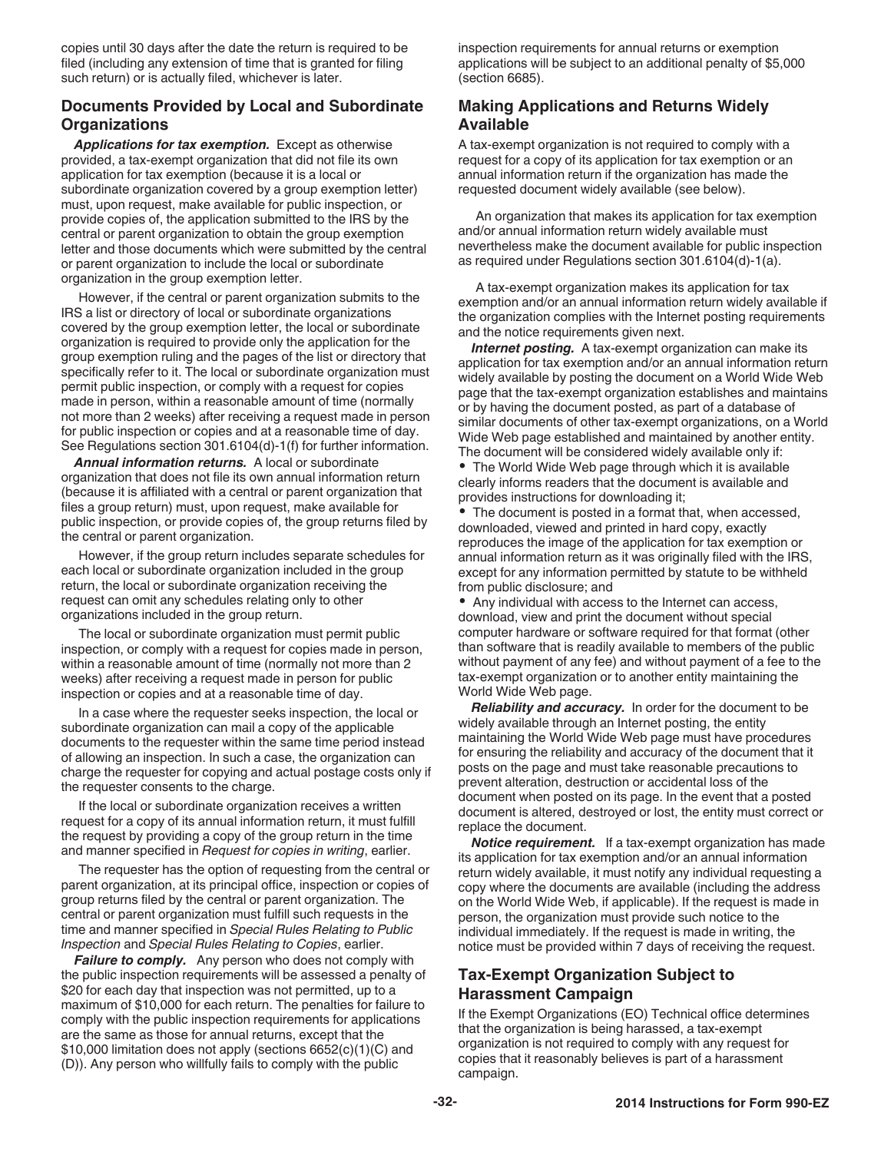<span id="page-31-0"></span>copies until 30 days after the date the return is required to be filed (including any extension of time that is granted for filing such return) or is actually filed, whichever is later.

#### **Documents Provided by Local and Subordinate Organizations**

*Applications for tax exemption.* Except as otherwise provided, a tax-exempt organization that did not file its own application for tax exemption (because it is a local or subordinate organization covered by a group exemption letter) must, upon request, make available for public inspection, or provide copies of, the application submitted to the IRS by the central or parent organization to obtain the group exemption letter and those documents which were submitted by the central or parent organization to include the local or subordinate organization in the group exemption letter.

However, if the central or parent organization submits to the IRS a list or directory of local or subordinate organizations covered by the group exemption letter, the local or subordinate organization is required to provide only the application for the group exemption ruling and the pages of the list or directory that specifically refer to it. The local or subordinate organization must permit public inspection, or comply with a request for copies made in person, within a reasonable amount of time (normally not more than 2 weeks) after receiving a request made in person for public inspection or copies and at a reasonable time of day. See Regulations section 301.6104(d)-1(f) for further information.

*Annual information returns.* A local or subordinate organization that does not file its own annual information return (because it is affiliated with a central or parent organization that files a group return) must, upon request, make available for public inspection, or provide copies of, the group returns filed by the central or parent organization.

However, if the group return includes separate schedules for each local or subordinate organization included in the group return, the local or subordinate organization receiving the request can omit any schedules relating only to other organizations included in the group return.

The local or subordinate organization must permit public inspection, or comply with a request for copies made in person, within a reasonable amount of time (normally not more than 2 weeks) after receiving a request made in person for public inspection or copies and at a reasonable time of day.

In a case where the requester seeks inspection, the local or subordinate organization can mail a copy of the applicable documents to the requester within the same time period instead of allowing an inspection. In such a case, the organization can charge the requester for copying and actual postage costs only if the requester consents to the charge.

If the local or subordinate organization receives a written request for a copy of its annual information return, it must fulfill the request by providing a copy of the group return in the time and manner specified in *Request for copies in writing*, earlier.

The requester has the option of requesting from the central or parent organization, at its principal office, inspection or copies of group returns filed by the central or parent organization. The central or parent organization must fulfill such requests in the time and manner specified in *Special Rules Relating to Public Inspection* and *Special Rules Relating to Copies*, earlier.

**Failure to comply.** Any person who does not comply with the public inspection requirements will be assessed a penalty of \$20 for each day that inspection was not permitted, up to a maximum of \$10,000 for each return. The penalties for failure to comply with the public inspection requirements for applications are the same as those for annual returns, except that the \$10,000 limitation does not apply (sections 6652(c)(1)(C) and (D)). Any person who willfully fails to comply with the public

inspection requirements for annual returns or exemption applications will be subject to an additional penalty of \$5,000 (section 6685).

#### **Making Applications and Returns Widely Available**

A tax-exempt organization is not required to comply with a request for a copy of its application for tax exemption or an annual information return if the organization has made the requested document widely available (see below).

An organization that makes its application for tax exemption and/or annual information return widely available must nevertheless make the document available for public inspection as required under Regulations section 301.6104(d)-1(a).

A tax-exempt organization makes its application for tax exemption and/or an annual information return widely available if the organization complies with the Internet posting requirements and the notice requirements given next.

*Internet posting.* A tax-exempt organization can make its application for tax exemption and/or an annual information return widely available by posting the document on a World Wide Web page that the tax-exempt organization establishes and maintains or by having the document posted, as part of a database of similar documents of other tax-exempt organizations, on a World Wide Web page established and maintained by another entity. The document will be considered widely available only if:

The World Wide Web page through which it is available clearly informs readers that the document is available and provides instructions for downloading it;

The document is posted in a format that, when accessed, downloaded, viewed and printed in hard copy, exactly reproduces the image of the application for tax exemption or annual information return as it was originally filed with the IRS, except for any information permitted by statute to be withheld from public disclosure; and

Any individual with access to the Internet can access, download, view and print the document without special computer hardware or software required for that format (other than software that is readily available to members of the public without payment of any fee) and without payment of a fee to the tax-exempt organization or to another entity maintaining the World Wide Web page.

*Reliability and accuracy.* In order for the document to be widely available through an Internet posting, the entity maintaining the World Wide Web page must have procedures for ensuring the reliability and accuracy of the document that it posts on the page and must take reasonable precautions to prevent alteration, destruction or accidental loss of the document when posted on its page. In the event that a posted document is altered, destroyed or lost, the entity must correct or replace the document.

*Notice requirement.* If a tax-exempt organization has made its application for tax exemption and/or an annual information return widely available, it must notify any individual requesting a copy where the documents are available (including the address on the World Wide Web, if applicable). If the request is made in person, the organization must provide such notice to the individual immediately. If the request is made in writing, the notice must be provided within 7 days of receiving the request.

#### **Tax-Exempt Organization Subject to Harassment Campaign**

If the Exempt Organizations (EO) Technical office determines that the organization is being harassed, a tax-exempt organization is not required to comply with any request for copies that it reasonably believes is part of a harassment campaign.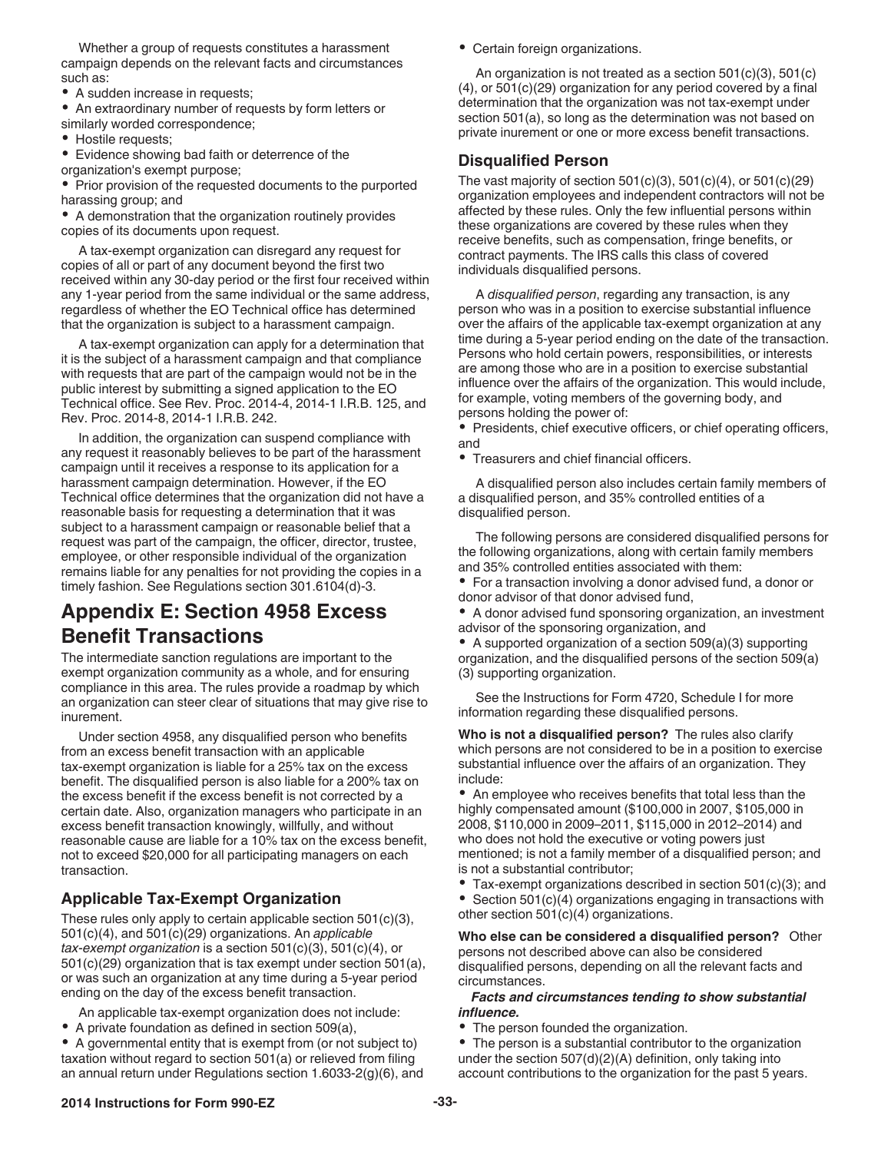<span id="page-32-0"></span>Whether a group of requests constitutes a harassment campaign depends on the relevant facts and circumstances such as:

A sudden increase in requests;

An extraordinary number of requests by form letters or similarly worded correspondence;

- Hostile requests;
- Evidence showing bad faith or deterrence of the organization's exempt purpose;

• Prior provision of the requested documents to the purported harassing group; and

A demonstration that the organization routinely provides copies of its documents upon request.

A tax-exempt organization can disregard any request for copies of all or part of any document beyond the first two received within any 30-day period or the first four received within any 1-year period from the same individual or the same address, regardless of whether the EO Technical office has determined that the organization is subject to a harassment campaign.

A tax-exempt organization can apply for a determination that it is the subject of a harassment campaign and that compliance with requests that are part of the campaign would not be in the public interest by submitting a signed application to the EO Technical office. See Rev. Proc. 2014-4, 2014-1 I.R.B. 125, and Rev. Proc. 2014-8, 2014-1 I.R.B. 242.

In addition, the organization can suspend compliance with any request it reasonably believes to be part of the harassment campaign until it receives a response to its application for a harassment campaign determination. However, if the EO Technical office determines that the organization did not have a reasonable basis for requesting a determination that it was subject to a harassment campaign or reasonable belief that a request was part of the campaign, the officer, director, trustee, employee, or other responsible individual of the organization remains liable for any penalties for not providing the copies in a timely fashion. See Regulations section 301.6104(d)-3.

## **Appendix E: Section 4958 Excess Benefit Transactions**

The intermediate sanction regulations are important to the exempt organization community as a whole, and for ensuring compliance in this area. The rules provide a roadmap by which an organization can steer clear of situations that may give rise to inurement.

Under section 4958, any disqualified person who benefits from an excess benefit transaction with an applicable tax-exempt organization is liable for a 25% tax on the excess benefit. The disqualified person is also liable for a 200% tax on the excess benefit if the excess benefit is not corrected by a certain date. Also, organization managers who participate in an excess benefit transaction knowingly, willfully, and without reasonable cause are liable for a 10% tax on the excess benefit, not to exceed \$20,000 for all participating managers on each transaction.

#### **Applicable Tax-Exempt Organization**

These rules only apply to certain applicable section 501(c)(3), 501(c)(4), and 501(c)(29) organizations. An *applicable tax-exempt organization* is a section 501(c)(3), 501(c)(4), or 501(c)(29) organization that is tax exempt under section 501(a), or was such an organization at any time during a 5-year period ending on the day of the excess benefit transaction.

An applicable tax-exempt organization does not include:

٠ A private foundation as defined in section 509(a),

A governmental entity that is exempt from (or not subject to) taxation without regard to section 501(a) or relieved from filing an annual return under Regulations section 1.6033-2(g)(6), and Certain foreign organizations.

An organization is not treated as a section 501(c)(3), 501(c) (4), or 501(c)(29) organization for any period covered by a final determination that the organization was not tax-exempt under section 501(a), so long as the determination was not based on private inurement or one or more excess benefit transactions.

#### **Disqualified Person**

The vast majority of section  $501(c)(3)$ ,  $501(c)(4)$ , or  $501(c)(29)$ organization employees and independent contractors will not be affected by these rules. Only the few influential persons within these organizations are covered by these rules when they receive benefits, such as compensation, fringe benefits, or contract payments. The IRS calls this class of covered individuals disqualified persons.

A *disqualified person*, regarding any transaction, is any person who was in a position to exercise substantial influence over the affairs of the applicable tax-exempt organization at any time during a 5-year period ending on the date of the transaction. Persons who hold certain powers, responsibilities, or interests are among those who are in a position to exercise substantial influence over the affairs of the organization. This would include, for example, voting members of the governing body, and persons holding the power of:

• Presidents, chief executive officers, or chief operating officers, and

Treasurers and chief financial officers.

A disqualified person also includes certain family members of a disqualified person, and 35% controlled entities of a disqualified person.

The following persons are considered disqualified persons for the following organizations, along with certain family members and 35% controlled entities associated with them:

For a transaction involving a donor advised fund, a donor or donor advisor of that donor advised fund,

A donor advised fund sponsoring organization, an investment advisor of the sponsoring organization, and

A supported organization of a section 509(a)(3) supporting organization, and the disqualified persons of the section 509(a) (3) supporting organization.

See the Instructions for Form 4720, Schedule I for more information regarding these disqualified persons.

**Who is not a disqualified person?** The rules also clarify which persons are not considered to be in a position to exercise substantial influence over the affairs of an organization. They include:

An employee who receives benefits that total less than the highly compensated amount (\$100,000 in 2007, \$105,000 in 2008, \$110,000 in 2009–2011, \$115,000 in 2012–2014) and who does not hold the executive or voting powers just mentioned; is not a family member of a disqualified person; and is not a substantial contributor;

Tax-exempt organizations described in section 501(c)(3); and

Section 501(c)(4) organizations engaging in transactions with other section  $501(c)(4)$  organizations.

**Who else can be considered a disqualified person?** Other persons not described above can also be considered disqualified persons, depending on all the relevant facts and circumstances.

#### *Facts and circumstances tending to show substantial influence.*

• The person founded the organization.

The person is a substantial contributor to the organization under the section 507(d)(2)(A) definition, only taking into account contributions to the organization for the past 5 years.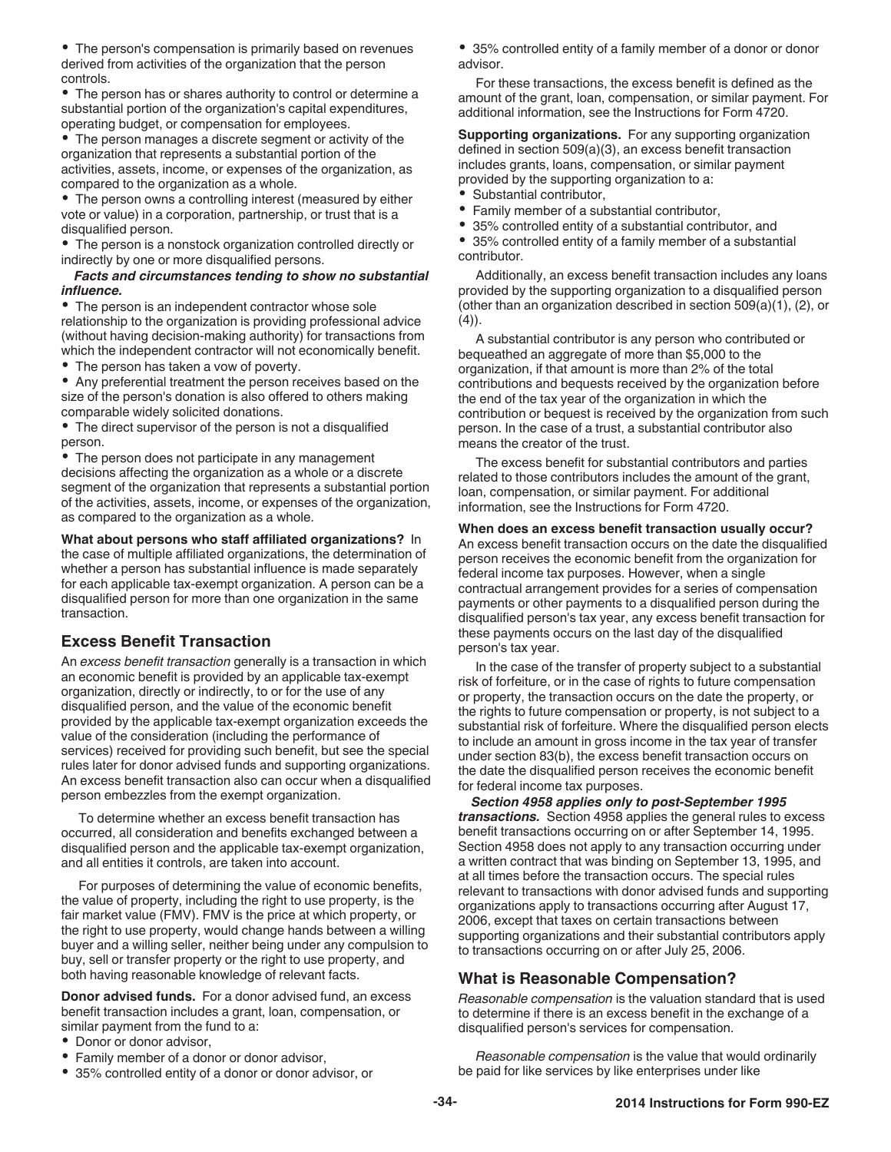<span id="page-33-0"></span>The person's compensation is primarily based on revenues derived from activities of the organization that the person controls.

The person has or shares authority to control or determine a substantial portion of the organization's capital expenditures, operating budget, or compensation for employees.

The person manages a discrete segment or activity of the organization that represents a substantial portion of the activities, assets, income, or expenses of the organization, as compared to the organization as a whole.

The person owns a controlling interest (measured by either vote or value) in a corporation, partnership, or trust that is a disqualified person.

The person is a nonstock organization controlled directly or indirectly by one or more disqualified persons.

#### *Facts and circumstances tending to show no substantial influence.*

The person is an independent contractor whose sole relationship to the organization is providing professional advice (without having decision-making authority) for transactions from which the independent contractor will not economically benefit.

The person has taken a vow of poverty.

Any preferential treatment the person receives based on the size of the person's donation is also offered to others making comparable widely solicited donations.

The direct supervisor of the person is not a disqualified person.

The person does not participate in any management decisions affecting the organization as a whole or a discrete segment of the organization that represents a substantial portion of the activities, assets, income, or expenses of the organization, as compared to the organization as a whole.

**What about persons who staff affiliated organizations?** In the case of multiple affiliated organizations, the determination of whether a person has substantial influence is made separately for each applicable tax-exempt organization. A person can be a disqualified person for more than one organization in the same transaction.

#### **Excess Benefit Transaction**

An *excess benefit transaction* generally is a transaction in which an economic benefit is provided by an applicable tax-exempt organization, directly or indirectly, to or for the use of any disqualified person, and the value of the economic benefit provided by the applicable tax-exempt organization exceeds the value of the consideration (including the performance of services) received for providing such benefit, but see the special rules later for donor advised funds and supporting organizations. An excess benefit transaction also can occur when a disqualified person embezzles from the exempt organization.

To determine whether an excess benefit transaction has occurred, all consideration and benefits exchanged between a disqualified person and the applicable tax-exempt organization, and all entities it controls, are taken into account.

For purposes of determining the value of economic benefits, the value of property, including the right to use property, is the fair market value (FMV). FMV is the price at which property, or the right to use property, would change hands between a willing buyer and a willing seller, neither being under any compulsion to buy, sell or transfer property or the right to use property, and both having reasonable knowledge of relevant facts.

**Donor advised funds.** For a donor advised fund, an excess benefit transaction includes a grant, loan, compensation, or similar payment from the fund to a:

- Donor or donor advisor,
- Family member of a donor or donor advisor,
- 35% controlled entity of a donor or donor advisor, or

35% controlled entity of a family member of a donor or donor advisor.

For these transactions, the excess benefit is defined as the amount of the grant, loan, compensation, or similar payment. For additional information, see the Instructions for Form 4720.

**Supporting organizations.** For any supporting organization defined in section 509(a)(3), an excess benefit transaction includes grants, loans, compensation, or similar payment provided by the supporting organization to a:

- Substantial contributor,
- Family member of a substantial contributor,
- 35% controlled entity of a substantial contributor, and

 $\bullet$ 35% controlled entity of a family member of a substantial contributor.

Additionally, an excess benefit transaction includes any loans provided by the supporting organization to a disqualified person (other than an organization described in section 509(a)(1), (2), or  $(4)$ ).

A substantial contributor is any person who contributed or bequeathed an aggregate of more than \$5,000 to the organization, if that amount is more than 2% of the total contributions and bequests received by the organization before the end of the tax year of the organization in which the contribution or bequest is received by the organization from such person. In the case of a trust, a substantial contributor also means the creator of the trust.

The excess benefit for substantial contributors and parties related to those contributors includes the amount of the grant, loan, compensation, or similar payment. For additional information, see the Instructions for Form 4720.

#### **When does an excess benefit transaction usually occur?**

An excess benefit transaction occurs on the date the disqualified person receives the economic benefit from the organization for federal income tax purposes. However, when a single contractual arrangement provides for a series of compensation payments or other payments to a disqualified person during the disqualified person's tax year, any excess benefit transaction for these payments occurs on the last day of the disqualified person's tax year.

In the case of the transfer of property subject to a substantial risk of forfeiture, or in the case of rights to future compensation or property, the transaction occurs on the date the property, or the rights to future compensation or property, is not subject to a substantial risk of forfeiture. Where the disqualified person elects to include an amount in gross income in the tax year of transfer under section 83(b), the excess benefit transaction occurs on the date the disqualified person receives the economic benefit for federal income tax purposes.

*Section 4958 applies only to post-September 1995 transactions.* Section 4958 applies the general rules to excess benefit transactions occurring on or after September 14, 1995. Section 4958 does not apply to any transaction occurring under a written contract that was binding on September 13, 1995, and at all times before the transaction occurs. The special rules relevant to transactions with donor advised funds and supporting organizations apply to transactions occurring after August 17, 2006, except that taxes on certain transactions between supporting organizations and their substantial contributors apply to transactions occurring on or after July 25, 2006.

#### **What is Reasonable Compensation?**

*Reasonable compensation* is the valuation standard that is used to determine if there is an excess benefit in the exchange of a disqualified person's services for compensation.

*Reasonable compensation* is the value that would ordinarily be paid for like services by like enterprises under like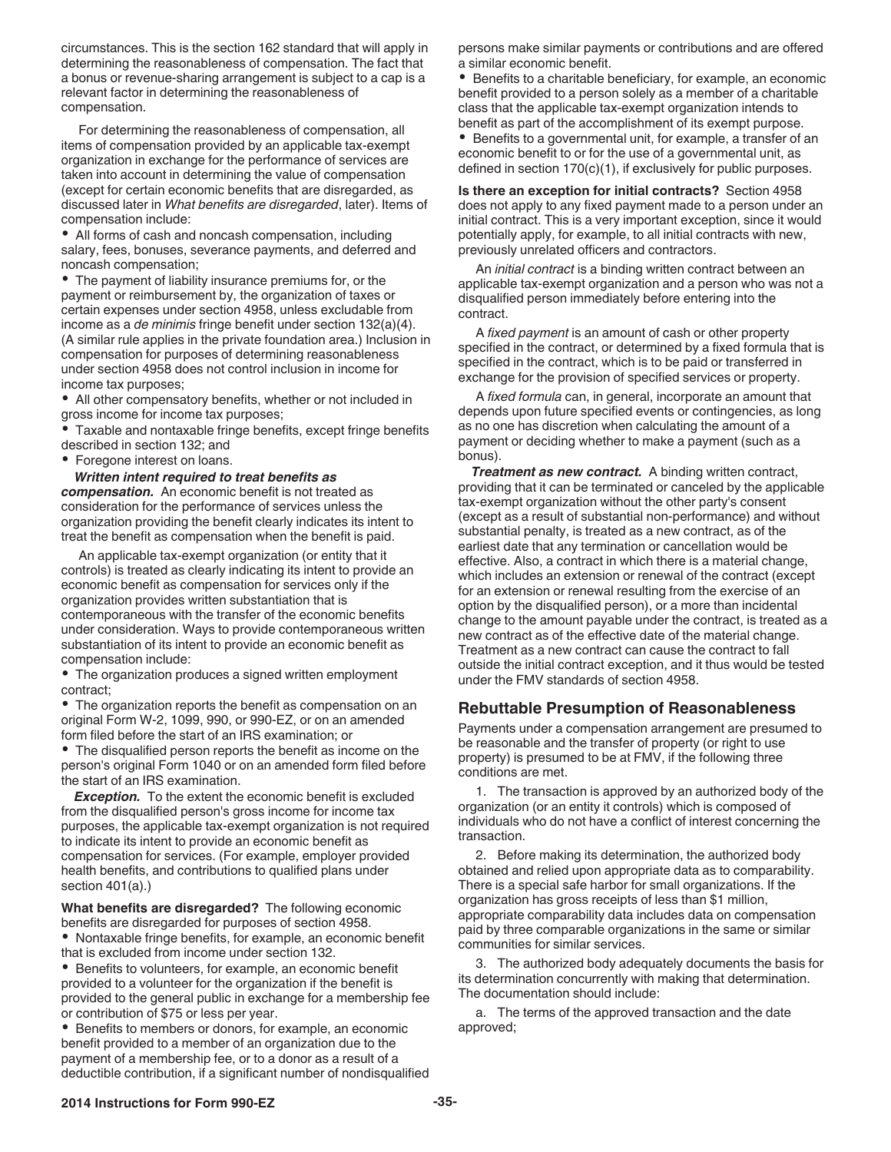<span id="page-34-0"></span>circumstances. This is the section 162 standard that will apply in determining the reasonableness of compensation. The fact that a bonus or revenue-sharing arrangement is subject to a cap is a relevant factor in determining the reasonableness of compensation.

For determining the reasonableness of compensation, all items of compensation provided by an applicable tax-exempt organization in exchange for the performance of services are taken into account in determining the value of compensation (except for certain economic benefits that are disregarded, as discussed later in *What benefits are disregarded*, later). Items of compensation include:

All forms of cash and noncash compensation, including salary, fees, bonuses, severance payments, and deferred and noncash compensation;

The payment of liability insurance premiums for, or the payment or reimbursement by, the organization of taxes or certain expenses under section 4958, unless excludable from income as a *de minimis* fringe benefit under section 132(a)(4). (A similar rule applies in the private foundation area.) Inclusion in compensation for purposes of determining reasonableness under section 4958 does not control inclusion in income for income tax purposes;

All other compensatory benefits, whether or not included in gross income for income tax purposes;

Taxable and nontaxable fringe benefits, except fringe benefits described in section 132; and

Foregone interest on loans.

*Written intent required to treat benefits as* 

*compensation.* An economic benefit is not treated as consideration for the performance of services unless the organization providing the benefit clearly indicates its intent to treat the benefit as compensation when the benefit is paid.

An applicable tax-exempt organization (or entity that it controls) is treated as clearly indicating its intent to provide an economic benefit as compensation for services only if the organization provides written substantiation that is contemporaneous with the transfer of the economic benefits under consideration. Ways to provide contemporaneous written substantiation of its intent to provide an economic benefit as compensation include:

The organization produces a signed written employment contract;

The organization reports the benefit as compensation on an original Form W-2, 1099, 990, or 990-EZ, or on an amended form filed before the start of an IRS examination; or

The disqualified person reports the benefit as income on the person's original Form 1040 or on an amended form filed before the start of an IRS examination.

*Exception.* To the extent the economic benefit is excluded from the disqualified person's gross income for income tax purposes, the applicable tax-exempt organization is not required to indicate its intent to provide an economic benefit as compensation for services. (For example, employer provided health benefits, and contributions to qualified plans under section 401(a).)

**What benefits are disregarded?** The following economic benefits are disregarded for purposes of section 4958.

Nontaxable fringe benefits, for example, an economic benefit that is excluded from income under section 132.

Benefits to volunteers, for example, an economic benefit provided to a volunteer for the organization if the benefit is provided to the general public in exchange for a membership fee or contribution of \$75 or less per year.

Benefits to members or donors, for example, an economic benefit provided to a member of an organization due to the payment of a membership fee, or to a donor as a result of a deductible contribution, if a significant number of nondisqualified persons make similar payments or contributions and are offered a similar economic benefit.

Benefits to a charitable beneficiary, for example, an economic benefit provided to a person solely as a member of a charitable class that the applicable tax-exempt organization intends to benefit as part of the accomplishment of its exempt purpose.

Benefits to a governmental unit, for example, a transfer of an economic benefit to or for the use of a governmental unit, as defined in section 170(c)(1), if exclusively for public purposes.

**Is there an exception for initial contracts?** Section 4958 does not apply to any fixed payment made to a person under an initial contract. This is a very important exception, since it would potentially apply, for example, to all initial contracts with new, previously unrelated officers and contractors.

An *initial contract* is a binding written contract between an applicable tax-exempt organization and a person who was not a disqualified person immediately before entering into the contract.

A *fixed payment* is an amount of cash or other property specified in the contract, or determined by a fixed formula that is specified in the contract, which is to be paid or transferred in exchange for the provision of specified services or property.

A *fixed formula* can, in general, incorporate an amount that depends upon future specified events or contingencies, as long as no one has discretion when calculating the amount of a payment or deciding whether to make a payment (such as a bonus).

*Treatment as new contract.* A binding written contract, providing that it can be terminated or canceled by the applicable tax-exempt organization without the other party's consent (except as a result of substantial non-performance) and without substantial penalty, is treated as a new contract, as of the earliest date that any termination or cancellation would be effective. Also, a contract in which there is a material change, which includes an extension or renewal of the contract (except for an extension or renewal resulting from the exercise of an option by the disqualified person), or a more than incidental change to the amount payable under the contract, is treated as a new contract as of the effective date of the material change. Treatment as a new contract can cause the contract to fall outside the initial contract exception, and it thus would be tested under the FMV standards of section 4958.

#### **Rebuttable Presumption of Reasonableness**

Payments under a compensation arrangement are presumed to be reasonable and the transfer of property (or right to use property) is presumed to be at FMV, if the following three conditions are met.

1. The transaction is approved by an authorized body of the organization (or an entity it controls) which is composed of individuals who do not have a conflict of interest concerning the transaction.

2. Before making its determination, the authorized body obtained and relied upon appropriate data as to comparability. There is a special safe harbor for small organizations. If the organization has gross receipts of less than \$1 million, appropriate comparability data includes data on compensation paid by three comparable organizations in the same or similar communities for similar services.

3. The authorized body adequately documents the basis for its determination concurrently with making that determination. The documentation should include:

a. The terms of the approved transaction and the date approved;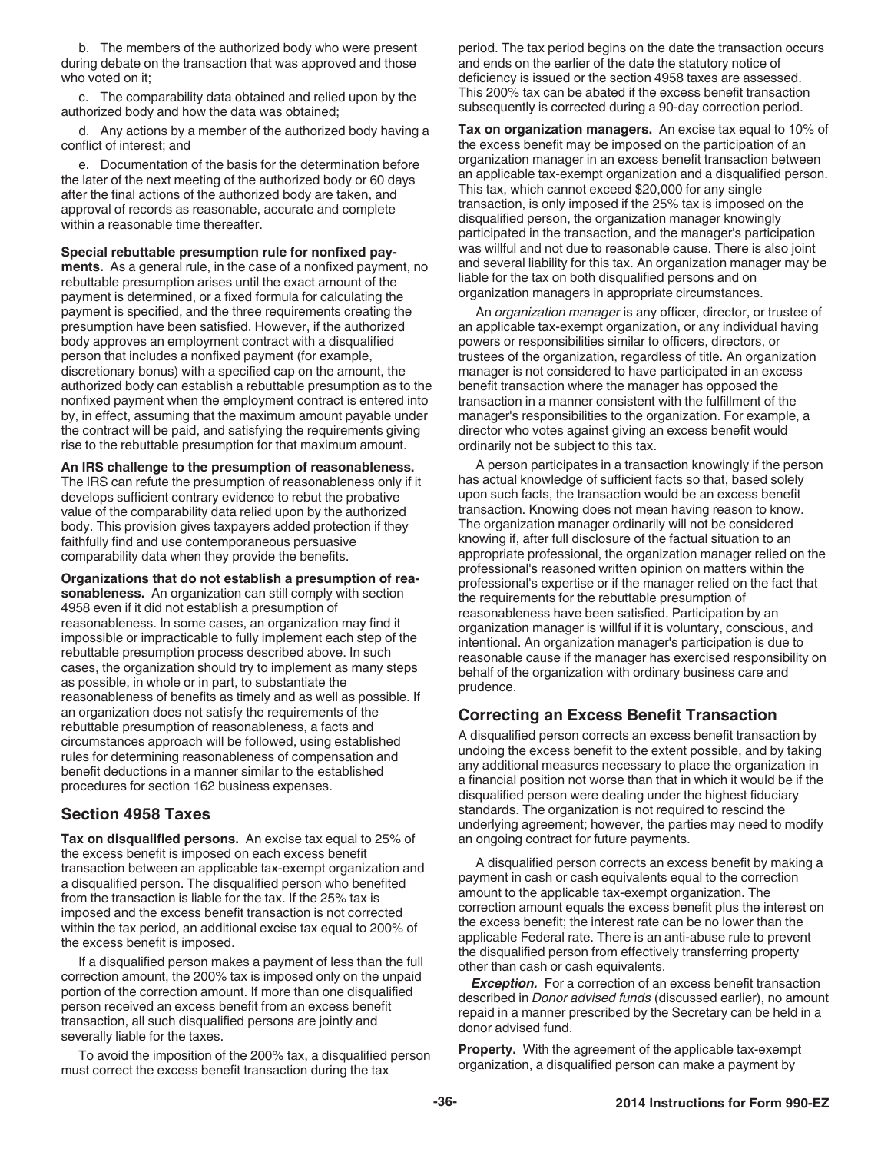<span id="page-35-0"></span>b. The members of the authorized body who were present during debate on the transaction that was approved and those who voted on it;

c. The comparability data obtained and relied upon by the authorized body and how the data was obtained;

d. Any actions by a member of the authorized body having a conflict of interest; and

e. Documentation of the basis for the determination before the later of the next meeting of the authorized body or 60 days after the final actions of the authorized body are taken, and approval of records as reasonable, accurate and complete within a reasonable time thereafter.

**Special rebuttable presumption rule for nonfixed payments.** As a general rule, in the case of a nonfixed payment, no rebuttable presumption arises until the exact amount of the payment is determined, or a fixed formula for calculating the payment is specified, and the three requirements creating the presumption have been satisfied. However, if the authorized body approves an employment contract with a disqualified person that includes a nonfixed payment (for example, discretionary bonus) with a specified cap on the amount, the authorized body can establish a rebuttable presumption as to the nonfixed payment when the employment contract is entered into by, in effect, assuming that the maximum amount payable under the contract will be paid, and satisfying the requirements giving rise to the rebuttable presumption for that maximum amount.

**An IRS challenge to the presumption of reasonableness.**  The IRS can refute the presumption of reasonableness only if it develops sufficient contrary evidence to rebut the probative value of the comparability data relied upon by the authorized body. This provision gives taxpayers added protection if they faithfully find and use contemporaneous persuasive comparability data when they provide the benefits.

**Organizations that do not establish a presumption of reasonableness.** An organization can still comply with section 4958 even if it did not establish a presumption of reasonableness. In some cases, an organization may find it impossible or impracticable to fully implement each step of the rebuttable presumption process described above. In such cases, the organization should try to implement as many steps as possible, in whole or in part, to substantiate the reasonableness of benefits as timely and as well as possible. If an organization does not satisfy the requirements of the rebuttable presumption of reasonableness, a facts and circumstances approach will be followed, using established rules for determining reasonableness of compensation and benefit deductions in a manner similar to the established procedures for section 162 business expenses.

#### **Section 4958 Taxes**

**Tax on disqualified persons.** An excise tax equal to 25% of the excess benefit is imposed on each excess benefit transaction between an applicable tax-exempt organization and a disqualified person. The disqualified person who benefited from the transaction is liable for the tax. If the 25% tax is imposed and the excess benefit transaction is not corrected within the tax period, an additional excise tax equal to 200% of the excess benefit is imposed.

If a disqualified person makes a payment of less than the full correction amount, the 200% tax is imposed only on the unpaid portion of the correction amount. If more than one disqualified person received an excess benefit from an excess benefit transaction, all such disqualified persons are jointly and severally liable for the taxes.

To avoid the imposition of the 200% tax, a disqualified person must correct the excess benefit transaction during the tax

period. The tax period begins on the date the transaction occurs and ends on the earlier of the date the statutory notice of deficiency is issued or the section 4958 taxes are assessed. This 200% tax can be abated if the excess benefit transaction subsequently is corrected during a 90-day correction period.

**Tax on organization managers.** An excise tax equal to 10% of the excess benefit may be imposed on the participation of an organization manager in an excess benefit transaction between an applicable tax-exempt organization and a disqualified person. This tax, which cannot exceed \$20,000 for any single transaction, is only imposed if the 25% tax is imposed on the disqualified person, the organization manager knowingly participated in the transaction, and the manager's participation was willful and not due to reasonable cause. There is also joint and several liability for this tax. An organization manager may be liable for the tax on both disqualified persons and on organization managers in appropriate circumstances.

An *organization manager* is any officer, director, or trustee of an applicable tax-exempt organization, or any individual having powers or responsibilities similar to officers, directors, or trustees of the organization, regardless of title. An organization manager is not considered to have participated in an excess benefit transaction where the manager has opposed the transaction in a manner consistent with the fulfillment of the manager's responsibilities to the organization. For example, a director who votes against giving an excess benefit would ordinarily not be subject to this tax.

A person participates in a transaction knowingly if the person has actual knowledge of sufficient facts so that, based solely upon such facts, the transaction would be an excess benefit transaction. Knowing does not mean having reason to know. The organization manager ordinarily will not be considered knowing if, after full disclosure of the factual situation to an appropriate professional, the organization manager relied on the professional's reasoned written opinion on matters within the professional's expertise or if the manager relied on the fact that the requirements for the rebuttable presumption of reasonableness have been satisfied. Participation by an organization manager is willful if it is voluntary, conscious, and intentional. An organization manager's participation is due to reasonable cause if the manager has exercised responsibility on behalf of the organization with ordinary business care and prudence.

#### **Correcting an Excess Benefit Transaction**

A disqualified person corrects an excess benefit transaction by undoing the excess benefit to the extent possible, and by taking any additional measures necessary to place the organization in a financial position not worse than that in which it would be if the disqualified person were dealing under the highest fiduciary standards. The organization is not required to rescind the underlying agreement; however, the parties may need to modify an ongoing contract for future payments.

A disqualified person corrects an excess benefit by making a payment in cash or cash equivalents equal to the correction amount to the applicable tax-exempt organization. The correction amount equals the excess benefit plus the interest on the excess benefit; the interest rate can be no lower than the applicable Federal rate. There is an anti-abuse rule to prevent the disqualified person from effectively transferring property other than cash or cash equivalents.

*Exception.* For a correction of an excess benefit transaction described in *Donor advised funds* (discussed earlier), no amount repaid in a manner prescribed by the Secretary can be held in a donor advised fund.

**Property.** With the agreement of the applicable tax-exempt organization, a disqualified person can make a payment by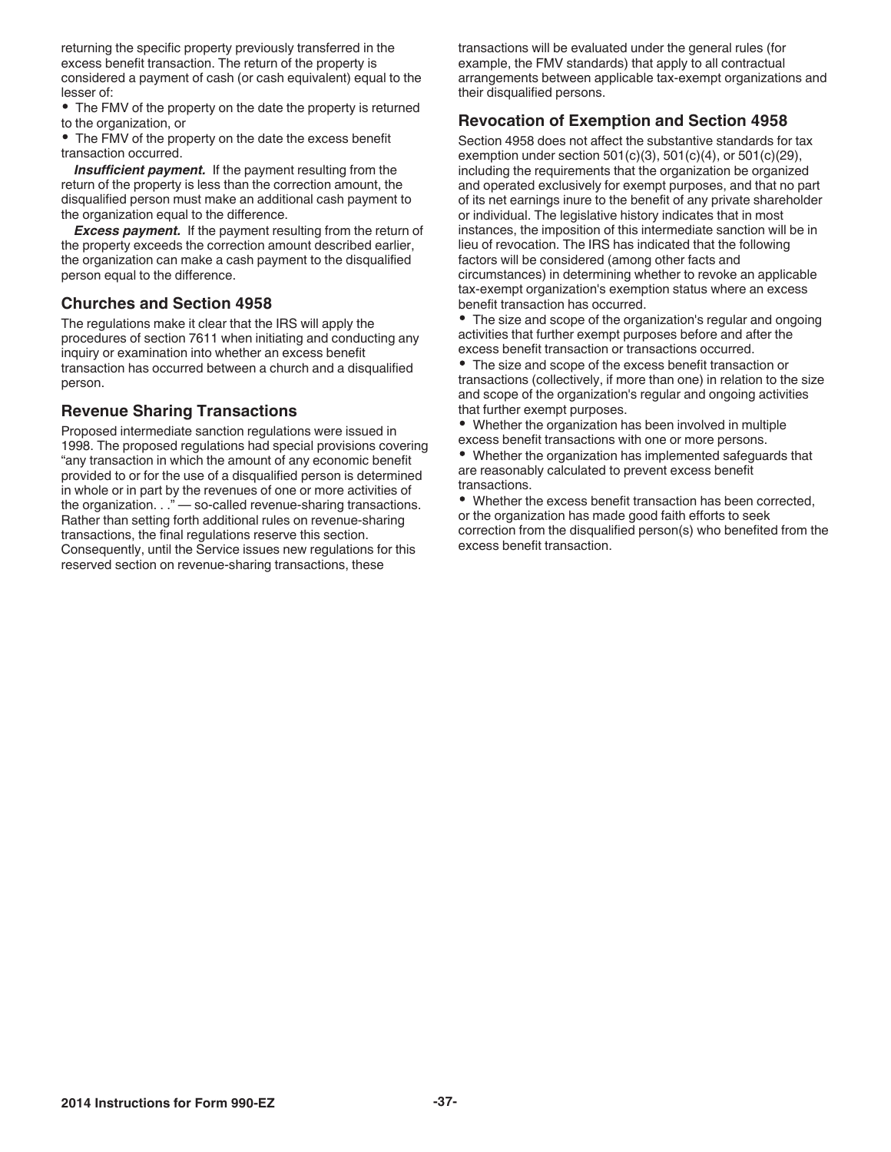<span id="page-36-0"></span>returning the specific property previously transferred in the excess benefit transaction. The return of the property is considered a payment of cash (or cash equivalent) equal to the lesser of:

The FMV of the property on the date the property is returned to the organization, or

The FMV of the property on the date the excess benefit transaction occurred.

*Insufficient payment.* If the payment resulting from the return of the property is less than the correction amount, the disqualified person must make an additional cash payment to the organization equal to the difference.

**Excess payment.** If the payment resulting from the return of the property exceeds the correction amount described earlier, the organization can make a cash payment to the disqualified person equal to the difference.

#### **Churches and Section 4958**

The regulations make it clear that the IRS will apply the procedures of section 7611 when initiating and conducting any inquiry or examination into whether an excess benefit transaction has occurred between a church and a disqualified person.

#### **Revenue Sharing Transactions**

Proposed intermediate sanction regulations were issued in 1998. The proposed regulations had special provisions covering "any transaction in which the amount of any economic benefit provided to or for the use of a disqualified person is determined in whole or in part by the revenues of one or more activities of the organization. . ." — so-called revenue-sharing transactions. Rather than setting forth additional rules on revenue-sharing transactions, the final regulations reserve this section. Consequently, until the Service issues new regulations for this reserved section on revenue-sharing transactions, these

transactions will be evaluated under the general rules (for example, the FMV standards) that apply to all contractual arrangements between applicable tax-exempt organizations and their disqualified persons.

#### **Revocation of Exemption and Section 4958**

Section 4958 does not affect the substantive standards for tax exemption under section 501(c)(3), 501(c)(4), or 501(c)(29), including the requirements that the organization be organized and operated exclusively for exempt purposes, and that no part of its net earnings inure to the benefit of any private shareholder or individual. The legislative history indicates that in most instances, the imposition of this intermediate sanction will be in lieu of revocation. The IRS has indicated that the following factors will be considered (among other facts and circumstances) in determining whether to revoke an applicable tax-exempt organization's exemption status where an excess benefit transaction has occurred.

• The size and scope of the organization's regular and ongoing activities that further exempt purposes before and after the excess benefit transaction or transactions occurred.

The size and scope of the excess benefit transaction or transactions (collectively, if more than one) in relation to the size and scope of the organization's regular and ongoing activities that further exempt purposes.

Whether the organization has been involved in multiple excess benefit transactions with one or more persons.

Whether the organization has implemented safeguards that are reasonably calculated to prevent excess benefit transactions.

Whether the excess benefit transaction has been corrected, or the organization has made good faith efforts to seek correction from the disqualified person(s) who benefited from the excess benefit transaction.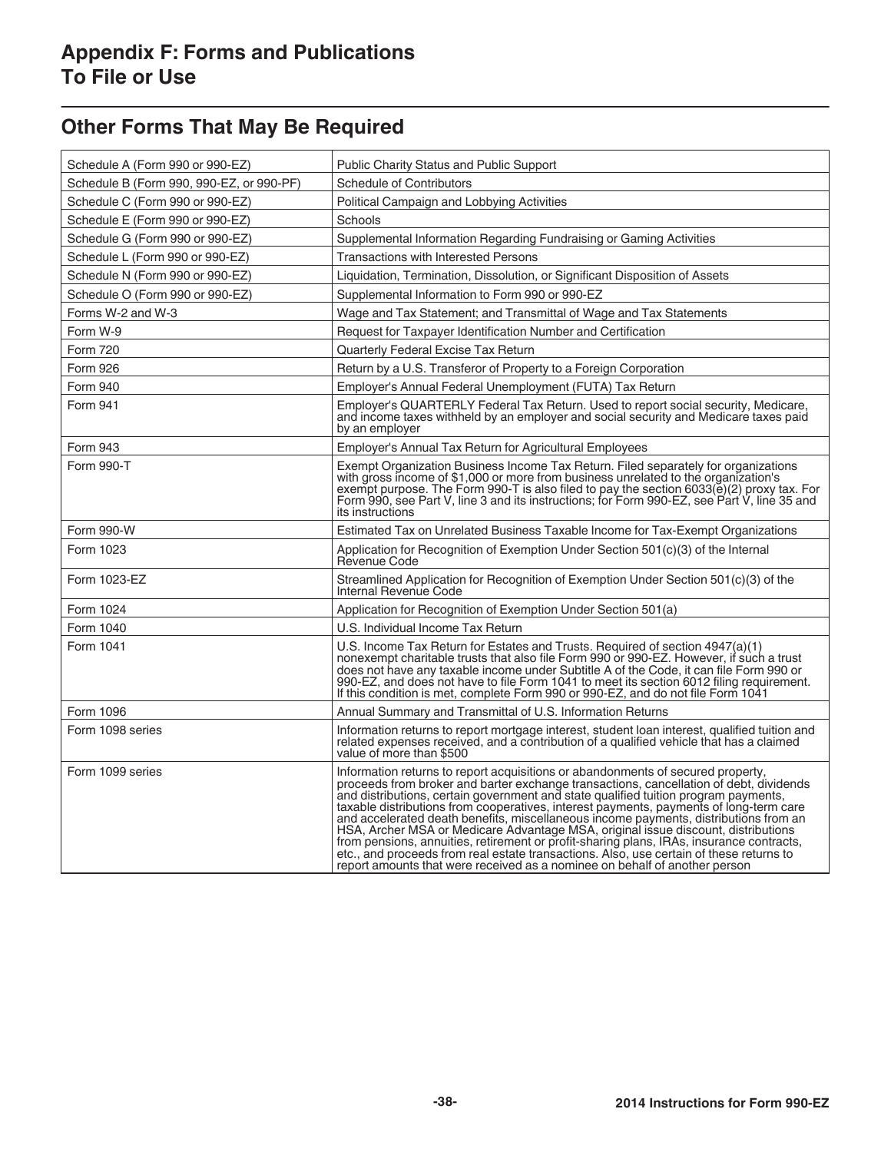## <span id="page-37-0"></span>**Other Forms That May Be Required**

| Schedule A (Form 990 or 990-EZ)          | <b>Public Charity Status and Public Support</b>                                                                                                                                                                                                                                                                                                                                                                                                                                                                                                                                                                                                                                                                                                                           |
|------------------------------------------|---------------------------------------------------------------------------------------------------------------------------------------------------------------------------------------------------------------------------------------------------------------------------------------------------------------------------------------------------------------------------------------------------------------------------------------------------------------------------------------------------------------------------------------------------------------------------------------------------------------------------------------------------------------------------------------------------------------------------------------------------------------------------|
| Schedule B (Form 990, 990-EZ, or 990-PF) | Schedule of Contributors                                                                                                                                                                                                                                                                                                                                                                                                                                                                                                                                                                                                                                                                                                                                                  |
| Schedule C (Form 990 or 990-EZ)          | Political Campaign and Lobbying Activities                                                                                                                                                                                                                                                                                                                                                                                                                                                                                                                                                                                                                                                                                                                                |
| Schedule E (Form 990 or 990-EZ)          | Schools                                                                                                                                                                                                                                                                                                                                                                                                                                                                                                                                                                                                                                                                                                                                                                   |
| Schedule G (Form 990 or 990-EZ)          | Supplemental Information Regarding Fundraising or Gaming Activities                                                                                                                                                                                                                                                                                                                                                                                                                                                                                                                                                                                                                                                                                                       |
| Schedule L (Form 990 or 990-EZ)          | <b>Transactions with Interested Persons</b>                                                                                                                                                                                                                                                                                                                                                                                                                                                                                                                                                                                                                                                                                                                               |
| Schedule N (Form 990 or 990-EZ)          | Liquidation, Termination, Dissolution, or Significant Disposition of Assets                                                                                                                                                                                                                                                                                                                                                                                                                                                                                                                                                                                                                                                                                               |
| Schedule O (Form 990 or 990-EZ)          | Supplemental Information to Form 990 or 990-EZ                                                                                                                                                                                                                                                                                                                                                                                                                                                                                                                                                                                                                                                                                                                            |
| Forms W-2 and W-3                        | Wage and Tax Statement; and Transmittal of Wage and Tax Statements                                                                                                                                                                                                                                                                                                                                                                                                                                                                                                                                                                                                                                                                                                        |
| Form W-9                                 | Request for Taxpayer Identification Number and Certification                                                                                                                                                                                                                                                                                                                                                                                                                                                                                                                                                                                                                                                                                                              |
| Form 720                                 | Quarterly Federal Excise Tax Return                                                                                                                                                                                                                                                                                                                                                                                                                                                                                                                                                                                                                                                                                                                                       |
| Form 926                                 | Return by a U.S. Transferor of Property to a Foreign Corporation                                                                                                                                                                                                                                                                                                                                                                                                                                                                                                                                                                                                                                                                                                          |
| <b>Form 940</b>                          | Employer's Annual Federal Unemployment (FUTA) Tax Return                                                                                                                                                                                                                                                                                                                                                                                                                                                                                                                                                                                                                                                                                                                  |
| Form 941                                 | Employer's QUARTERLY Federal Tax Return. Used to report social security, Medicare,<br>and income taxes withheld by an employer and social security and Medicare taxes paid<br>by an employer                                                                                                                                                                                                                                                                                                                                                                                                                                                                                                                                                                              |
| <b>Form 943</b>                          | <b>Employer's Annual Tax Return for Agricultural Employees</b>                                                                                                                                                                                                                                                                                                                                                                                                                                                                                                                                                                                                                                                                                                            |
| Form 990-T                               | Exempt Organization Business Income Tax Return. Filed separately for organizations<br>with gross income of \$1,000 or more from business unrelated to the organization's<br>exempt purpose. The Form 990-T is also filed to pay the section 6033(e)(2) proxy tax. For<br>Form 990, see Part V, line 3 and its instructions; for Form 990-EZ, see Part V, line 35 and<br>its instructions                                                                                                                                                                                                                                                                                                                                                                                  |
| Form 990-W                               | Estimated Tax on Unrelated Business Taxable Income for Tax-Exempt Organizations                                                                                                                                                                                                                                                                                                                                                                                                                                                                                                                                                                                                                                                                                           |
| Form 1023                                | Application for Recognition of Exemption Under Section 501(c)(3) of the Internal<br>Revenue Code                                                                                                                                                                                                                                                                                                                                                                                                                                                                                                                                                                                                                                                                          |
| Form 1023-EZ                             | Streamlined Application for Recognition of Exemption Under Section 501(c)(3) of the<br>Internal Revenue Code                                                                                                                                                                                                                                                                                                                                                                                                                                                                                                                                                                                                                                                              |
| Form 1024                                | Application for Recognition of Exemption Under Section 501(a)                                                                                                                                                                                                                                                                                                                                                                                                                                                                                                                                                                                                                                                                                                             |
| Form 1040                                | U.S. Individual Income Tax Return                                                                                                                                                                                                                                                                                                                                                                                                                                                                                                                                                                                                                                                                                                                                         |
| Form 1041                                | U.S. Income Tax Return for Estates and Trusts. Required of section 4947(a)(1)<br>nonexempt charitable trusts that also file Form 990 or 990-EZ. However, if such a trust<br>does not have any taxable income under Subtitle A of the Code, it can file Form 990 or<br>990-EZ, and does not have to file Form 1041 to meet its section 6012 filing requirement.<br>If this condition is met, complete Form 990 or 990-EZ, and do not file Form 1041                                                                                                                                                                                                                                                                                                                        |
| Form 1096                                | Annual Summary and Transmittal of U.S. Information Returns                                                                                                                                                                                                                                                                                                                                                                                                                                                                                                                                                                                                                                                                                                                |
| Form 1098 series                         | Information returns to report mortgage interest, student loan interest, qualified tuition and<br>related expenses received, and a contribution of a qualified vehicle that has a claimed<br>value of more than \$500                                                                                                                                                                                                                                                                                                                                                                                                                                                                                                                                                      |
| Form 1099 series                         | Information returns to report acquisitions or abandonments of secured property,<br>proceeds from broker and barter exchange transactions, cancellation of debt, dividends<br>and distributions, certain government and state qualified tuition program payments,<br>taxable distributions from cooperatives, interest p<br>and accelerated death benefits, miscellaneous income payments, distributions from an<br>HSA, Archer MSA or Medicare Advantage MSA, original issue discount, distributions<br>from pensions, annuities, retirement or profit-sharing plans, IRAs, insurance contracts,<br>etc., and proceeds from real estate transactions. Also, use certain of these returns to<br>report amounts that were received as a nominee on behalf of another person |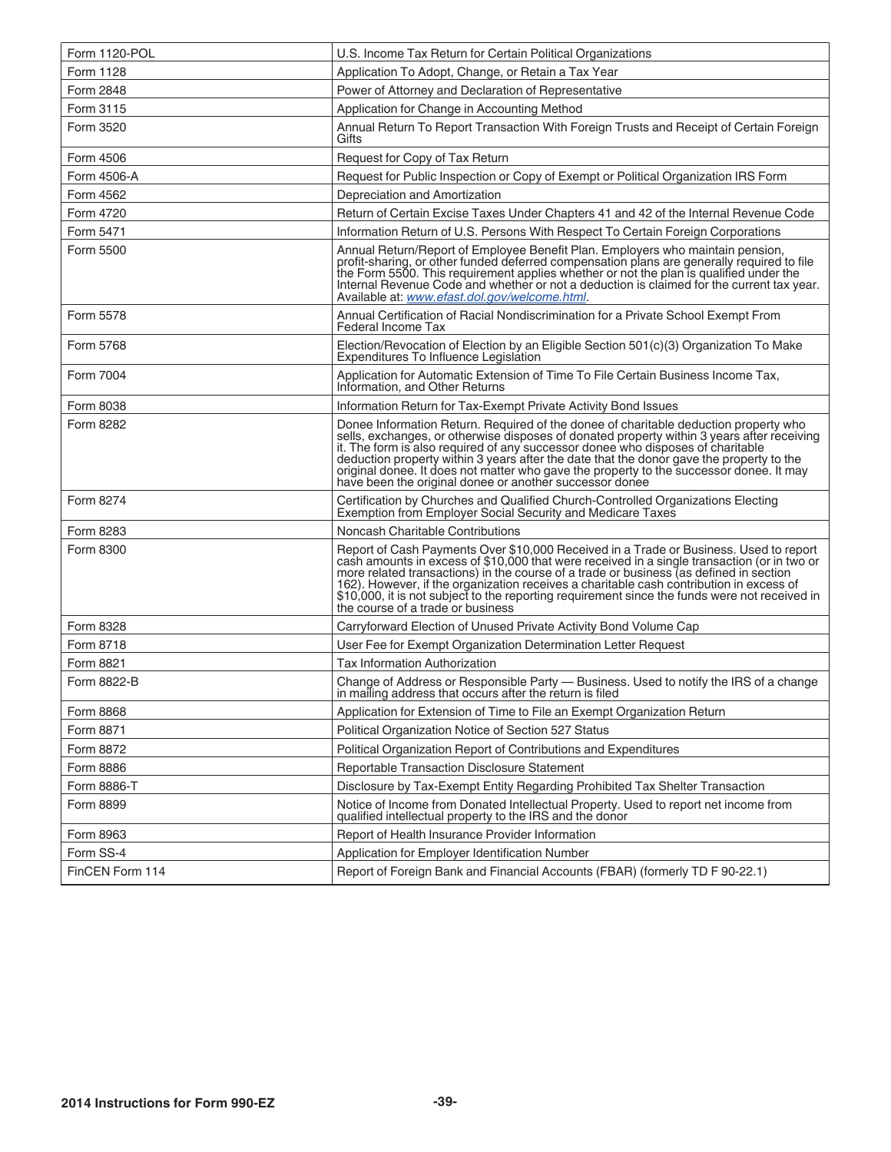| Form 1120-POL   | U.S. Income Tax Return for Certain Political Organizations                                                                                                                                                                                                                                                                                                                                                                                                                                                           |
|-----------------|----------------------------------------------------------------------------------------------------------------------------------------------------------------------------------------------------------------------------------------------------------------------------------------------------------------------------------------------------------------------------------------------------------------------------------------------------------------------------------------------------------------------|
| Form 1128       | Application To Adopt, Change, or Retain a Tax Year                                                                                                                                                                                                                                                                                                                                                                                                                                                                   |
| Form 2848       | Power of Attorney and Declaration of Representative                                                                                                                                                                                                                                                                                                                                                                                                                                                                  |
| Form 3115       | Application for Change in Accounting Method                                                                                                                                                                                                                                                                                                                                                                                                                                                                          |
| Form 3520       | Annual Return To Report Transaction With Foreign Trusts and Receipt of Certain Foreign<br>Gifts                                                                                                                                                                                                                                                                                                                                                                                                                      |
| Form 4506       | Request for Copy of Tax Return                                                                                                                                                                                                                                                                                                                                                                                                                                                                                       |
| Form 4506-A     | Request for Public Inspection or Copy of Exempt or Political Organization IRS Form                                                                                                                                                                                                                                                                                                                                                                                                                                   |
| Form 4562       | Depreciation and Amortization                                                                                                                                                                                                                                                                                                                                                                                                                                                                                        |
| Form 4720       | Return of Certain Excise Taxes Under Chapters 41 and 42 of the Internal Revenue Code                                                                                                                                                                                                                                                                                                                                                                                                                                 |
| Form 5471       | Information Return of U.S. Persons With Respect To Certain Foreign Corporations                                                                                                                                                                                                                                                                                                                                                                                                                                      |
| Form 5500       | Annual Return/Report of Employee Benefit Plan. Employers who maintain pension,<br>profit-sharing, or other funded deferred compensation plans are generally required to file<br>the Form 5500. This requirement applies whether or not the plan is qualified under the<br>Internal Revenue Code and whether or not a deduction is claimed for the current tax year.<br>Available at: www.efast.dol.gov/welcome.html.                                                                                                 |
| Form 5578       | Annual Certification of Racial Nondiscrimination for a Private School Exempt From<br>Federal Income Tax                                                                                                                                                                                                                                                                                                                                                                                                              |
| Form 5768       | Election/Revocation of Election by an Eligible Section 501(c)(3) Organization To Make<br>Expenditures To Influence Legislation                                                                                                                                                                                                                                                                                                                                                                                       |
| Form 7004       | Application for Automatic Extension of Time To File Certain Business Income Tax,<br>Information, and Other Returns                                                                                                                                                                                                                                                                                                                                                                                                   |
| Form 8038       | Information Return for Tax-Exempt Private Activity Bond Issues                                                                                                                                                                                                                                                                                                                                                                                                                                                       |
| Form 8282       | Donee Information Return. Required of the donee of charitable deduction property who<br>sells, exchanges, or otherwise disposes of donated property within 3 years after receiving<br>it. The form is also required of any successor donee who disposes of charitable<br>deduction property within 3 years after the date that the donor gave the property to the<br>original donee. It does not matter who gave the property to the successor donee. It may have been the original donee or another successor donee |
| Form 8274       | Certification by Churches and Qualified Church-Controlled Organizations Electing<br>Exemption from Employer Social Security and Medicare Taxes                                                                                                                                                                                                                                                                                                                                                                       |
| Form 8283       | Noncash Charitable Contributions                                                                                                                                                                                                                                                                                                                                                                                                                                                                                     |
| Form 8300       | Report of Cash Payments Over \$10,000 Received in a Trade or Business. Used to report<br>cash amounts in excess of \$10,000 that were received in a single transaction (or in two or<br>more related transactions) in the course of a trade or business (as defined in section<br>162). However, if the organization receives a charitable cash contribution in excess of<br>\$10,000, it is not subject to the reporting requirement since the funds were not received in<br>the course of a trade or business      |
| Form 8328       | Carryforward Election of Unused Private Activity Bond Volume Cap                                                                                                                                                                                                                                                                                                                                                                                                                                                     |
| Form 8718       | User Fee for Exempt Organization Determination Letter Request                                                                                                                                                                                                                                                                                                                                                                                                                                                        |
| Form 8821       | Tax Information Authorization                                                                                                                                                                                                                                                                                                                                                                                                                                                                                        |
| Form 8822-B     | Change of Address or Responsible Party - Business. Used to notify the IRS of a change<br>in mailing address that occurs after the return is filed                                                                                                                                                                                                                                                                                                                                                                    |
| Form 8868       | Application for Extension of Time to File an Exempt Organization Return                                                                                                                                                                                                                                                                                                                                                                                                                                              |
| Form 8871       | Political Organization Notice of Section 527 Status                                                                                                                                                                                                                                                                                                                                                                                                                                                                  |
| Form 8872       | Political Organization Report of Contributions and Expenditures                                                                                                                                                                                                                                                                                                                                                                                                                                                      |
| Form 8886       | Reportable Transaction Disclosure Statement                                                                                                                                                                                                                                                                                                                                                                                                                                                                          |
| Form 8886-T     | Disclosure by Tax-Exempt Entity Regarding Prohibited Tax Shelter Transaction                                                                                                                                                                                                                                                                                                                                                                                                                                         |
| Form 8899       | Notice of Income from Donated Intellectual Property. Used to report net income from qualified intellectual property to the IRS and the donor                                                                                                                                                                                                                                                                                                                                                                         |
| Form 8963       | Report of Health Insurance Provider Information                                                                                                                                                                                                                                                                                                                                                                                                                                                                      |
| Form SS-4       | Application for Employer Identification Number                                                                                                                                                                                                                                                                                                                                                                                                                                                                       |
| FinCEN Form 114 | Report of Foreign Bank and Financial Accounts (FBAR) (formerly TD F 90-22.1)                                                                                                                                                                                                                                                                                                                                                                                                                                         |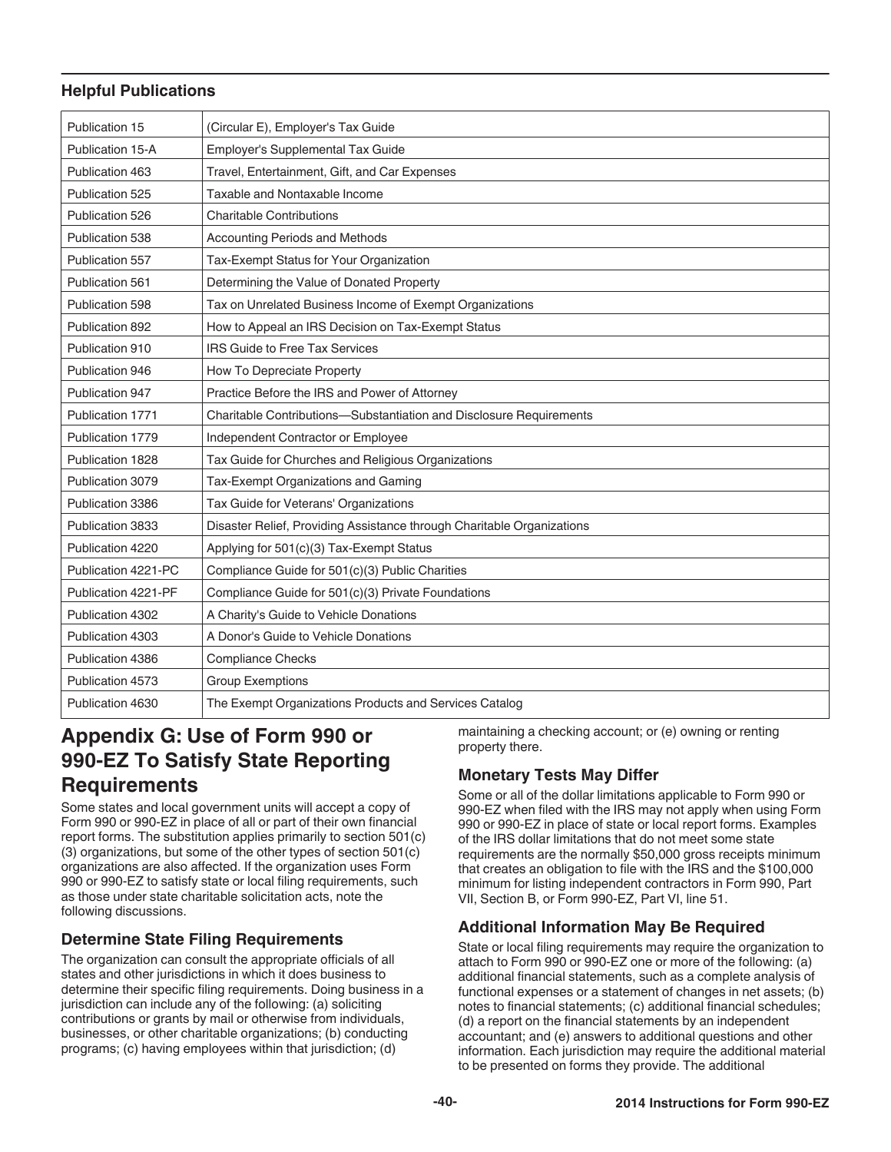#### <span id="page-39-0"></span>**Helpful Publications**

| Publication 15      | (Circular E), Employer's Tax Guide                                     |
|---------------------|------------------------------------------------------------------------|
| Publication 15-A    | Employer's Supplemental Tax Guide                                      |
| Publication 463     | Travel, Entertainment, Gift, and Car Expenses                          |
| Publication 525     | Taxable and Nontaxable Income                                          |
| Publication 526     | <b>Charitable Contributions</b>                                        |
| Publication 538     | Accounting Periods and Methods                                         |
| Publication 557     | Tax-Exempt Status for Your Organization                                |
| Publication 561     | Determining the Value of Donated Property                              |
| Publication 598     | Tax on Unrelated Business Income of Exempt Organizations               |
| Publication 892     | How to Appeal an IRS Decision on Tax-Exempt Status                     |
| Publication 910     | <b>IRS Guide to Free Tax Services</b>                                  |
| Publication 946     | How To Depreciate Property                                             |
| Publication 947     | Practice Before the IRS and Power of Attorney                          |
| Publication 1771    | Charitable Contributions-Substantiation and Disclosure Requirements    |
| Publication 1779    | Independent Contractor or Employee                                     |
| Publication 1828    | Tax Guide for Churches and Religious Organizations                     |
| Publication 3079    | Tax-Exempt Organizations and Gaming                                    |
| Publication 3386    | Tax Guide for Veterans' Organizations                                  |
| Publication 3833    | Disaster Relief, Providing Assistance through Charitable Organizations |
| Publication 4220    | Applying for 501(c)(3) Tax-Exempt Status                               |
| Publication 4221-PC | Compliance Guide for 501(c)(3) Public Charities                        |
| Publication 4221-PF | Compliance Guide for 501(c)(3) Private Foundations                     |
| Publication 4302    | A Charity's Guide to Vehicle Donations                                 |
| Publication 4303    | A Donor's Guide to Vehicle Donations                                   |
| Publication 4386    | <b>Compliance Checks</b>                                               |
| Publication 4573    | <b>Group Exemptions</b>                                                |
| Publication 4630    | The Exempt Organizations Products and Services Catalog                 |

## **Appendix G: Use of Form 990 or 990-EZ To Satisfy State Reporting Requirements**

Some states and local government units will accept a copy of Form 990 or 990-EZ in place of all or part of their own financial report forms. The substitution applies primarily to section 501(c) (3) organizations, but some of the other types of section 501(c) organizations are also affected. If the organization uses Form 990 or 990-EZ to satisfy state or local filing requirements, such as those under state charitable solicitation acts, note the following discussions.

#### **Determine State Filing Requirements**

The organization can consult the appropriate officials of all states and other jurisdictions in which it does business to determine their specific filing requirements. Doing business in a jurisdiction can include any of the following: (a) soliciting contributions or grants by mail or otherwise from individuals, businesses, or other charitable organizations; (b) conducting programs; (c) having employees within that jurisdiction; (d)

maintaining a checking account; or (e) owning or renting property there.

#### **Monetary Tests May Differ**

Some or all of the dollar limitations applicable to Form 990 or 990-EZ when filed with the IRS may not apply when using Form 990 or 990-EZ in place of state or local report forms. Examples of the IRS dollar limitations that do not meet some state requirements are the normally \$50,000 gross receipts minimum that creates an obligation to file with the IRS and the \$100,000 minimum for listing independent contractors in Form 990, Part VII, Section B, or Form 990-EZ, Part VI, line 51.

#### **Additional Information May Be Required**

State or local filing requirements may require the organization to attach to Form 990 or 990-EZ one or more of the following: (a) additional financial statements, such as a complete analysis of functional expenses or a statement of changes in net assets; (b) notes to financial statements; (c) additional financial schedules; (d) a report on the financial statements by an independent accountant; and (e) answers to additional questions and other information. Each jurisdiction may require the additional material to be presented on forms they provide. The additional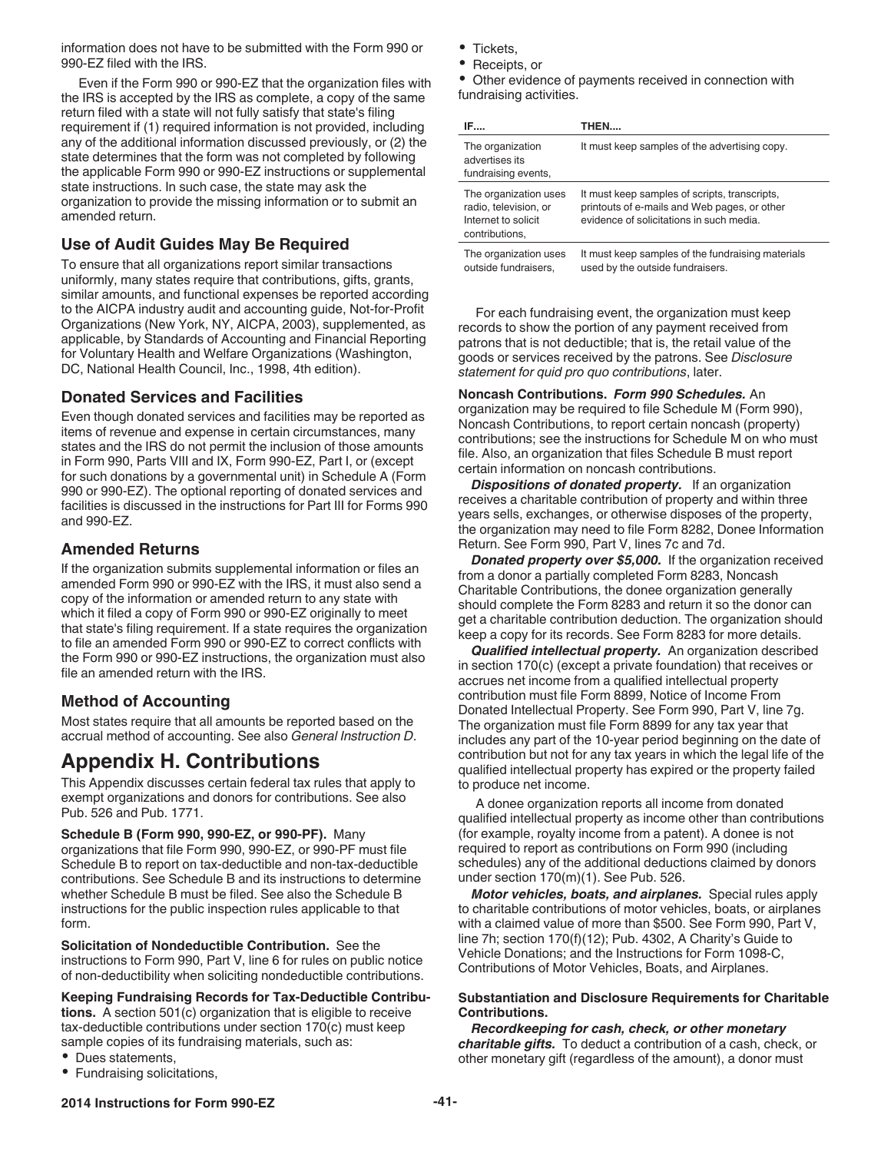<span id="page-40-0"></span>information does not have to be submitted with the Form 990 or 990-EZ filed with the IRS.

Even if the Form 990 or 990-EZ that the organization files with the IRS is accepted by the IRS as complete, a copy of the same return filed with a state will not fully satisfy that state's filing requirement if (1) required information is not provided, including any of the additional information discussed previously, or (2) the state determines that the form was not completed by following the applicable Form 990 or 990-EZ instructions or supplemental state instructions. In such case, the state may ask the organization to provide the missing information or to submit an amended return.

#### **Use of Audit Guides May Be Required**

To ensure that all organizations report similar transactions uniformly, many states require that contributions, gifts, grants, similar amounts, and functional expenses be reported according to the AICPA industry audit and accounting guide, Not-for-Profit Organizations (New York, NY, AICPA, 2003), supplemented, as applicable, by Standards of Accounting and Financial Reporting for Voluntary Health and Welfare Organizations (Washington, DC, National Health Council, Inc., 1998, 4th edition).

#### **Donated Services and Facilities**

Even though donated services and facilities may be reported as items of revenue and expense in certain circumstances, many states and the IRS do not permit the inclusion of those amounts in Form 990, Parts VIII and IX, Form 990-EZ, Part I, or (except for such donations by a governmental unit) in Schedule A (Form 990 or 990-EZ). The optional reporting of donated services and facilities is discussed in the instructions for Part III for Forms 990 and 990-EZ.

#### **Amended Returns**

If the organization submits supplemental information or files an amended Form 990 or 990-EZ with the IRS, it must also send a copy of the information or amended return to any state with which it filed a copy of Form 990 or 990-EZ originally to meet that state's filing requirement. If a state requires the organization to file an amended Form 990 or 990-EZ to correct conflicts with the Form 990 or 990-EZ instructions, the organization must also file an amended return with the IRS.

#### **Method of Accounting**

Most states require that all amounts be reported based on the accrual method of accounting. See also *General Instruction D*.

## **Appendix H. Contributions**

This Appendix discusses certain federal tax rules that apply to exempt organizations and donors for contributions. See also Pub. 526 and Pub. 1771.

**Schedule B (Form 990, 990-EZ, or 990-PF).** Many organizations that file Form 990, 990-EZ, or 990-PF must file Schedule B to report on tax-deductible and non-tax-deductible contributions. See Schedule B and its instructions to determine whether Schedule B must be filed. See also the Schedule B instructions for the public inspection rules applicable to that form.

**Solicitation of Nondeductible Contribution.** See the instructions to Form 990, Part V, line 6 for rules on public notice of non-deductibility when soliciting nondeductible contributions.

#### **Keeping Fundraising Records for Tax-Deductible Contribu-**

**tions.** A section 501(c) organization that is eligible to receive tax-deductible contributions under section 170(c) must keep sample copies of its fundraising materials, such as:

- Dues statements,
- Fundraising solicitations,
- Tickets,
- Receipts, or

Other evidence of payments received in connection with fundraising activities.

| IF                                                                                      | THEN                                                                                                                                      |
|-----------------------------------------------------------------------------------------|-------------------------------------------------------------------------------------------------------------------------------------------|
|                                                                                         |                                                                                                                                           |
| The organization<br>advertises its<br>fundraising events,                               | It must keep samples of the advertising copy.                                                                                             |
| The organization uses<br>radio, television, or<br>Internet to solicit<br>contributions, | It must keep samples of scripts, transcripts,<br>printouts of e-mails and Web pages, or other<br>evidence of solicitations in such media. |
| The organization uses<br>outside fundraisers.                                           | It must keep samples of the fundraising materials<br>used by the outside fundraisers.                                                     |

For each fundraising event, the organization must keep records to show the portion of any payment received from patrons that is not deductible; that is, the retail value of the goods or services received by the patrons. See *Disclosure statement for quid pro quo contributions*, later.

**Noncash Contributions.** *Form 990 Schedules.* An organization may be required to file Schedule M (Form 990), Noncash Contributions, to report certain noncash (property) contributions; see the instructions for Schedule M on who must file. Also, an organization that files Schedule B must report certain information on noncash contributions.

*Dispositions of donated property.* If an organization receives a charitable contribution of property and within three years sells, exchanges, or otherwise disposes of the property, the organization may need to file Form 8282, Donee Information Return. See Form 990, Part V, lines 7c and 7d.

**Donated property over \$5,000.** If the organization received from a donor a partially completed Form 8283, Noncash Charitable Contributions, the donee organization generally should complete the Form 8283 and return it so the donor can get a charitable contribution deduction. The organization should keep a copy for its records. See Form 8283 for more details.

*Qualified intellectual property.* An organization described in section 170(c) (except a private foundation) that receives or accrues net income from a qualified intellectual property contribution must file Form 8899, Notice of Income From Donated Intellectual Property. See Form 990, Part V, line 7g. The organization must file Form 8899 for any tax year that includes any part of the 10-year period beginning on the date of contribution but not for any tax years in which the legal life of the qualified intellectual property has expired or the property failed to produce net income.

A donee organization reports all income from donated qualified intellectual property as income other than contributions (for example, royalty income from a patent). A donee is not required to report as contributions on Form 990 (including schedules) any of the additional deductions claimed by donors under section 170(m)(1). See Pub. 526.

*Motor vehicles, boats, and airplanes.* Special rules apply to charitable contributions of motor vehicles, boats, or airplanes with a claimed value of more than \$500. See Form 990, Part V, line 7h; section 170(f)(12); Pub. 4302, A Charity's Guide to Vehicle Donations; and the Instructions for Form 1098-C, Contributions of Motor Vehicles, Boats, and Airplanes.

#### **Substantiation and Disclosure Requirements for Charitable Contributions.**

*Recordkeeping for cash, check, or other monetary charitable gifts.* To deduct a contribution of a cash, check, or other monetary gift (regardless of the amount), a donor must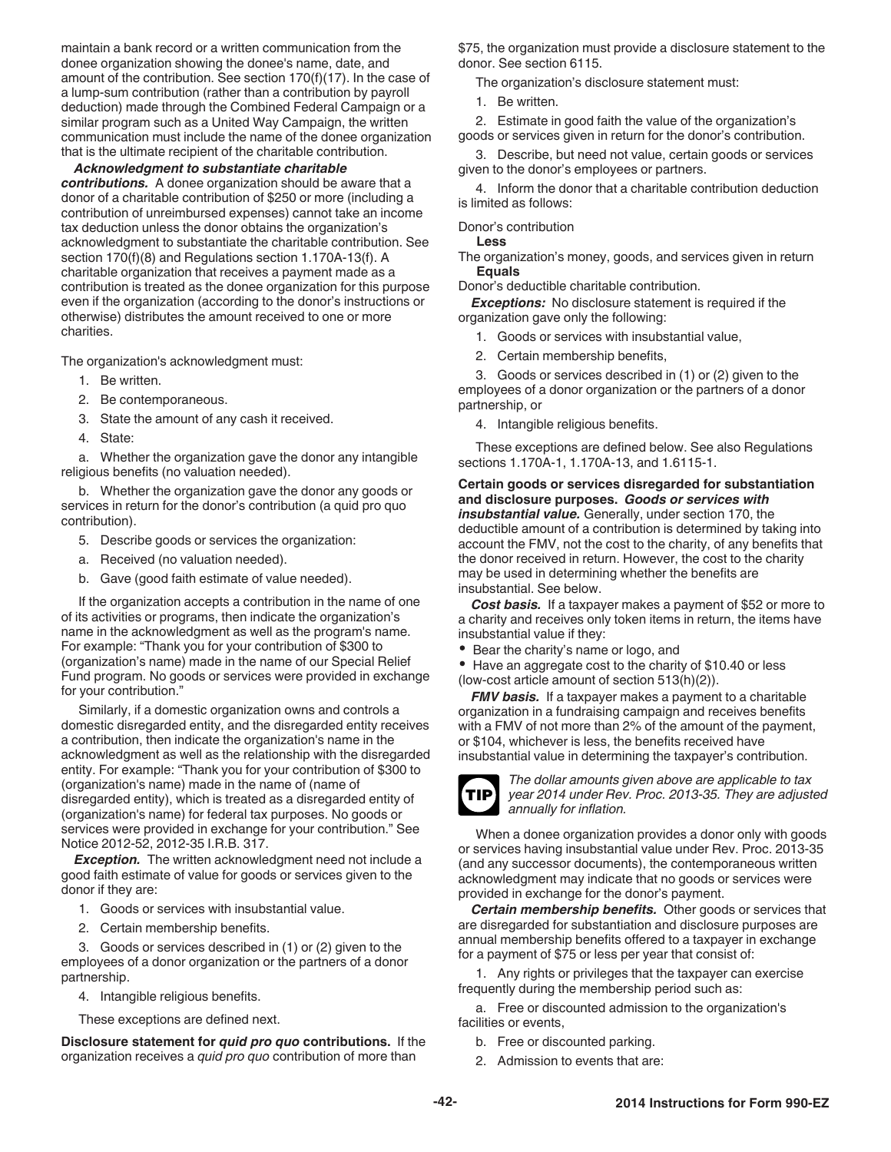<span id="page-41-0"></span>maintain a bank record or a written communication from the donee organization showing the donee's name, date, and amount of the contribution. See section 170(f)(17). In the case of a lump-sum contribution (rather than a contribution by payroll deduction) made through the Combined Federal Campaign or a similar program such as a United Way Campaign, the written communication must include the name of the donee organization that is the ultimate recipient of the charitable contribution.

*Acknowledgment to substantiate charitable* 

*contributions.* A donee organization should be aware that a donor of a charitable contribution of \$250 or more (including a contribution of unreimbursed expenses) cannot take an income tax deduction unless the donor obtains the organization's acknowledgment to substantiate the charitable contribution. See section 170(f)(8) and Regulations section 1.170A-13(f). A charitable organization that receives a payment made as a contribution is treated as the donee organization for this purpose even if the organization (according to the donor's instructions or otherwise) distributes the amount received to one or more charities.

The organization's acknowledgment must:

- 1. Be written.
- 2. Be contemporaneous.
- 3. State the amount of any cash it received.
- 4. State:

a. Whether the organization gave the donor any intangible religious benefits (no valuation needed).

b. Whether the organization gave the donor any goods or services in return for the donor's contribution (a quid pro quo contribution).

- 5. Describe goods or services the organization:
- a. Received (no valuation needed).
- b. Gave (good faith estimate of value needed).

If the organization accepts a contribution in the name of one of its activities or programs, then indicate the organization's name in the acknowledgment as well as the program's name. For example: "Thank you for your contribution of \$300 to (organization's name) made in the name of our Special Relief Fund program. No goods or services were provided in exchange for your contribution."

Similarly, if a domestic organization owns and controls a domestic disregarded entity, and the disregarded entity receives a contribution, then indicate the organization's name in the acknowledgment as well as the relationship with the disregarded entity. For example: "Thank you for your contribution of \$300 to (organization's name) made in the name of (name of disregarded entity), which is treated as a disregarded entity of (organization's name) for federal tax purposes. No goods or services were provided in exchange for your contribution." See Notice 2012-52, 2012-35 I.R.B. 317.

**Exception.** The written acknowledgment need not include a good faith estimate of value for goods or services given to the donor if they are:

- 1. Goods or services with insubstantial value.
- 2. Certain membership benefits.

3. Goods or services described in (1) or (2) given to the employees of a donor organization or the partners of a donor partnership.

4. Intangible religious benefits.

These exceptions are defined next.

**Disclosure statement for** *quid pro quo* **contributions.** If the organization receives a *quid pro quo* contribution of more than

\$75, the organization must provide a disclosure statement to the donor. See section 6115.

The organization's disclosure statement must:

1. Be written.

2. Estimate in good faith the value of the organization's goods or services given in return for the donor's contribution.

3. Describe, but need not value, certain goods or services given to the donor's employees or partners.

4. Inform the donor that a charitable contribution deduction is limited as follows:

Donor's contribution

**Less**

The organization's money, goods, and services given in return **Equals**

Donor's deductible charitable contribution.

*Exceptions:* No disclosure statement is required if the organization gave only the following:

- 1. Goods or services with insubstantial value,
- 2. Certain membership benefits,

3. Goods or services described in (1) or (2) given to the employees of a donor organization or the partners of a donor partnership, or

4. Intangible religious benefits.

These exceptions are defined below. See also Regulations sections 1.170A-1, 1.170A-13, and 1.6115-1.

#### **Certain goods or services disregarded for substantiation and disclosure purposes.** *Goods or services with insubstantial value.* Generally, under section 170, the deductible amount of a contribution is determined by taking into

account the FMV, not the cost to the charity, of any benefits that the donor received in return. However, the cost to the charity may be used in determining whether the benefits are insubstantial. See below.

*Cost basis.* If a taxpayer makes a payment of \$52 or more to a charity and receives only token items in return, the items have insubstantial value if they:

- Bear the charity's name or logo, and
- Have an aggregate cost to the charity of \$10.40 or less (low-cost article amount of section 513(h)(2)).

*FMV basis.* If a taxpayer makes a payment to a charitable organization in a fundraising campaign and receives benefits with a FMV of not more than 2% of the amount of the payment, or \$104, whichever is less, the benefits received have insubstantial value in determining the taxpayer's contribution.



*The dollar amounts given above are applicable to tax year 2014 under Rev. Proc. 2013-35. They are adjusted annually for inflation.*

When a donee organization provides a donor only with goods or services having insubstantial value under Rev. Proc. 2013-35 (and any successor documents), the contemporaneous written acknowledgment may indicate that no goods or services were provided in exchange for the donor's payment.

*Certain membership benefits.* Other goods or services that are disregarded for substantiation and disclosure purposes are annual membership benefits offered to a taxpayer in exchange for a payment of \$75 or less per year that consist of:

1. Any rights or privileges that the taxpayer can exercise frequently during the membership period such as:

a. Free or discounted admission to the organization's facilities or events,

- b. Free or discounted parking.
- 2. Admission to events that are: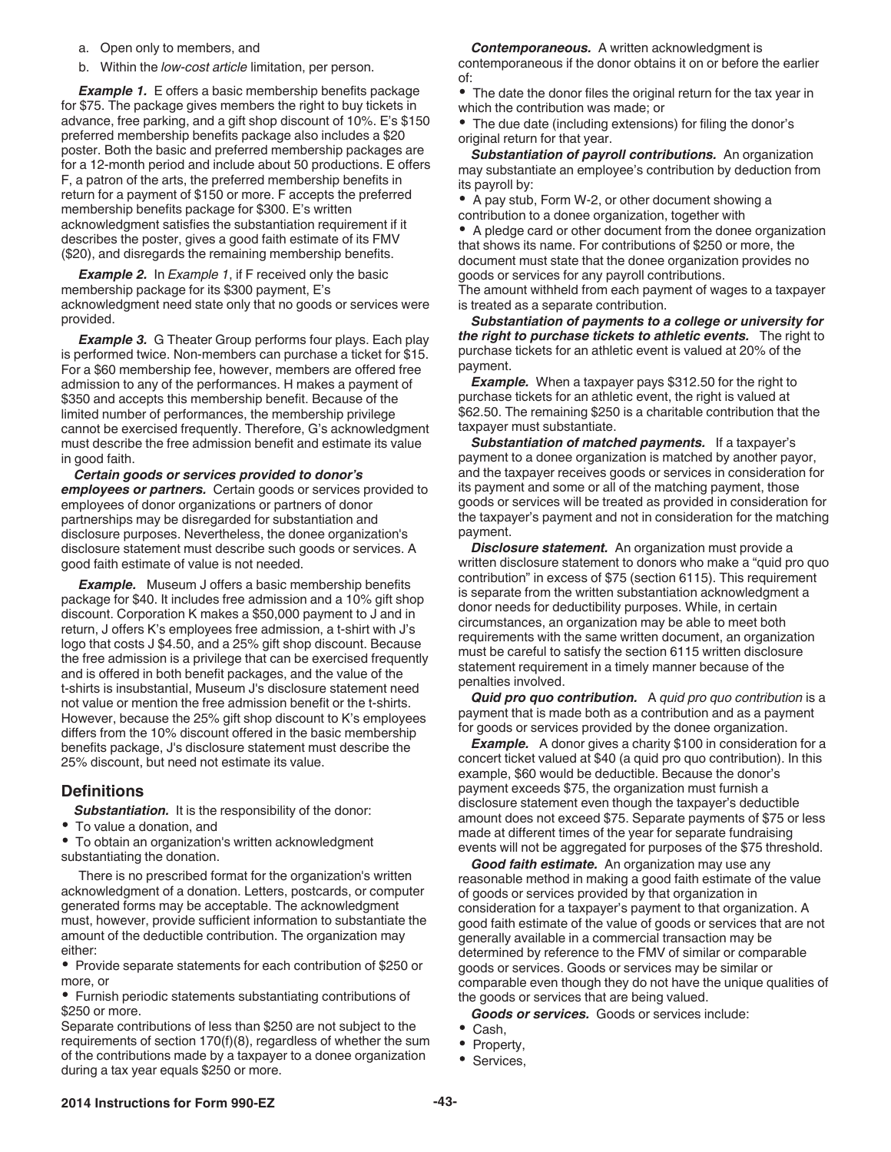- a. Open only to members, and
- b. Within the *low-cost article* limitation, per person.

**Example 1.** E offers a basic membership benefits package for \$75. The package gives members the right to buy tickets in advance, free parking, and a gift shop discount of 10%. E's \$150 preferred membership benefits package also includes a \$20 poster. Both the basic and preferred membership packages are for a 12-month period and include about 50 productions. E offers F, a patron of the arts, the preferred membership benefits in return for a payment of \$150 or more. F accepts the preferred membership benefits package for \$300. E's written acknowledgment satisfies the substantiation requirement if it describes the poster, gives a good faith estimate of its FMV (\$20), and disregards the remaining membership benefits.

**Example 2.** In *Example 1*, if F received only the basic membership package for its \$300 payment, E's acknowledgment need state only that no goods or services were provided.

*Example 3.* G Theater Group performs four plays. Each play is performed twice. Non-members can purchase a ticket for \$15. For a \$60 membership fee, however, members are offered free admission to any of the performances. H makes a payment of \$350 and accepts this membership benefit. Because of the limited number of performances, the membership privilege cannot be exercised frequently. Therefore, G's acknowledgment must describe the free admission benefit and estimate its value in good faith.

*Certain goods or services provided to donor's employees or partners.* Certain goods or services provided to employees of donor organizations or partners of donor partnerships may be disregarded for substantiation and disclosure purposes. Nevertheless, the donee organization's disclosure statement must describe such goods or services. A good faith estimate of value is not needed.

**Example.** Museum J offers a basic membership benefits package for \$40. It includes free admission and a 10% gift shop discount. Corporation K makes a \$50,000 payment to J and in return, J offers K's employees free admission, a t-shirt with J's logo that costs J \$4.50, and a 25% gift shop discount. Because the free admission is a privilege that can be exercised frequently and is offered in both benefit packages, and the value of the t-shirts is insubstantial, Museum J's disclosure statement need not value or mention the free admission benefit or the t-shirts. However, because the 25% gift shop discount to K's employees differs from the 10% discount offered in the basic membership benefits package, J's disclosure statement must describe the 25% discount, but need not estimate its value.

#### **Definitions**

*Substantiation.* It is the responsibility of the donor:

- To value a donation, and
- To obtain an organization's written acknowledgment substantiating the donation.

There is no prescribed format for the organization's written acknowledgment of a donation. Letters, postcards, or computer generated forms may be acceptable. The acknowledgment must, however, provide sufficient information to substantiate the amount of the deductible contribution. The organization may either:

Provide separate statements for each contribution of \$250 or more, or

Furnish periodic statements substantiating contributions of \$250 or more.

Separate contributions of less than \$250 are not subject to the requirements of section 170(f)(8), regardless of whether the sum of the contributions made by a taxpayer to a donee organization during a tax year equals \$250 or more.

*Contemporaneous.* A written acknowledgment is contemporaneous if the donor obtains it on or before the earlier of:

The date the donor files the original return for the tax year in which the contribution was made; or

The due date (including extensions) for filing the donor's original return for that year.

*Substantiation of payroll contributions.* An organization may substantiate an employee's contribution by deduction from its payroll by:

A pay stub, Form W-2, or other document showing a contribution to a donee organization, together with

A pledge card or other document from the donee organization that shows its name. For contributions of \$250 or more, the document must state that the donee organization provides no goods or services for any payroll contributions.

The amount withheld from each payment of wages to a taxpayer is treated as a separate contribution.

*Substantiation of payments to a college or university for the right to purchase tickets to athletic events.* The right to purchase tickets for an athletic event is valued at 20% of the payment.

*Example.* When a taxpayer pays \$312.50 for the right to purchase tickets for an athletic event, the right is valued at \$62.50. The remaining \$250 is a charitable contribution that the taxpayer must substantiate.

*Substantiation of matched payments.* If a taxpayer's payment to a donee organization is matched by another payor, and the taxpayer receives goods or services in consideration for its payment and some or all of the matching payment, those goods or services will be treated as provided in consideration for the taxpayer's payment and not in consideration for the matching payment.

*Disclosure statement.* An organization must provide a written disclosure statement to donors who make a "quid pro quo contribution" in excess of \$75 (section 6115). This requirement is separate from the written substantiation acknowledgment a donor needs for deductibility purposes. While, in certain circumstances, an organization may be able to meet both requirements with the same written document, an organization must be careful to satisfy the section 6115 written disclosure statement requirement in a timely manner because of the penalties involved.

*Quid pro quo contribution.* A *quid pro quo contribution* is a payment that is made both as a contribution and as a payment for goods or services provided by the donee organization.

**Example.** A donor gives a charity \$100 in consideration for a concert ticket valued at \$40 (a quid pro quo contribution). In this example, \$60 would be deductible. Because the donor's payment exceeds \$75, the organization must furnish a disclosure statement even though the taxpayer's deductible amount does not exceed \$75. Separate payments of \$75 or less made at different times of the year for separate fundraising events will not be aggregated for purposes of the \$75 threshold.

*Good faith estimate.* An organization may use any reasonable method in making a good faith estimate of the value of goods or services provided by that organization in consideration for a taxpayer's payment to that organization. A good faith estimate of the value of goods or services that are not generally available in a commercial transaction may be determined by reference to the FMV of similar or comparable goods or services. Goods or services may be similar or comparable even though they do not have the unique qualities of the goods or services that are being valued.

*Goods or services.* Goods or services include:

- Cash,
- Property,
- Services.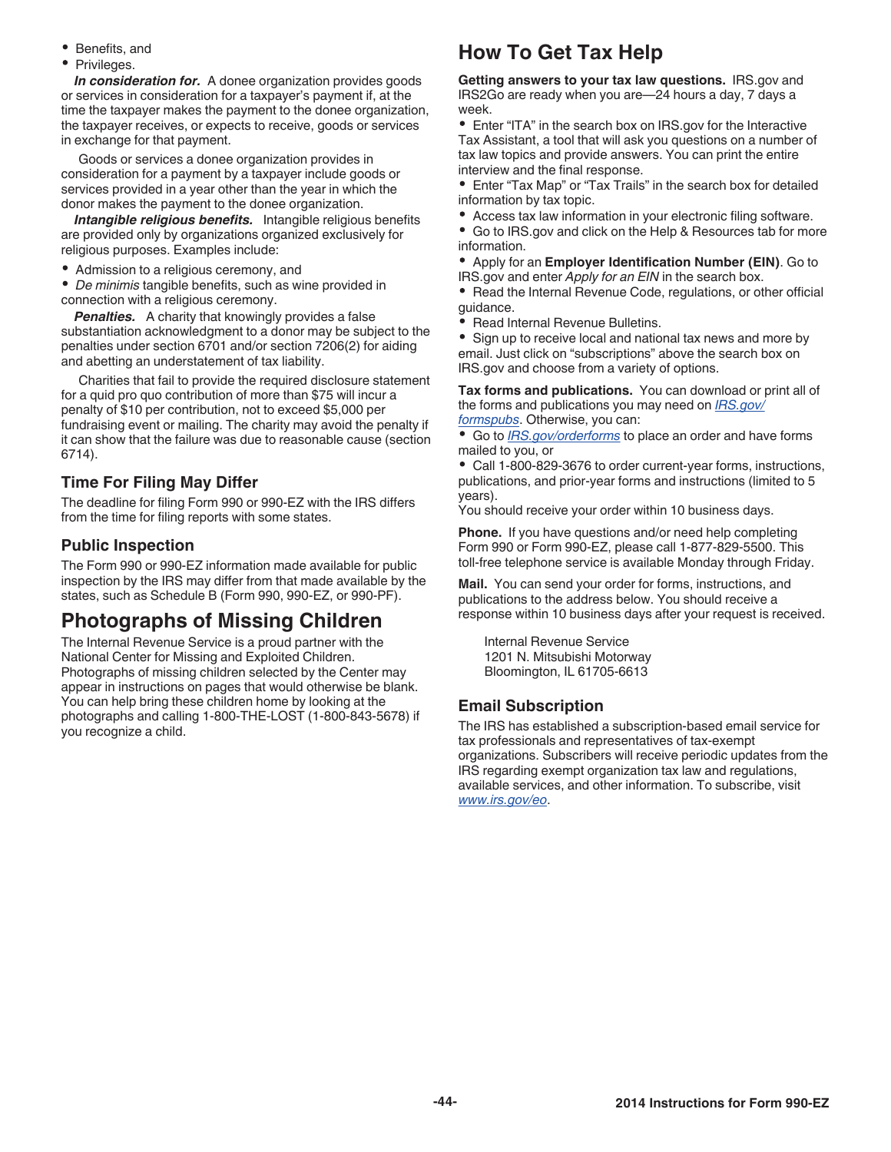- <span id="page-43-0"></span>Benefits, and
- Privileges.

*In consideration for.* A donee organization provides goods or services in consideration for a taxpayer's payment if, at the time the taxpayer makes the payment to the donee organization, the taxpayer receives, or expects to receive, goods or services in exchange for that payment.

Goods or services a donee organization provides in consideration for a payment by a taxpayer include goods or services provided in a year other than the year in which the donor makes the payment to the donee organization.

*Intangible religious benefits.* Intangible religious benefits are provided only by organizations organized exclusively for religious purposes. Examples include:

Admission to a religious ceremony, and

*De minimis* tangible benefits, such as wine provided in connection with a religious ceremony.

**Penalties.** A charity that knowingly provides a false substantiation acknowledgment to a donor may be subject to the penalties under section 6701 and/or section 7206(2) for aiding and abetting an understatement of tax liability.

Charities that fail to provide the required disclosure statement for a quid pro quo contribution of more than \$75 will incur a penalty of \$10 per contribution, not to exceed \$5,000 per fundraising event or mailing. The charity may avoid the penalty if it can show that the failure was due to reasonable cause (section 6714).

#### **Time For Filing May Differ**

The deadline for filing Form 990 or 990-EZ with the IRS differs from the time for filing reports with some states.

#### **Public Inspection**

The Form 990 or 990-EZ information made available for public inspection by the IRS may differ from that made available by the states, such as Schedule B (Form 990, 990-EZ, or 990-PF).

## **Photographs of Missing Children**

The Internal Revenue Service is a proud partner with the National Center for Missing and Exploited Children. Photographs of missing children selected by the Center may appear in instructions on pages that would otherwise be blank. You can help bring these children home by looking at the photographs and calling 1-800-THE-LOST (1-800-843-5678) if you recognize a child.

## **How To Get Tax Help**

**Getting answers to your tax law questions.** IRS.gov and IRS2Go are ready when you are—24 hours a day, 7 days a week.

Enter "ITA" in the search box on IRS.gov for the Interactive Tax Assistant, a tool that will ask you questions on a number of tax law topics and provide answers. You can print the entire interview and the final response.

Enter "Tax Map" or "Tax Trails" in the search box for detailed information by tax topic.

Access tax law information in your electronic filing software.

Go to IRS.gov and click on the Help & Resources tab for more information.

Apply for an **Employer Identification Number (EIN)**. Go to IRS.gov and enter *Apply for an EIN* in the search box.

• Read the Internal Revenue Code, regulations, or other official guidance.

Read Internal Revenue Bulletins.

Sign up to receive local and national tax news and more by email. Just click on "subscriptions" above the search box on IRS.gov and choose from a variety of options.

**Tax forms and publications.** You can download or print all of the forms and publications you may need on *[IRS.gov/](http://www.irs.gov/Forms-&-Pubs) [formspubs](http://www.irs.gov/Forms-&-Pubs)*. Otherwise, you can:

Go to *[IRS.gov/orderforms](http://www.irs.gov/Forms-&-Pubs/Order-Products)* to place an order and have forms mailed to you, or

Call 1-800-829-3676 to order current-year forms, instructions, publications, and prior-year forms and instructions (limited to 5 years).

You should receive your order within 10 business days.

**Phone.** If you have questions and/or need help completing Form 990 or Form 990-EZ, please call 1-877-829-5500. This toll-free telephone service is available Monday through Friday.

**Mail.** You can send your order for forms, instructions, and publications to the address below. You should receive a response within 10 business days after your request is received.

Internal Revenue Service 1201 N. Mitsubishi Motorway Bloomington, IL 61705-6613

#### **Email Subscription**

The IRS has established a subscription-based email service for tax professionals and representatives of tax-exempt organizations. Subscribers will receive periodic updates from the IRS regarding exempt organization tax law and regulations, available services, and other information. To subscribe, visit *[www.irs.gov/eo](http://www.irs.gov/eo)*.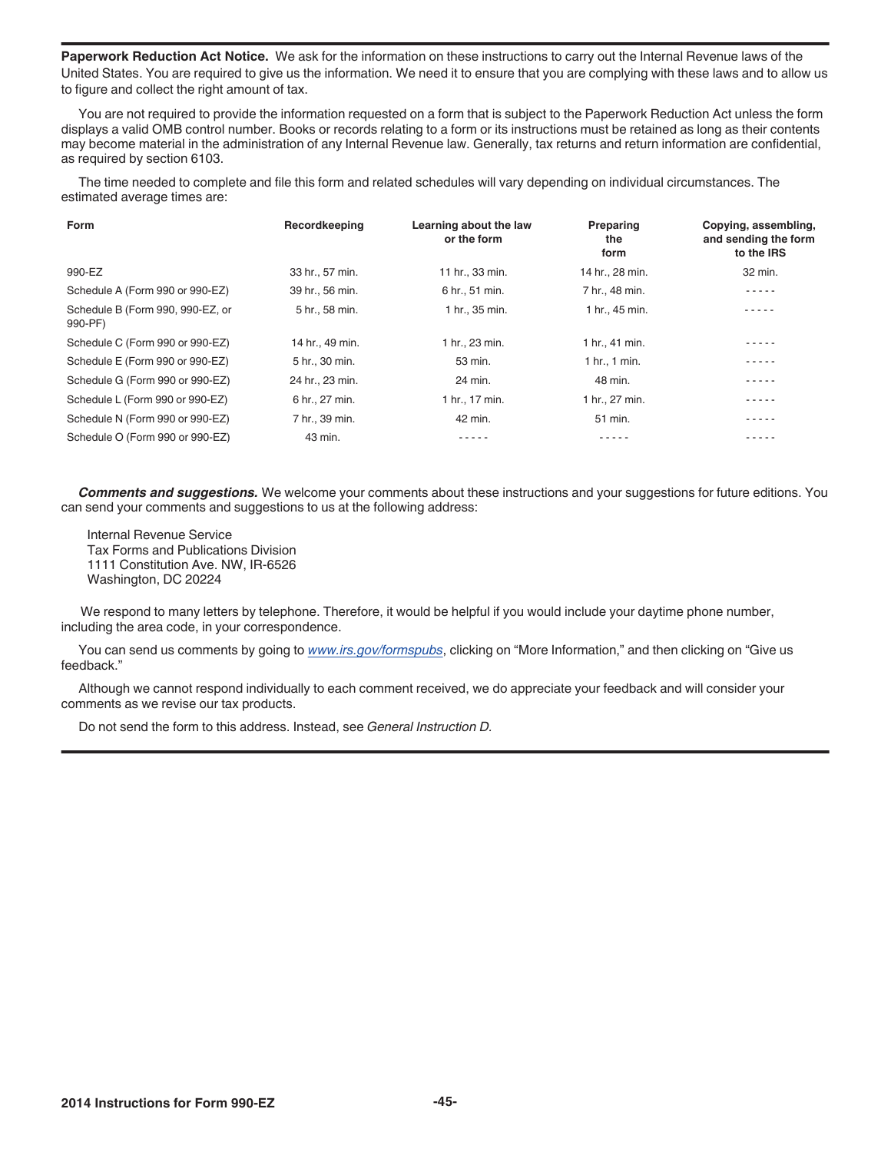<span id="page-44-0"></span>**Paperwork Reduction Act Notice.** We ask for the information on these instructions to carry out the Internal Revenue laws of the United States. You are required to give us the information. We need it to ensure that you are complying with these laws and to allow us to figure and collect the right amount of tax.

You are not required to provide the information requested on a form that is subject to the Paperwork Reduction Act unless the form displays a valid OMB control number. Books or records relating to a form or its instructions must be retained as long as their contents may become material in the administration of any Internal Revenue law. Generally, tax returns and return information are confidential, as required by section 6103.

The time needed to complete and file this form and related schedules will vary depending on individual circumstances. The estimated average times are:

| <b>Form</b>                                 | Recordkeeping   | Learning about the law<br>or the form | Preparing<br>the<br>form | Copying, assembling,<br>and sending the form<br>to the IRS |
|---------------------------------------------|-----------------|---------------------------------------|--------------------------|------------------------------------------------------------|
| 990-EZ                                      | 33 hr., 57 min. | 11 hr., 33 min.                       | 14 hr., 28 min.          | 32 min.                                                    |
| Schedule A (Form 990 or 990-EZ)             | 39 hr., 56 min. | 6 hr., 51 min.                        | 7 hr., 48 min.           | .                                                          |
| Schedule B (Form 990, 990-EZ, or<br>990-PF) | 5 hr., 58 min.  | 1 hr., 35 min.                        | 1 hr., 45 min.           | .                                                          |
| Schedule C (Form 990 or 990-EZ)             | 14 hr., 49 min. | 1 hr., 23 min.                        | 1 hr., 41 min.           |                                                            |
| Schedule E (Form 990 or 990-EZ)             | 5 hr., 30 min.  | 53 min.                               | 1 hr., 1 min.            |                                                            |
| Schedule G (Form 990 or 990-EZ)             | 24 hr., 23 min. | 24 min.                               | 48 min.                  | .                                                          |
| Schedule L (Form 990 or 990-EZ)             | 6 hr., 27 min.  | 1 hr., 17 min.                        | 1 hr., 27 min.           | - - - - -                                                  |
| Schedule N (Form 990 or 990-EZ)             | 7 hr., 39 min.  | 42 min.                               | 51 min.                  | .                                                          |
| Schedule O (Form 990 or 990-EZ)             | 43 min.         |                                       |                          |                                                            |

*Comments and suggestions.* We welcome your comments about these instructions and your suggestions for future editions. You can send your comments and suggestions to us at the following address:

Internal Revenue Service Tax Forms and Publications Division 1111 Constitution Ave. NW, IR-6526 Washington, DC 20224

We respond to many letters by telephone. Therefore, it would be helpful if you would include your daytime phone number, including the area code, in your correspondence.

You can send us comments by going to *[www.irs.gov/formspubs](http://www.irs.gov/formspubs)*, clicking on "More Information," and then clicking on "Give us feedback."

Although we cannot respond individually to each comment received, we do appreciate your feedback and will consider your comments as we revise our tax products.

Do not send the form to this address. Instead, see *General Instruction D.*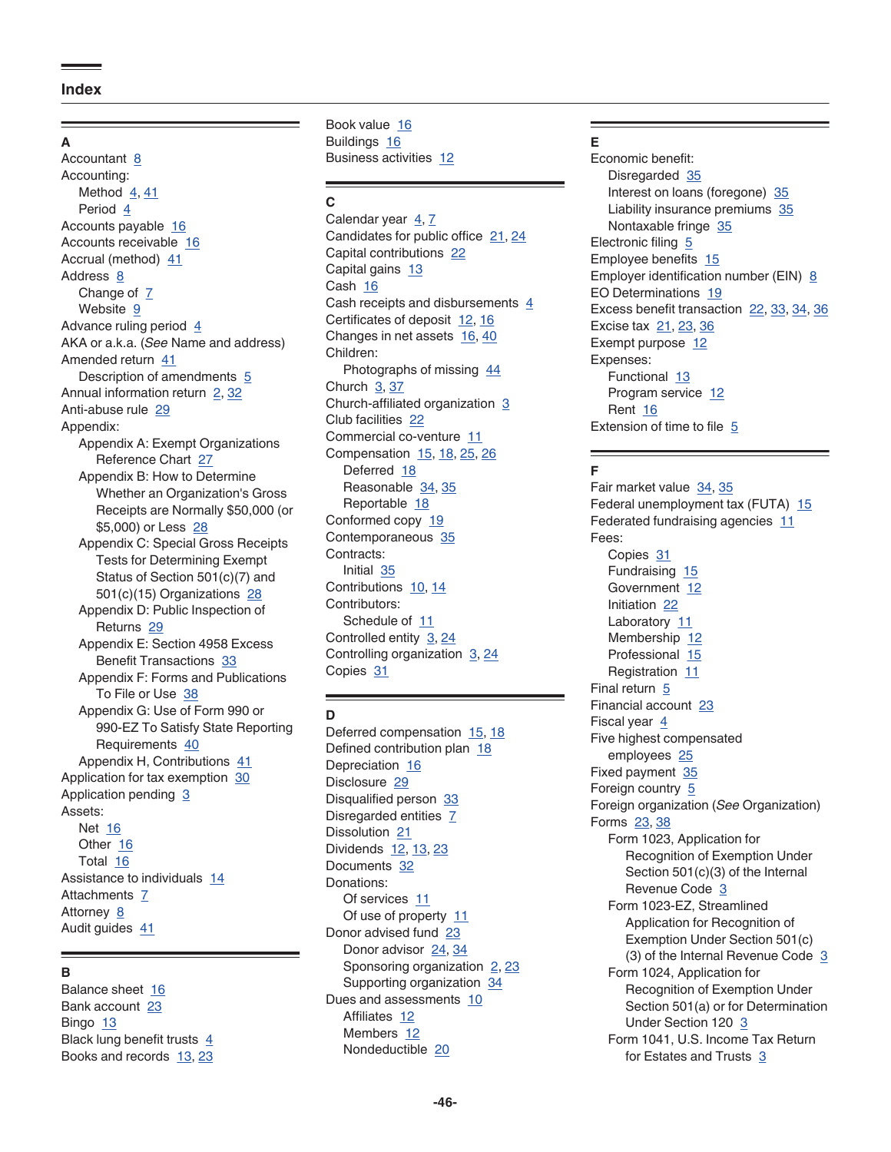#### <span id="page-45-0"></span>**A**

Accountant [8](#page-7-0) Accounting: Method  $4, 41$  $4, 41$  $4, 41$ Period  $4$ Accounts payable [16](#page-15-0) Accounts receivable [16](#page-15-0) Accrual (method) [41](#page-40-0) Address [8](#page-7-0) Change of  $\overline{7}$  $\overline{7}$  $\overline{7}$ Website [9](#page-8-0) Advance ruling period [4](#page-3-0) AKA or a.k.a. (*See* Name and address) Amended return [41](#page-40-0) Description of amendments [5](#page-4-0) Annual information return [2,](#page-1-0) [32](#page-31-0) Anti-abuse rule [29](#page-28-0) Appendix: Appendix A: Exempt Organizations Reference Chart [27](#page-26-0) Appendix B: How to Determine Whether an Organization's Gross Receipts are Normally \$50,000 (or \$5,000) or Less [28](#page-27-0) Appendix C: Special Gross Receipts Tests for Determining Exempt Status of Section 501(c)(7) and 501(c)(15) Organizations [28](#page-27-0) Appendix D: Public Inspection of Returns [29](#page-28-0) Appendix E: Section 4958 Excess Benefit Transactions [33](#page-32-0) Appendix F: Forms and Publications To File or Use [38](#page-37-0) Appendix G: Use of Form 990 or 990-EZ To Satisfy State Reporting Requirements [40](#page-39-0) Appendix H, Contributions [41](#page-40-0) Application for tax exemption [30](#page-29-0) Application pending [3](#page-2-0) Assets: Net [16](#page-15-0) Other [16](#page-15-0) Total [16](#page-15-0) Assistance to individuals [14](#page-13-0) Attachments [7](#page-6-0) Attorney [8](#page-7-0) Audit guides [41](#page-40-0)

#### **B**

Balance sheet [16](#page-15-0) Bank account [23](#page-22-0) Bingo [13](#page-12-0) Black lung benefit trusts  $4$ Books and records [13,](#page-12-0) [23](#page-22-0) Book value [16](#page-15-0) Buildings [16](#page-15-0) Business activities [12](#page-11-0)

#### **C**

Calendar year  $\frac{4}{7}$  $\frac{4}{7}$  $\frac{4}{7}$ Candidates for public office [21,](#page-20-0) [24](#page-23-0) Capital contributions [22](#page-21-0) Capital gains [13](#page-12-0) Cash [16](#page-15-0) Cash receipts and disbursements [4](#page-3-0) Certificates of deposit [12](#page-11-0), [16](#page-15-0) Changes in net assets [16,](#page-15-0) [40](#page-39-0) Children: Photographs of missing [44](#page-43-0) Church [3,](#page-2-0) [37](#page-36-0) Church-affiliated organization [3](#page-2-0) Club facilities [22](#page-21-0) Commercial co-venture [11](#page-10-0) Compensation [15,](#page-14-0) [18,](#page-17-0) [25](#page-24-0), [26](#page-25-0) Deferred [18](#page-17-0) Reasonable [34,](#page-33-0) [35](#page-34-0) Reportable [18](#page-17-0) Conformed copy [19](#page-18-0) Contemporaneous [35](#page-34-0) Contracts: Initial [35](#page-34-0) Contributions [10,](#page-9-0) [14](#page-13-0) Contributors: Schedule of [11](#page-10-0) Controlled entity  $3, 24$  $3, 24$ Controlling organization  $3, 24$  $3, 24$  $3, 24$ Copies [31](#page-30-0)

#### **D**

Deferred compensation [15](#page-14-0), [18](#page-17-0) Defined contribution plan [18](#page-17-0) Depreciation [16](#page-15-0) Disclosure [29](#page-28-0) Disqualified person [33](#page-32-0) Disregarded entities [7](#page-6-0) Dissolution [21](#page-20-0) Dividends [12,](#page-11-0) [13](#page-12-0), [23](#page-22-0) Documents [32](#page-31-0) Donations: Of services [11](#page-10-0) Of use of property [11](#page-10-0) Donor advised fund [23](#page-22-0) Donor advisor [24,](#page-23-0) [34](#page-33-0) Sponsoring organization [2](#page-1-0), [23](#page-22-0) Supporting organization [34](#page-33-0) Dues and assessments [10](#page-9-0) Affiliates [12](#page-11-0) Members [12](#page-11-0) Nondeductible [20](#page-19-0)

#### **E**

Economic benefit: Disregarded [35](#page-34-0) Interest on loans (foregone) [35](#page-34-0) Liability insurance premiums [35](#page-34-0) Nontaxable fringe [35](#page-34-0) Electronic filing [5](#page-4-0) Employee benefits [15](#page-14-0) Employer identification number (EIN) [8](#page-7-0) EO Determinations [19](#page-18-0) Excess benefit transaction [22](#page-21-0), [33,](#page-32-0) [34,](#page-33-0) [36](#page-35-0) Excise tax [21,](#page-20-0) [23](#page-22-0), [36](#page-35-0) Exempt purpose [12](#page-11-0) Expenses: Functional [13](#page-12-0) Program service [12](#page-11-0) Rent [16](#page-15-0) Extension of time to file [5](#page-4-0)

#### **F**

Fair market value [34](#page-33-0), [35](#page-34-0) Federal unemployment tax (FUTA) [15](#page-14-0) Federated fundraising agencies [11](#page-10-0) Fees: Copies [31](#page-30-0) Fundraising [15](#page-14-0) Government [12](#page-11-0) Initiation [22](#page-21-0) Laboratory [11](#page-10-0) Membership [12](#page-11-0) Professional [15](#page-14-0) Registration [11](#page-10-0) Final return [5](#page-4-0) Financial account [23](#page-22-0) Fiscal year [4](#page-3-0) Five highest compensated employees [25](#page-24-0) Fixed payment [35](#page-34-0) Foreign country [5](#page-4-0) Foreign organization (*See* Organization) Forms [23](#page-22-0), [38](#page-37-0) Form 1023, Application for Recognition of Exemption Under Section 501(c)(3) of the Internal Revenue Code [3](#page-2-0) Form 1023-EZ, Streamlined Application for Recognition of Exemption Under Section 501(c) ([3](#page-2-0)) of the Internal Revenue Code 3 Form 1024, Application for Recognition of Exemption Under Section 501(a) or for Determination Under Section 120 [3](#page-2-0) Form 1041, U.S. Income Tax Return for Estates and Trusts [3](#page-2-0)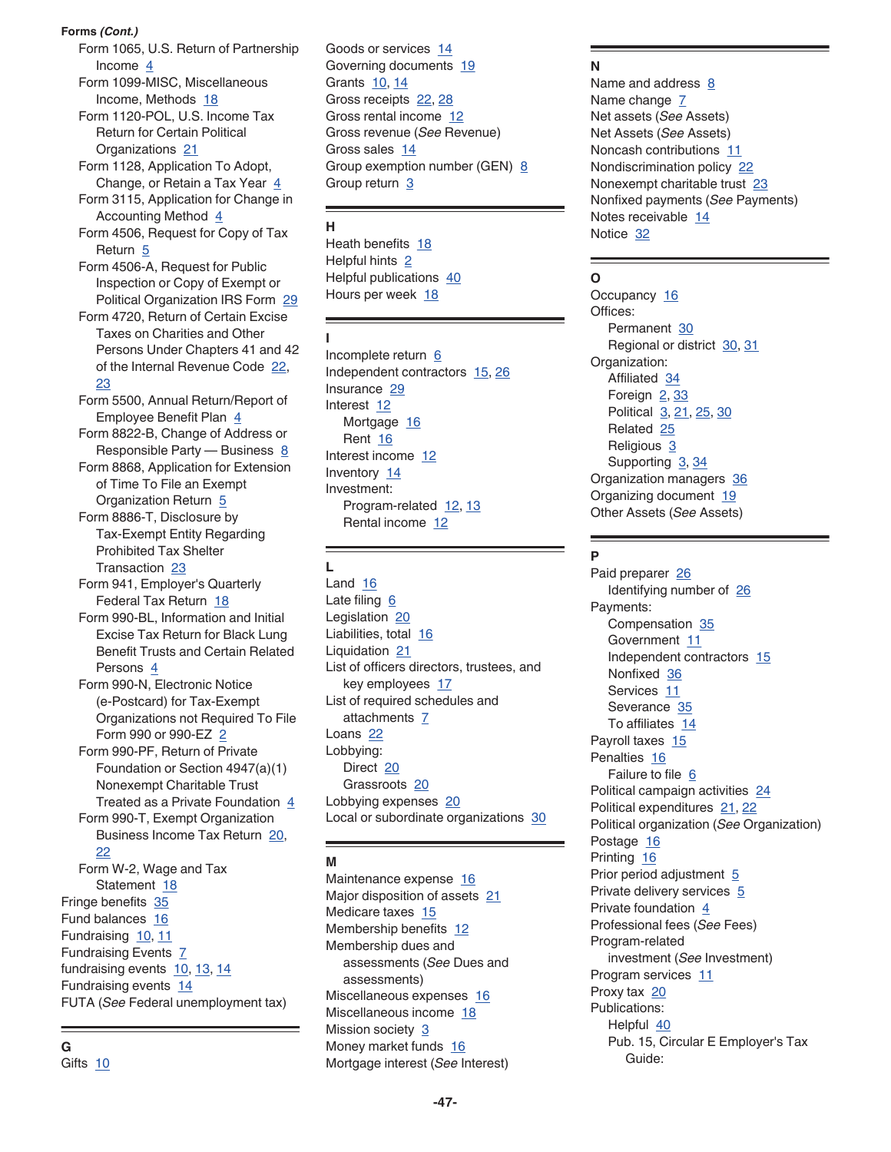#### **Forms** *(Cont.)*

- Form 1065, U.S. Return of Partnership Income [4](#page-3-0)
- Form 1099-MISC, Miscellaneous Income, Methods [18](#page-17-0)

Form 1120-POL, U.S. Income Tax Return for Certain Political Organizations [21](#page-20-0)

- Form 1128, Application To Adopt, Change, or Retain a Tax Year  $4$
- Form 3115, Application for Change in Accounting Method  $4$
- Form 4506, Request for Copy of Tax Return [5](#page-4-0)
- Form 4506-A, Request for Public Inspection or Copy of Exempt or Political Organization IRS Form [29](#page-28-0)
- Form 4720, Return of Certain Excise Taxes on Charities and Other Persons Under Chapters 41 and 42 of the Internal Revenue Code [22,](#page-21-0) [23](#page-22-0)
- Form 5500, Annual Return/Report of Employee Benefit Plan [4](#page-3-0)
- Form 8822-B, Change of Address or Responsible Party — Business  $8$ Form 8868, Application for Extension of Time To File an Exempt
- Organization Return [5](#page-4-0) Form 8886-T, Disclosure by
- Tax-Exempt Entity Regarding Prohibited Tax Shelter Transaction [23](#page-22-0)
- Form 941, Employer's Quarterly Federal Tax Return [18](#page-17-0)
- Form 990-BL, Information and Initial Excise Tax Return for Black Lung Benefit Trusts and Certain Related Persons [4](#page-3-0)
- Form 990-N, Electronic Notice (e-Postcard) for Tax-Exempt Organizations not Required To File Form 990 or 990-EZ [2](#page-1-0)
- Form 990-PF, Return of Private Foundation or Section 4947(a)(1) Nonexempt Charitable Trust Treated as a Private Foundation [4](#page-3-0)
- Form 990-T, Exempt Organization Business Income Tax Return [20](#page-19-0),

#### [22](#page-21-0)

Form W-2, Wage and Tax Statement [18](#page-17-0) Fringe benefits [35](#page-34-0) Fund balances [16](#page-15-0) Fundraising [10,](#page-9-0) [11](#page-10-0) Fundraising Events [7](#page-6-0) fundraising events [10](#page-9-0), [13](#page-12-0), [14](#page-13-0) Fundraising events [14](#page-13-0) FUTA (*See* Federal unemployment tax)

#### **G** Gifts [10](#page-9-0)

Goods or services [14](#page-13-0) Governing documents [19](#page-18-0) Grants [10,](#page-9-0) [14](#page-13-0) Gross receipts [22,](#page-21-0) [28](#page-27-0) Gross rental income [12](#page-11-0) Gross revenue (*See* Revenue) Gross sales [14](#page-13-0) Group exemption number (GEN) [8](#page-7-0) Group return [3](#page-2-0)

#### **H**

Heath benefits [18](#page-17-0) Helpful hints [2](#page-1-0) Helpful publications [40](#page-39-0) Hours per week [18](#page-17-0)

#### **I**

Incomplete return [6](#page-5-0) Independent contractors [15,](#page-14-0) [26](#page-25-0) Insurance [29](#page-28-0) Interest [12](#page-11-0) Mortgage [16](#page-15-0) Rent [16](#page-15-0) Interest income [12](#page-11-0) Inventory [14](#page-13-0) Investment: Program-related [12,](#page-11-0) [13](#page-12-0) Rental income [12](#page-11-0)

## **L**

Land [16](#page-15-0) Late filing  $6$ Legislation [20](#page-19-0) Liabilities, total [16](#page-15-0) Liquidation [21](#page-20-0) List of officers directors, trustees, and key employees [17](#page-16-0) List of required schedules and attachments [7](#page-6-0) Loans [22](#page-21-0) Lobbying: Direct [20](#page-19-0) Grassroots [20](#page-19-0) Lobbying expenses [20](#page-19-0) Local or subordinate organizations [30](#page-29-0)

#### **M**

Maintenance expense [16](#page-15-0) Major disposition of assets [21](#page-20-0) Medicare taxes [15](#page-14-0) Membership benefits [12](#page-11-0) Membership dues and assessments (*See* Dues and assessments) Miscellaneous expenses [16](#page-15-0) Miscellaneous income [18](#page-17-0) Mission society [3](#page-2-0) Money market funds [16](#page-15-0) Mortgage interest (*See* Interest)

#### **N**

Name and address [8](#page-7-0) Name change [7](#page-6-0) Net assets (*See* Assets) Net Assets (*See* Assets) Noncash contributions [11](#page-10-0) Nondiscrimination policy [22](#page-21-0) Nonexempt charitable trust [23](#page-22-0) Nonfixed payments (*See* Payments) Notes receivable [14](#page-13-0) Notice [32](#page-31-0)

#### **O**

Occupancy [16](#page-15-0) Offices: Permanent [30](#page-29-0) Regional or district [30,](#page-29-0) [31](#page-30-0) Organization: Affiliated [34](#page-33-0) Foreign  $2, 33$  $2, 33$  $2, 33$ Political [3,](#page-2-0) [21,](#page-20-0) [25](#page-24-0), [30](#page-29-0) Related [25](#page-24-0) Religious [3](#page-2-0) Supporting [3](#page-2-0), [34](#page-33-0) Organization managers [36](#page-35-0) Organizing document [19](#page-18-0) Other Assets (*See* Assets)

#### **P**

Paid preparer [26](#page-25-0) Identifying number of [26](#page-25-0) Payments: Compensation [35](#page-34-0) Government [11](#page-10-0) Independent contractors [15](#page-14-0) Nonfixed [36](#page-35-0) Services [11](#page-10-0) Severance [35](#page-34-0) To affiliates [14](#page-13-0) Payroll taxes [15](#page-14-0) Penalties [16](#page-15-0) Failure to file [6](#page-5-0) Political campaign activities [24](#page-23-0) Political expenditures [21,](#page-20-0) [22](#page-21-0) Political organization (*See* Organization) Postage [16](#page-15-0) Printing [16](#page-15-0) Prior period adjustment [5](#page-4-0) Private delivery services [5](#page-4-0) Private foundation [4](#page-3-0) Professional fees (*See* Fees) Program-related investment (*See* Investment) Program services [11](#page-10-0) Proxy tax [20](#page-19-0) Publications: Helpful [40](#page-39-0) Pub. 15, Circular E Employer's Tax Guide: